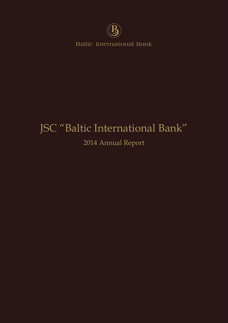

**Baltic International Bank** 

# JSC "Baltic International Bank" 2014 Annual Report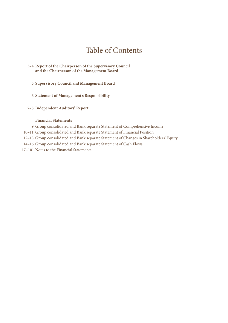# Table of Contents

#### 3–4 **Report of the Chairperson of the Supervisory Council and the Chairperson of the Management Board**

5 **Supervisory Council and Management Board**

6 **Statement of Management's Responsibility**

7–8 **Independent Auditors' Report**

#### **Financial Statements**

9 Group consolidated and Bank separate Statement of Comprehensive Income

10–11 Group consolidated and Bank separate Statement of Financial Position

12–13 Group consolidated and Bank separate Statement of Changes in Shareholders' Equity

14–16 Group consolidated and Bank separate Statement of Cash Flows

17–101 Notes to the Financial Statements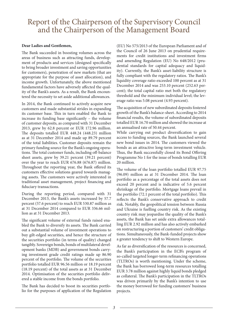## Report of the Chairperson of the Supervisory Council and the Chairperson of the Management Board

#### **Dear Ladies and Gentlemen,**

The Bank succeeded in boosting volumes across the areas of business such as attracting funds, development of products and services (designed specifically to bring broader investment and saving opportunities for customers), penetration of new markets (that are appropriate for the purpose of asset allocation), and income growth. Unfortunately, the above mentioned fundamental factors have adversely affected the quality of the Bank's assets. As a result, the Bank encountered the necessity to set aside additional allowances.

In 2014, the Bank continued to actively acquire new customers and made substantial strides in expanding its customer base. This in turn enabled the Bank to increase its funding base significantly – the volume of customer deposits, as compared with 31 December 2013, grew by 62.8 percent or EUR 172.96 million. The deposits totalled EUR 448.24 (448.23) million as at 31 December 2014 and made up 89.79 percent of the total liabilities. Customer deposits remain the primary funding source for the Bank's ongoing operations. The total customer funds, including off-balance sheet assets, grew by 39.21 percent (39.21 percent) over the year to reach EUR 676.88 (676.87) million. Throughout the reporting year, the Bank offered its customers effective solutions geared towards managing assets. The customers were actively interested in traditional asset management, project financing and fiduciary transactions.

During the reporting period, compared with 31 December 2013, the Bank's assets increased by 57.7 percent (57.6 percent) to reach EUR 530.87 million as at 31 December 2014 compared to EUR 336.66 million as at 31 December 2013.

The significant volume of external funds raised enabled the Bank to diversify its assets. The Bank carried out a substantial volume of investment operations to buy gilt-edged securities, and hence the structure of the securities portfolio (in terms of quality) changed tangibly. Sovereign bonds, bonds of multilateral development banks (MDB) and government bonds carrying investment grade credit ratings made up 86.90 percent of the portfolio. The volume of the securities portfolio totalled EUR 96.56 million or 18.19 percent (18.19 percent) of the total assets as at 31 December 2014. Optimisation of the securities portfolio delivered a stable income from the bonds portfolio.

The Bank has decided to boost its securities portfolio for the purposes of application of the Regulation

(EU) No 575/2013 of the European Parliament and of the Council of 26 June 2013 on prudential requirements for credit institutions and investment firms and amending Regulation (EU) No 648/2012 (prudential standards for capital adequacy and liquidity). Currently, the Bank's asset-liability structure is fully compliant with the regulatory ratios. The Bank's liquidity coverage ratio exceeded 100 percent as at 31 December 2014 and was 253.10 percent (252.63 percent); the total capital ratio met both the regulatory threshold and the minimum individual level; the leverage ratio was 5.08 percent (4.93 percent).

The acquisition of new subordinated deposits fostered growth of the Bank's balance-sheet. According to 2014 financial results, the volume of subordinated deposits totalled EUR 16.70 million and showed the increase at an annualised rate of 50.44 percent.

While carrying out product diversification to gain access to funding sources, the Bank launched several new bond issues in 2014. The customers viewed the bonds as an attractive long-term investment vehicle. Thus, the Bank successfully closed its Bond Offering Programme No 1 for the issue of bonds totalling EUR 20 million.

The volume of the loan portfolio totalled EUR 97.75 (96.09) million as at 31 December 2014. The loan portfolio as a percentage of the total assets does not exceed 20 percent and is indicative of 5.6 percent shrinkage of the portfolio. Mortgage loans prevail in the portfolio (72.1 percent of the total portfolio). This reflects the Bank's conservative approach to credit risk. Notably, the geopolitical tension between Russia and Ukraine is fuelling country risk. As the existing country risk may jeopardise the quality of the Bank's assets, the Bank has set aside extra allowances totalling EUR 2.92 million and has also actively embarked on restructuring a portion of customers' credit obligations. Simultaneously, the Bank-funded projects show a greater tendency to shift to Western Europe.

As far as diversification of the resources is concerned, the Bank's participation in the ECB's program of so-called targeted longer-term refinancing operations (TLTROs) is worth mentioning. Under the scheme, the Bank has borrowed long-term resources totalling EUR 3.78 million against highly liquid bonds pledged as collateral. The Bank's participation in the TLTROs was driven primarily by the Bank's intention to use the money borrowed for funding customers' business projects.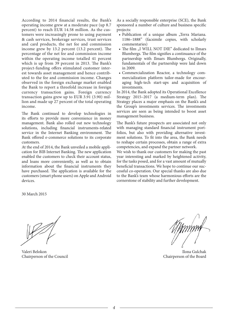According to 2014 financial results, the Bank's operating income grew at a moderate pace (up 8.7 percent) to reach EUR 14.58 million. As the customers were increasingly prone to using payment & cash services, brokerage services, trust services and card products, the net fee and commission income grew by 13.2 percent (13.2 percent). The percentage of the net fee and commission income within the operating income totalled 41 percent which is up from 39 percent in 2013. The Bank's project-funding offers stimulated customer interest towards asset management and hence contributed to the fee and commission income. Changes observed in the foreign exchange market enabled the Bank to report a threefold increase in foreign currency transaction gains. Foreign currency transaction gains grew up to EUR 3.91 (3.90) million and made up 27 percent of the total operating income.

The Bank continued to develop technologies in its efforts to provide more convenience in money management. Bank also rolled out new technology solutions, including financial instruments-related service in the Internet Banking environment. The Bank offered e-commerce solutions to its corporate customers.

At the end of 2014, the Bank unveiled a mobile application for BIB Internet Banking. The new application enabled the customers to check their account status, and loans more conveniently, as well as to obtain information about the financial instruments they have purchased. The application is available for the customers (smart phone users) on Apple and Android devices.

As a socially responsible enterprise (SCE), the Bank sponsored a number of culture and business specific projects:

- Publication of a unique album "Terra Mariana. 1186–1888" (facsimile copies, with scholarly commentaries)
- The film "I WILL NOT DIE" dedicated to Ilmars Blumbergs. The film signifies a continuance of the partnership with Ilmars Blumbergs. Originally, fundamentals of the partnership were laid down in 2009.
- Commercialization Reactor, a technology commercialization platform tailor-made for encouraging high-tech start-ups and acquisition of investments.

In 2014, the Bank adopted its Operational Excellence Strategy 2015–2017 (a medium-term plan). The Strategy places a major emphasis on the Bank's and the Group's investments services. The investments services are seen as being intended to boost asset management business.

The Bank's future prospects are associated not only with managing standard financial instrument portfolios, but also with providing alternative investment solutions. To fit into the area, the Bank needs to reshape certain processes, obtain a range of extra competencies, and expand the partner network.

We wish to thank our customers for making the past year interesting and marked by heightened activity, for the tasks posed, and for a vast amount of mutually beneficial transactions. We hope to continue our successful co-operation. Our special thanks are also due to the Bank's team whose harmonious efforts are the cornerstone of stability and further development.

30 March 2015

Valeri Belokon Chairperson of the Council

Ilona Gulchak Chairperson of the Board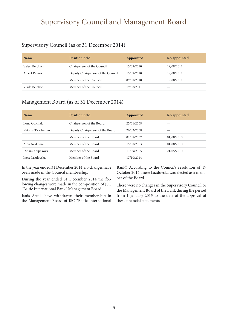# Supervisory Council and Management Board

### Supervisory Council (as of 31 December 2014)

| <b>Name</b>    | <b>Position held</b>              | Appointed  | Re-appointed |
|----------------|-----------------------------------|------------|--------------|
| Valeri Belokon | Chairperson of the Council        | 15/09/2010 | 19/08/2011   |
| Albert Reznik  | Deputy Chairperson of the Council | 15/09/2010 | 19/08/2011   |
|                | Member of the Council             | 09/08/2010 | 19/08/2011   |
| Vlada Belokon  | Member of the Council             | 19/08/2011 |              |

### Management Board (as of 31 December 2014)

| <b>Name</b>       | <b>Position held</b>            | Appointed  | Re-appointed |
|-------------------|---------------------------------|------------|--------------|
| Ilona Gulchak     | Chairperson of the Board        | 25/01/2008 |              |
| Natalya Tkachenko | Deputy Chairperson of the Board | 26/02/2008 |              |
|                   | Member of the Board             | 01/08/2007 | 01/08/2010   |
| Alon Nodelman     | Member of the Board             | 15/08/2003 | 01/08/2010   |
| Dinars Kolpakovs  | Member of the Board             | 13/09/2005 | 21/05/2010   |
| Inese Lazdovska   | Member of the Board             | 17/10/2014 |              |

In the year ended 31 December 2014, no changes have been made in the Council membership.

During the year ended 31 December 2014 the following changes were made in the composition of JSC "Baltic International Bank" Management Board:

Janis Apelis have withdrawn their membership in the Management Board of JSC "Baltic International

Bank". According to the Council's resolution of 17 October 2014, Inese Lazdovska was elected as a member of the Board.

There were no changes in the Supervisory Council or the Management Board of the Bank during the period from 1 January 2015 to the date of the approval of these financial statements.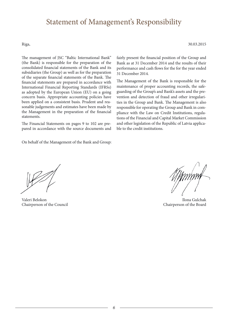### Statement of Management's Responsibility

The management of JSC "Baltic International Bank" (the Bank) is responsible for the preparation of the consolidated financial statements of the Bank and its subsidiaries (the Group) as well as for the preparation of the separate financial statements of the Bank. The financial statements are prepared in accordance with International Financial Reporting Standards (IFRSs) as adopted by the European Union (EU) on a going concern basis. Appropriate accounting policies have been applied on a consistent basis. Prudent and reasonable judgements and estimates have been made by the Management in the preparation of the financial statements.

The Financial Statements on pages 9 to 102 are prepared in accordance with the source documents and

On behalf of the Management of the Bank and Group:

Riga, 30.03.2015

fairly present the financial position of the Group and Bank as at 31 December 2014 and the results of their performance and cash flows for the for the year ended 31 December 2014.

The Management of the Bank is responsible for the maintenance of proper accounting records, the safeguarding of the Group's and Bank's assets and the prevention and detection of fraud and other irregularities in the Group and Bank. The Management is also responsible for operating the Group and Bank in compliance with the Law on Credit Institutions, regulations of the Financial and Capital Market Commission and other legislation of the Republic of Latvia applicable to the credit institutions.

Valeri Belokon Chairperson of the Council

Ilona Gulchak Chairperson of the Board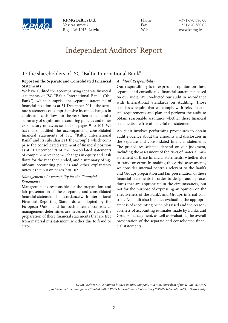

**KPMG Baltics Ltd.** Vesetas street 7 Riga, LV-1013, Latvia

Phone  $+371\,670\,380\,00$ Fax  $+371\,670\,380\,02$ Web www.kpmg.lv

# Independent Auditors' Report

#### To the shareholders of JSC "Baltic International Bank"

#### **Report on the Separate and Consolidated Financial Statements**

We have audited the accompanying separate financial statements of JSC "Baltic International Bank" ("the Bank"), which comprise the separate statement of financial position as at 31 December 2014, the separate statements of comprehensive income, changes in equity and cash flows for the year then ended, and a summary of significant accounting policies and other explanatory notes, as set out on pages 9 to 102. We have also audited the accompanying consolidated financial statements of JSC "Baltic International Bank" and its subsidiaries ("the Group"), which comprise the consolidated statement of financial position as at 31 December 2014, the consolidated statements of comprehensive income, changes in equity and cash flows for the year then ended, and a summary of significant accounting policies and other explanatory notes, as set out on pages 9 to 102.

#### *Management's Responsibility for the Financial Statements*

Management is responsible for the preparation and fair presentation of these separate and consolidated financial statements in accordance with International Financial Reporting Standards as adopted by the European Union and for such internal controls as management determines are necessary to enable the preparation of these financial statements that are free from material misstatement, whether due to fraud or error.

#### *Auditors' Responsibility*

Our responsibility is to express an opinion on these separate and consolidated financial statements based on our audit. We conducted our audit in accordance with International Standards on Auditing. Those standards require that we comply with relevant ethical requirements and plan and perform the audit to obtain reasonable assurance whether these financial statements are free of material misstatement.

An audit involves performing procedures to obtain audit evidence about the amounts and disclosures in the separate and consolidated financial statements. The procedures selected depend on our judgment, including the assessment of the risks of material misstatement of these financial statements, whether due to fraud or error. In making those risk assessments, we consider internal controls relevant to the Bank's and Group's preparation and fair presentation of these financial statements in order to design audit procedures that are appropriate in the circumstances, but not for the purpose of expressing an opinion on the effectiveness of the Bank's and Group's internal controls. An audit also includes evaluating the appropriateness of accounting principles used and the reasonableness of accounting estimates made by Bank's and Group's management, as well as evaluating the overall presentation of the separate and consolidated financial statements.

*KPMG Baltics SlA, a Latvian limited liability company and a member firm of the KPMG network of independent member firms affiliated with KPMG International Cooperative ("KPMG International"), a Swiss entity.*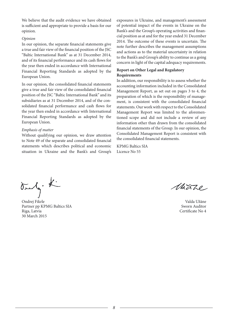We believe that the audit evidence we have obtained is sufficient and appropriate to provide a basis for our opinion.

#### *Opinion*

In our opinion, the separate financial statements give a true and fair view of the financial position of the JSC "Baltic International Bank" as at 31 December 2014, and of its financial performance and its cash flows for the year then ended in accordance with International Financial Reporting Standards as adopted by the European Union.

In our opinion, the consolidated financial statements give a true and fair view of the consolidated financial position of the JSC "Baltic International Bank" and its subsidiaries as at 31 December 2014, and of the consolidated financial performance and cash flows for the year then ended in accordance with International Financial Reporting Standards as adopted by the European Union.

#### *Emphasis of matter*

Without qualifying our opinion, we draw attention to Note 49 of the separate and consolidated financial statements which describes political and economic situation in Ukraine and the Bank's and Group's

exposures in Ukraine, and management's assessment of potential impact of the events in Ukraine on the Bank's and the Group's operating activities and financial position as at and for the year ended 31 December 2014. The outcome of these events is uncertain. The note further describes the management assumptions and actions as to the material uncertainty in relation to the Bank's and Group's ability to continue as a going concern in light of the capital adequacy requirements.

#### **Report on Other Legal and Regulatory Requirements**

In addition, our responsibility is to assess whether the accounting information included in the Consolidated Management Report, as set out on pages 3 to 4, the preparation of which is the responsibility of management, is consistent with the consolidated financial statements. Our work with respect to the Consolidated Management Report was limited to the aforementioned scope and did not include a review of any information other than drawn from the consolidated financial statements of the Group. In our opinion, the Consolidated Management Report is consistent with the consolidated financial statements.

KPMG Baltics SIA Licence No 55

 $\sum_{i=1}^{n} \frac{1}{i} \sum_{j=1}^{n} \frac{1}{j} \sum_{i=1}^{n} \frac{1}{j} \sum_{i=1}^{n} \frac{1}{j} \sum_{j=1}^{n} \frac{1}{j} \sum_{i=1}^{n} \frac{1}{j} \sum_{i=1}^{n} \frac{1}{j} \sum_{i=1}^{n} \frac{1}{j} \sum_{i=1}^{n} \frac{1}{j} \sum_{i=1}^{n} \frac{1}{j} \sum_{i=1}^{n} \frac{1}{j} \sum_{i=1}^{n} \frac{1}{j} \sum_{i=1}^{n} \frac{1}{j$ 

Ondrej Fikrle Partner pp KPMG Baltics SIA Riga, Latvia 30 March 2015

Marze

Valda Užāne Sworn Auditor Certificate No 4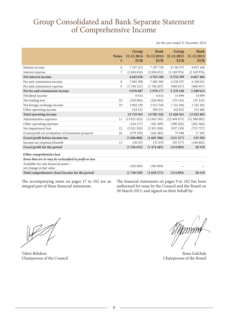## Group Consolidated and Bank Separate Statement of Comprehensive Income

*for the year ended 31 December 2014*

|                                                                   | <b>Notes</b><br>$\theta$ | Group<br>31.12.2014<br><b>EUR</b> | <b>Bank</b><br>31.12.2014<br><b>EUR</b> | Group<br>31.12.2013<br><b>EUR</b> | <b>Bank</b><br>31.12.2013<br><b>EUR</b> |
|-------------------------------------------------------------------|--------------------------|-----------------------------------|-----------------------------------------|-----------------------------------|-----------------------------------------|
| Interest income                                                   | 6                        | 7 337 472                         | 7 397 759                               | 8 746 375                         | 8 8 3 7 4 5 8                           |
| Interest expense                                                  | 7                        | (2694816)                         | (2694651)                               | (2169976)                         | (2169976)                               |
| Net interest income                                               |                          | 4 642 656                         | 4703108                                 | 6 576 399                         | 6 6 6 7 4 8 2                           |
| Fee and commission income                                         | 8                        | 7681208                           | 7682384                                 | 6 238 557                         | 6 240 031                               |
| Fee and commission expense                                        | 9                        | (1704521)                         | (1704207)                               | (960017)                          | (960017)                                |
| Net fee and commission income                                     |                          | 5976687                           | 5978177                                 | 5 278 540                         | 5 280 014                               |
| Dividend income                                                   |                          | 6614                              | 6 6 1 4                                 | 14 9 8 9                          | 14 9 89                                 |
| Net trading loss                                                  | 10                       | (326964)                          | (326964)                                | (35145)                           | (35145)                                 |
| Net foreign exchange income                                       | 10                       | 3 902 339                         | 3 913 340                               | 1 341 946                         | 1 343 202                               |
| Other operating income                                            |                          | 518 231                           | 309 251                                 | 243 832                           | 151 860                                 |
| Total operating income                                            |                          | 14719563                          | 14 583 526                              | 13 420 561                        | 13 422 402                              |
| Administrative expenses                                           | 11                       | (13021025)                        | (12843185)                              | (12494075)                        | (12386092)                              |
| Other operating expenses                                          |                          | (184177)                          | (181 499)                               | (300 262)                         | (202364)                                |
| Net impairment loss                                               | 12                       | (2921920)                         | (2921920)                               | (937129)                          | (715 757)                               |
| (Loss)/profit on revaluation of investment property               | 24                       | (279 329)                         | (242 482)                               | 79 588                            | 17 203                                  |
| (Loss)/profit before income tax                                   |                          | (168688)                          | (1605560)                               | (231317)                          | 135 392                                 |
| Income tax (expense)/benefit                                      | 13                       | 130 253                           | 131 079                                 | (83577)                           | (106 882)                               |
| (Loss)/profit for the period                                      |                          | (1556635)                         | (1474481)                               | (314894)                          | 28 5 10                                 |
| Other comprehensive loss                                          |                          |                                   |                                         |                                   |                                         |
| Items that are or may be reclassified to profit or loss           |                          |                                   |                                         |                                   |                                         |
| Available-for-sale financial assets -<br>net change in fair value |                          | (183 894)                         | (183 894)                               |                                   |                                         |
| Total comprehensive (loss)/income for the period                  |                          | (1740529)                         | (1658375)                               | (314894)                          | 28 5 10                                 |

The accompanying notes on pages 17 to 102 are an integral part of these financial statements.

Valeri Belokon Chairperson of the Council

Ilona Gulchak Chairperson of the Board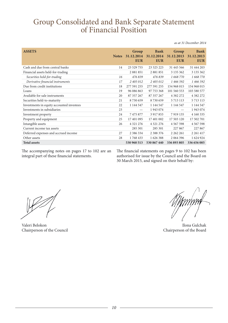# Group Consolidated and Bank Separate Statement of Financial Position

*as at 31 December 2014*

| <b>ASSETS</b>                             | <b>Notes</b> | Group<br>31.12.2014<br><b>EUR</b> | <b>Bank</b><br>31.12.2014<br><b>EUR</b> | Group<br>31.12.2013<br><b>EUR</b> | <b>Bank</b><br>31.12.2013<br><b>EUR</b> |
|-------------------------------------------|--------------|-----------------------------------|-----------------------------------------|-----------------------------------|-----------------------------------------|
| Cash and due from central banks           | 14           | 23 529 755                        | 23 525 223                              | 31 445 566                        | 31 444 203                              |
| Financial assets held-for-trading         |              | 2 8 8 1 8 5 1                     | 2 8 8 1 8 5 1                           | 3 135 362                         | 3 135 362                               |
| Securities held-for-trading               | 16           | 476 839                           | 476839                                  | 1 668 770                         | 1 668 770                               |
| Derivative financial instruments          | 17           | 2 405 012                         | 2 405 012                               | 1 466 592                         | 1 466 592                               |
| Due from credit institutions              | 18           | 277 591 255                       | 277 591 255                             | 154 968 015                       | 154 968 015                             |
| Loans                                     | 19           | 96 086 863                        | 97 753 368                              | 101 560 553                       | 103 580 577                             |
| Available for sale instruments            | 20           | 87 357 267                        | 87 357 267                              | 4 3 8 2 2 7 2                     | 4 3 8 2 2 7 2                           |
| Securities held-to-maturity               | 21           | 8730659                           | 8730659                                 | 5 7 1 3 1 1 3                     | 5713113                                 |
| Investments in equity accounted investees | 22           | 1 144 547                         | 1 144 547                               | 1 144 547                         | 1 144 547                               |
| Investments in subsidiaries               | 23           | $\overline{\phantom{0}}$          | 1943074                                 |                                   | 1943074                                 |
| Investment property                       | 24           | 7475877                           | 3 917 853                               | 7919135                           | 4 160 335                               |
| Property and equipment                    | 25           | 17 401 095                        | 17 401 002                              | 17 503 120                        | 17 502 701                              |
| Intangible assets                         | 26           | 4 3 2 1 2 7 6                     | 4 3 2 1 2 7 6                           | 4 5 6 7 5 9 8                     | 4 5 6 7 5 9 8                           |
| Current income tax assets                 |              | 285 301                           | 285 301                                 | 227 867                           | 227 867                                 |
| Deferred expenses and accrued income      | 27           | 2 3 8 6 3 3 4                     | 2 3 8 3 3 7 6                           | 2 2 6 2 2 6 1                     | 2 2 6 1 4 1 7                           |
| Other assets                              | 28           | 1768433                           | 1626388                                 | 2 064 396                         | 1 624 924                               |
| <b>Total assets</b>                       |              | 530 960 513                       | 530 867 440                             | 336 893 805                       | 336 656 005                             |

The accompanying notes on pages 17 to 102 are an integral part of these financial statements.

Valeri Belokon Chairperson of the Council

Ilona Gulchak Chairperson of the Board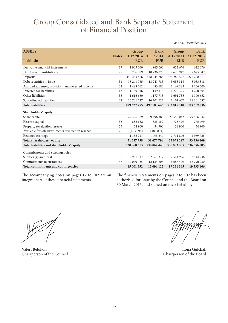# Group Consolidated and Bank Separate Statement of Financial Position

*as at 31 December 2014*

| <b>ASSETS</b><br><b>Liabilities</b>                | <b>Notes</b> | <b>Group</b><br>31.12.2014<br><b>EUR</b> | <b>Bank</b><br>31.12.2014<br><b>EUR</b> | Group<br>31.12.2013<br><b>EUR</b> | <b>Bank</b><br>31.12.2013<br><b>EUR</b> |
|----------------------------------------------------|--------------|------------------------------------------|-----------------------------------------|-----------------------------------|-----------------------------------------|
| Derivative financial instruments                   | 17           | 1965060                                  | 1965060                                 | 622 676                           | 622 676                                 |
| Due to credit institutions                         | 29           | 10 236 079                               | 10 236 079                              | 7625947                           | 7625947                                 |
| Deposits                                           | 30           | 448 233 466                              | 448 244 286                             | 275 280 527                       | 275 288 611                             |
| Debt securities in issue                           | 31           | 18 241 785                               | 18 241 785                              | 5 0 5 3 3 1 8                     | 5 0 5 3 3 1 8                           |
| Accrued expenses, provisions and deferred income   | 32           | 1 488 662                                | 1 483 680                               | 1 169 283                         | 1 166 600                               |
| Deferred tax liabilities                           | 13           | 1 139 316                                | 1 139 316                               | 1 270 395                         | 1 270 395                               |
| Other liabilities                                  | 33           | 1 616 660                                | 1 177 713                               | 1691735                           | 1 190 652                               |
| Subordinated liabilities                           | 34           | 16 701 727                               | 16 701 727                              | 11 101 637                        | 11 101 637                              |
| <b>Total liabilities</b>                           |              | 499 622 755                              | 499 189 646                             | 303 815 518                       | 303 319 836                             |
| Shareholders' equity                               |              |                                          |                                         |                                   |                                         |
| Share capital                                      | 35           | 29 49 6 389                              | 29 496 389                              | 29 556 042                        | 29 556 042                              |
| Reserve capital                                    | 35           | 835 152                                  | 835 152                                 | 775 499                           | 775 499                                 |
| Property revaluation reserve                       | 25           | 34 900                                   | 34 900                                  | 34 900                            | 34 900                                  |
| Available for sale instruments revaluation reserve | 20           | (183894)                                 | (183894)                                |                                   |                                         |
| Retained earnings                                  |              | 1 1 5 2 1 1                              | 1 495 247                               | 2 7 1 1 8 4 6                     | 2969728                                 |
| Total shareholders' equity                         |              | 31 337 758                               | 31 677 794                              | 33 078 287                        | 33 336 169                              |
| Total liabilities and shareholders' equity         |              | 530 960 513                              | 530 867 440                             | 336 893 805                       | 336 656 005                             |
| <b>Commitments and contingencies</b>               |              |                                          |                                         |                                   |                                         |
| Sureties (guarantees)                              | 36           | 2961317                                  | 2961317                                 | 2 544 936                         | 2 544 936                               |
| Commitments to customers                           | 36           | 12 040 035                               | 12 134 805                              | 16 686 429                        | 16 790 230                              |
| <b>Total commitments and contingencies</b>         |              | 15 001 352                               | 15 096 122                              | 19 231 365                        | 19 335 166                              |

The accompanying notes on pages 17 to 102 are an integral part of these financial statements.

Valeri Belokon Chairperson of the Council

Ilona Gulchak Chairperson of the Board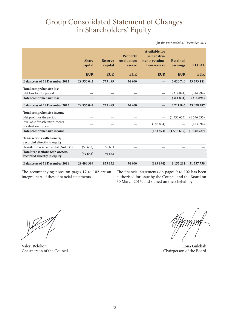# Group Consolidated Statement of Changes in Shareholders' Equity

*for the year ended 31 December 2014*

|                                                                 | <b>Share</b><br>capital | <b>Reserve</b><br>capital | <b>Property</b><br>revaluation<br>reserve | <b>Available for</b><br>sale instru-<br>ments revalua-<br>tion reserve | Retained<br>earnings | <b>TOTAL</b> |
|-----------------------------------------------------------------|-------------------------|---------------------------|-------------------------------------------|------------------------------------------------------------------------|----------------------|--------------|
|                                                                 |                         |                           |                                           |                                                                        |                      |              |
|                                                                 | <b>EUR</b>              | <b>EUR</b>                | <b>EUR</b>                                | <b>EUR</b>                                                             | <b>EUR</b>           | <b>EUR</b>   |
| Balance as of 31 December 2012                                  | 29 556 042              | 775499                    | 34 900                                    |                                                                        | 3 026 740            | 33 393 181   |
| Total comprehensive loss                                        |                         |                           |                                           |                                                                        |                      |              |
| Net loss for the period                                         |                         |                           |                                           |                                                                        | (314894)             | (314894)     |
| <b>Total comprehensive loss</b>                                 |                         |                           |                                           |                                                                        | (314894)             | (314894)     |
| Balance as of 31 December 2013                                  | 29 556 042              | 775499                    | 34 900                                    |                                                                        | 2711846              | 33 078 287   |
| Total comprehensive income                                      |                         |                           |                                           |                                                                        |                      |              |
| Net profit for the period                                       |                         |                           |                                           |                                                                        | (1556635)            | (1556635)    |
| Available for sale instruments<br>revaluation reserve           |                         |                           |                                           | (183 894)                                                              |                      | (183 894)    |
| Total comprehensive income                                      |                         |                           |                                           | (183 894)                                                              | (1556635)            | (1740529)    |
| <b>Transactions with owners,</b><br>recorded directly in equity |                         |                           |                                           |                                                                        |                      |              |
| Transfer to reserve capital (Note 35)                           | (59653)                 | 59 653                    |                                           |                                                                        |                      |              |
| Total transactions with owners,<br>recorded directly in equity  | (59653)                 | 59 653                    |                                           |                                                                        |                      |              |
| Balance as of 31 December 2014                                  | 29 496 389              | 835 152                   | 34 900                                    | (183894)                                                               | 1 1 5 2 1 1          | 31 337 758   |

The accompanying notes on pages 17 to 102 are an integral part of these financial statements.

Valeri Belokon Chairperson of the Council

Ilona Gulchak Chairperson of the Board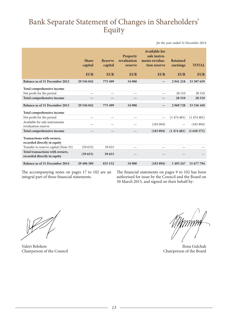# Bank Separate Statement of Changes in Shareholders' Equity

*for the year ended 31 December 2014*

|                                                                 |              |                | Property    | <b>Available for</b><br>sale instru- |                 |              |
|-----------------------------------------------------------------|--------------|----------------|-------------|--------------------------------------|-----------------|--------------|
|                                                                 | <b>Share</b> | <b>Reserve</b> | revaluation | ments revalua-                       | <b>Retained</b> |              |
|                                                                 | capital      | capital        | reserve     | tion reserve                         | earnings        | <b>TOTAL</b> |
|                                                                 | <b>EUR</b>   | <b>EUR</b>     | <b>EUR</b>  | <b>EUR</b>                           | <b>EUR</b>      | <b>EUR</b>   |
| Balance as of 31 December 2012                                  | 29 556 042   | 775 499        | 34 900      |                                      | 2941218         | 33 307 659   |
| Total comprehensive income                                      |              |                |             |                                      |                 |              |
| Net profit for the period                                       |              |                |             |                                      | 28 510          | 28 510       |
| Total comprehensive income                                      |              |                |             |                                      | 28 5 10         | 28 5 10      |
| Balance as of 31 December 2013                                  | 29 556 042   | 775499         | 34 900      |                                      | 2969728         | 33 336 169   |
| Total comprehensive income                                      |              |                |             |                                      |                 |              |
| Net profit for the period                                       |              |                |             |                                      | (1474481)       | (1474481)    |
| Available for sale instruments<br>revaluation reserve           |              |                |             | (183 894)                            |                 | (183 894)    |
| Total comprehensive income                                      |              |                |             | (183 894)                            | (1474481)       | (1658375)    |
| <b>Transactions with owners,</b><br>recorded directly in equity |              |                |             |                                      |                 |              |
| Transfer to reserve capital (Note 35)                           | (59653)      | 59 653         |             |                                      |                 |              |
| Total transactions with owners,<br>recorded directly in equity  | (59653)      | 59 653         |             |                                      |                 |              |
| Balance as of 31 December 2014                                  | 29 496 389   | 835 152        | 34 900      | (183 894)                            | 1495247         | 31 677 794   |

The accompanying notes on pages 17 to 102 are an integral part of these financial statements.

Valeri Belokon Chairperson of the Council

Ilona Gulchak Chairperson of the Board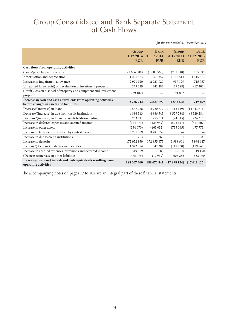# Group Consolidated and Bank Separate Statement of Cash Flows

*for the year ended 31 December 2014*

|                                                                                                             | Group<br>31.12.2014<br><b>EUR</b> | <b>Bank</b><br>31.12.2014<br><b>EUR</b> | Group<br>31.12.2013<br><b>EUR</b> | <b>Bank</b><br>31.12.2013<br><b>EUR</b> |
|-------------------------------------------------------------------------------------------------------------|-----------------------------------|-----------------------------------------|-----------------------------------|-----------------------------------------|
| Cash flows from operating activities                                                                        |                                   |                                         |                                   |                                         |
| (Loss)/profit before income tax                                                                             | (168688)                          | (1605560)                               | (231318)                          | 135 392                                 |
| Amortisation and depreciation                                                                               | 1 261 683                         | 1 261 357                               | 1 1 1 5 5 1 3                     | 1 1 1 5 5 1 3                           |
| Increase in impairment allowance                                                                            | 2921920                           | 2921920                                 | 937 129                           | 715757                                  |
| Unrealised loss/(profit) on revaluation of investment property                                              | 279 329                           | 242 482                                 | (79588)                           | (17203)                                 |
| (Profit)/loss on disposal of property and equipment and investment<br>property                              | (39102)                           |                                         | 91 892                            |                                         |
| Increase in cash and cash equivalents from operating activities<br>before changes in assets and liabilities | 2736942                           | 2820199                                 | 1833628                           | 1949 159                                |
| Decrease/(increase) in loans                                                                                | 2 5 6 7 2 5 8                     | 2920777                                 | (14413649)                        | (14443811)                              |
| Decrease/(increase) in due from credit institutions                                                         | 4886343                           | 4886343                                 | (8529284)                         | (8529284)                               |
| Decrease/(increase) in financial assets held-for-trading                                                    | 253 511                           | 253 511                                 | (24315)                           | (24315)                                 |
| Increase in deferred expenses and accrued income                                                            | (124073)                          | (126959)                                | (523647)                          | (517 207)                               |
| Increase in other assets                                                                                    | (334070)                          | (465 052)                               | (735065)                          | (477 775)                               |
| Increase in term deposits placed by central banks                                                           | 3781559                           | 3781559                                 |                                   |                                         |
| Increase in due to credit institutions                                                                      | 263                               | 263                                     | 81                                | 81                                      |
| Increase in deposits                                                                                        | 172 952 939                       | 172 955 675                             | 3 988 601                         | 3 994 647                               |
| Increase/(decrease) in derivative liabilities                                                               | 1 342 384                         | 1 342 384                               | (119860)                          | (119860)                                |
| Increase in accrued expenses, provisions and deferred income                                                | 319 379                           | 317 080                                 | 19 150                            | 19 150                                  |
| (Decrease)/increase in other liabilities                                                                    | (75075)                           | (12939)                                 | 606 236                           | 538 090                                 |
| Increase/(decrease) in cash and cash equivalents resulting from<br>operating activities                     | 188 307 360                       | 188 672 841                             | $(17898124)$ $(17611125)$         |                                         |

The accompanying notes on pages 17 to 102 are an integral part of these financial statements.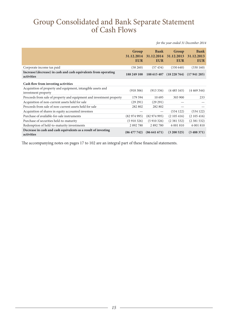# Group Consolidated and Bank Separate Statement of Cash Flows

*for the year ended 31 December 2014*

|                                                                                     | Group<br>31.12.2014<br><b>EUR</b> | <b>Bank</b><br>31.12.2014<br><b>EUR</b> | Group<br>31.12.2013<br><b>EUR</b>     | <b>Bank</b><br>31.12.2013<br><b>EUR</b> |
|-------------------------------------------------------------------------------------|-----------------------------------|-----------------------------------------|---------------------------------------|-----------------------------------------|
| Corporate income tax paid                                                           | (58260)                           | (57434)                                 | (330640)                              | (330160)                                |
| Increase/(decrease) in cash and cash equivalents from operating<br>activities       | 188 249 100                       |                                         | 188 615 407 (18 228 764) (17 941 285) |                                         |
| Cash flow from investing activities                                                 |                                   |                                         |                                       |                                         |
| Acquisition of property and equipment, intangible assets and<br>investment property | (918306)                          | (913336)                                | (4485165)                             | (4469344)                               |
| Proceeds from sale of property and equipment and investment property                | 179 594                           | 10 695                                  | 303 900                               | 233                                     |
| Acquisition of non-current assets held for sale                                     | (29 291)                          | (29 291)                                |                                       |                                         |
| Proceeds from sale of non-current assets held for sale                              | 282 802                           | 282 802                                 |                                       |                                         |
| Acquisition of shares in equity accounted investees                                 |                                   |                                         | (534122)                              | (534122)                                |
| Purchase of available-for-sale instruments                                          | (82974995)                        | (82974995)                              | (2105416)                             | (2105416)                               |
| Purchase of securities held-to-maturity                                             | (5910326)                         | (5910326)                               | (2381532)                             | (2381532)                               |
| Redemption of held-to-maturity investments                                          | 2892780                           | 2 892 780                               | 6 001 810                             | 6 001 810                               |
| Decrease in cash and cash equivalents as a result of investing<br>activities        | $(86\,477\,742)$                  | (86641671)                              | $(3\,200\,525)$                       | (3488371)                               |

The accompanying notes on pages 17 to 102 are an integral part of these financial statements.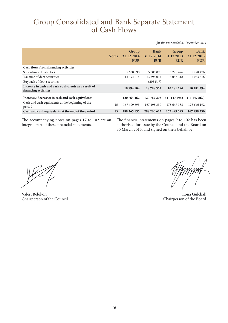# Group Consolidated and Bank Separate Statement of Cash Flows

*for the year ended 31 December 2014*

|                                                                              | <b>Notes</b> | Group<br>31.12.2014<br><b>EUR</b> | <b>Bank</b><br>31.12.2014<br><b>EUR</b> | Group<br>31.12.2013<br><b>EUR</b> | <b>Bank</b><br>31.12.2013<br><b>EUR</b> |
|------------------------------------------------------------------------------|--------------|-----------------------------------|-----------------------------------------|-----------------------------------|-----------------------------------------|
| Cash flows from financing activities                                         |              |                                   |                                         |                                   |                                         |
| Subordinated liabilities                                                     |              | 5 600 090                         | 5 600 090                               | 5 228 476                         | 5 2 2 8 4 7 6                           |
| Issuance of debt securities                                                  |              | 13 394 014                        | 13 394 014                              | 5 0 5 3 3 1 8                     | 5 0 5 3 3 1 8                           |
| Buyback of debt securities                                                   |              |                                   | (205 547)                               |                                   |                                         |
| Increase in cash and cash equivalents as a result of<br>financing activities |              | 18 994 104                        | 18788557                                | 10 281 794                        | 10 281 794                              |
| Increase/(decrease) in cash and cash equivalents                             |              | 120 765 462                       | 120 762 293                             | (11147495)                        | (11147862)                              |
| Cash and cash equivalents at the beginning of the<br>period                  | 15           | 167 499 693                       | 167 498 330                             | 178 647 188                       | 178 646 192                             |
| Cash and cash equivalents at the end of the period                           | 15           | 288 265 155                       | 288 260 623                             | 167 499 693                       | 167 498 330                             |

The accompanying notes on pages 17 to 102 are an integral part of these financial statements.

Valeri Belokon Chairperson of the Council

mmm

Ilona Gulchak Chairperson of the Board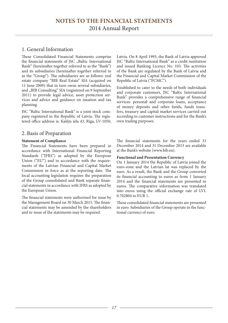### 1. General Information

These Consolidated Financial Statements comprise the financial statements of JSC "Baltic International Bank" (hereinafter together referred to as the "Bank") and its subsidiaries (hereinafter together referred to as the "Group"). The subsidiaries are as follows: real estate company "BIB Real Estate" SIA (acquired on 11 June 2009) that in turn owns several subsidiaries, and "BIB Consulting" SIA (registered on 9 September 2011) to provide legal advice, asset protection services and advice and guidance on taxation and tax planning.

JSC "Baltic International Bank" is a joint stock company registered in the Republic of Latvia. The registered office address is: Kalēju iela 43, Riga, LV-1050,

### 2. Basis of Preparation

#### **Statement of Compliance**

The Financial Statements have been prepared in accordance with International Financial Reporting Standards ("IFRS") as adopted by the European Union ("EU") and in accordance with the requirements of the Latvian Financial and Capital Market Commission in force as at the reporting date. The local accounting legislation requires the preparation of the Group consolidated аnd Bank separate financial statements in accordance with IFRS as adopted by the European Union.

The financial statements were authorised for issue by the Management Board on 30 March 2015. The financial statements may be amended by the shareholders and re-issue of the statements may be required.

Latvia. On 8 April 1993, the Bank of Latvia approved JSC "Baltic International Bank" as a credit institution and issued Banking Licence No. 103. The activities of the Bank are regulated by the Bank of Latvia and the Financial and Capital Market Commission of the Republic of Latvia ("FCMC").

Established to cater to the needs of both individuals and corporate customers, JSC "Baltic International Bank" provides a comprehensive range of financial services: personal and corporate loans, acceptance of money deposits and other funds, funds transfers, treasury and capital market services carried out according to customer instructions and for the Bank's own trading purposes.

The financial statements for the years ended 31 December 2014 and 31 December 2013 are available at the Bank's website (www.bib.eu).

#### **Functional and Presentation Currency**

On 1 January 2014 the Republic of Latvia joined the euro-zone and the Latvian lat was replaced by the euro. As a result, the Bank and the Group converted its financial accounting to euros as from 1 January 2014 and the financial statements are presented in euros. The comparative information was translated into euros using the official exchange rate of LVL 0.702804 to EUR 1.

These consolidated financial statements are presented in euro. Subsidiaries of the Group operate in the functional currenci of euro.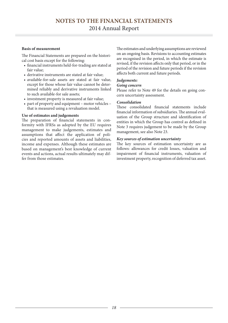#### **Basis of measurement**

The Financial Statements are prepared on the historical cost basis except for the following:

- financial instruments held-for-trading are stated at fair value;
- derivative instruments are stated at fair value;
- available-for-sale assets are stated at fair value, except for those whose fair value cannot be determined reliably and derivative instruments linked to such available-for sale assets;
- investment property is measured at fair value;
- part of property and equipment motor vehicles that is measured using a revaluation model.

#### **Use of estimates and judgements**

The preparation of financial statements in conformity with IFRSs as adopted by the EU requires management to make judgements, estimates and assumptions that affect the application of policies and reported amounts of assets and liabilities, income and expenses. Although these estimates are based on management's best knowledge of current events and actions, actual results ultimately may differ from those estimates.

The estimates and underlying assumptions are reviewed on an ongoing basis. Revisions to accounting estimates are recognised in the period, in which the estimate is revised, if the revision affects only that period, or in the period of the revision and future periods if the revision affects both current and future periods.

#### *Judgements:*

#### *Going concern*

Please refer to Note 49 for the details on going concern uncertainty assessment.

#### *Consolidation*

These consolidated financial statements include financial information of subsidiaries. The annual evaluation of the Group structure and identification of entities in which the Group has control as defined in Note 3 requires judgement to be made by the Group management, see also Note 23.

#### *Key sources of estimation uncertainty*

The key sources of estimation uncertainty are as follows: allowances for credit losses, valuation and impairment of financial instruments, valuation of investment property, recognition of deferred tax asset.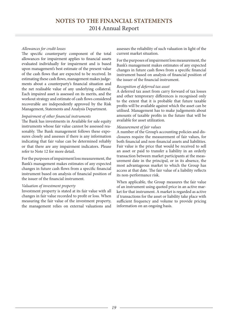#### *Allowances for credit losses*

The specific counterparty component of the total allowances for impairment applies to financial assets evaluated individually for impairment and is based upon management's best estimate of the present value of the cash flows that are expected to be received. In estimating these cash flows, management makes judgements about a counterparty's financial situation and the net realisable value of any underlying collateral. Each impaired asset is assessed on its merits, and the workout strategy and estimate of cash flows considered recoverable are independently approved by the Risk Management, Statements and Analysis Department.

#### *Impairment of other financial instruments*

The Bank has investments in Available for sale equity instruments whose fair value cannot be assessed reasonably. The Bank management follows these exposures closely and assesses if there is any information indicating that fair value can be determined reliably or that there are any impairment indicators. Please refer to Note 12 for more detail.

For the purposes of impairment loss measurement, the Bank's management makes estimates of any expected changes in future cash flows from a specific financial instrument based on analysis of financial position of the issuer of the financial instrument.

#### *Valuation of investment property*

Investment property is stated at its fair value with all changes in fair value recorded to profit or loss. When measuring the fair value of the investment property, the management relies on external valuations and assesses the reliability of such valuation in light of the current market situation.

For the purposes of impairment loss measurement, the Bank's management makes estimates of any expected changes in future cash flows from a specific financial instrument based on analysis of financial position of the issuer of the financial instrument.

#### *Recognition of deferred tax asset*

A deferred tax asset from carry forward of tax losses and other temprorary differences is recognised only to the extent that it is probable that future taxable profits will be available against which the asset can be utilised. Management has to make judgements about amounts of taxable profits in the future that will be available for asset utilization.

#### *Measurement of fair values*

A number of the Group's accounting policies and disclosures require the measurement of fair values, for both financial and non-financial assets and liabilities. Fair value is the price that would be received to sell an asset or paid to transfer a liability in an orderly transaction between market participants at the measurement date in the principal, or in its absence, the most advantageous market to which the Group has access at that date. The fair value of a liability reflects its non-performance risk.

When applicable, the Group measures the fair value of an instrument using quoted price in an active market for that instrument. A market is regarded as active if transactions for the asset or liability take place with sufficient frequency and volume to provide pricing information on an ongoing basis.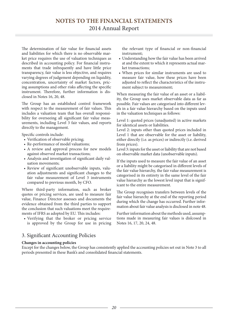### **NOTES TO THE FINANCIAL STATEMENTS** 2014 Annual Report

The determination of fair value for financial assets and liabilities for which there is no observable market price requires the use of valuation techniques as described in accounting policy. For financial instruments that trade infrequently and have little price transparency, fair value is less objective, and requires varying degrees of judgement depending on liquidity, concentration, uncertainty of market factors, pricing assumptions and other risks affecting the specific instrument. Therefore, further information is disclosed in Notes 16, 20, 48.

The Group has an established control framework with respect to the measurement of fair values. This includes a valuation team that has overall responsibility for overseeing all significant fair value measurements, including Level 3 fair values, and reports directly to the management.

Specific controls include:

- Verification of observable pricing;
- Re-performance of model valuations;
- A review and approval process for new models against observed market transactions;
- Analysis and investigation of significant daily valuation movements;
- Review of significant unobservable inputs, valuation adjustments and significant changes to the fair value measurement of Level 3 instruments compared to previous month, by CFO.

Where third-party information, such as broker quotes or pricing services, are used to measure fair value, Finance Director assesses and documents the evidence obtained from the third parties to support the conclusion that such valuations meet the requirements of IFRS as adopted by EU. This includes:

• Verifying that the broker or pricing service is approved by the Group for use in pricing the relevant type of financial or non-financial instrument;

- Understanding how the fair value has been arrived at and the extent to which it represents actual market transactions;
- When prices for similar instruments are used to measure fair value, how these prices have been adjusted to reflect the characteristics of the instrument subject to measurement;

When measuring the fair value of an asset or a liability, the Group uses market observable data as far as possible. Fair values are categorised into different levels in a fair value hierarchy based on the inputs used in the valuation techniques as follows:

Level 1: quoted prices (unadjusted) in active markets for identical assets or liabilities.

Level 2: inputs other than quoted prices included in Level 1 that are observable for the asset or liability, either directly (i.e. as prices) or indirectly (i.e. derived from prices).

Level 3: inputs for the asset or liability that are not based on observable market data (unobservable inputs).

If the inputs used to measure the fair value of an asset or a liability might be categorised in different levels of the fair value hierarchy, the fair value measurement is categorised in its entirety in the same level of the fair value hierarchy as the lowest level input that is significant to the entire measurement.

The Group recognises transfers between levels of the fair value hierarchy at the end of the reporting period during which the change has occurred. Further information about fair value analysis is disclosed in note 48.

Further information about the methods used, assumptions made in measuring fair values is dislcosed in Notes 16, 17, 20, 24, 48.

### 3. Significant Accounting Policies

#### **Changes in accounting policies**

Except for the changes below, the Group has consistently applied the accounting policies set out in Note 3 to all periods presented in these Bank's and consolidated financial statements.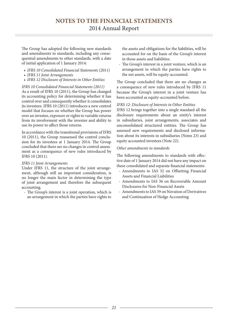The Group has adopted the following new standards and amendments to standards, including any consequential amendments to other standards, with a date of initial application of 1 January 2014:

- *IFRS 10 Consolidated Financial Statements (2011)*
- *IFRS 11 Joint Arrangements*
- *IFRS 12 Disclosure of Interests in Other Entities*

*IFRS 10 Consolidated Financial Statements (2011)*

As a result of IFRS 10 (2011), the Group has changed its accounting policy for determining whether it has control over and consequently whether it consolidates its investees. IFRS 10 (2011) introduces a new control model that focuses on whether the Group has power over an investee, exposure or rights to variable returns from its involvement with the investee and ability to use its power to affect those returns.

In accordance with the transitional provisions of IFRS 10 (2011), the Group reassessed the control conclusion for its investees at 1 January 2014. The Group concluded that there are no changes in control assessment as a consequence of new rules introduced by IFRS 10 (2011).

#### *IFRS 11 Joint Arrangements*

Under IFRS 11, the structure of the joint arrangement, although still an important consideration, is no longer the main factor in determining the type of joint arrangement and therefore the subsequent accounting.

- The Group's interest is a joint operation, which is an arrangement in which the parties have rights to the assets and obligations for the liabilities, will be accounted for on the basis of the Group's interest in those assets and liabilities.

- The Group's interest in a joint venture, which is an arrangement in which the parties have rights to the net assets, will be equity-accounted.

The Group concluded that there are no changes as a consequence of new rules introduced by IFRS 11 because the Group's interest in a joint venture has been accounted as equity-accounted before.

#### *IFRS 12: Disclosure of Interests in Other Entities*

IFRS 12 brings together into a single standard all the disclosure requirements about an entity's interest in subsidiaries, joint arrangements, associates and unconsolidated structured entities. The Group has assessed new requirements and disclosed information about its interests in subsidiaries (Notes 23) and equity accounted investees (Note 22).

#### *Other amendments to standards*

The following amendments to standards with effective date of 1 January 2014 did not have any impact on these consolidated and separate financial statements:

- Amendments to IAS 32 on Offsetting Financial Assets and Financial Liabilities
- Amendments to IAS 36 on Recoverable Amount Disclosures for Non-Financial Assets
- Amendments to IAS 39 on Novation of Derivatives and Continuation of Hedge Accounting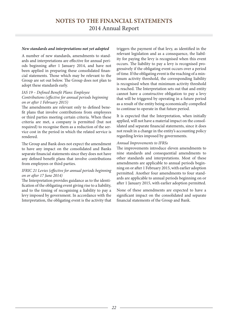#### *New standards and interpretations not yet adopted*

A number of new standards, amendments to standards and interpretations are effective for annual periods beginning after 1 January 2014, and have not been applied in preparing these consolidated financial statements. Those which may be relevant to the Group are set out below. The Group does not plan to adopt these standards early.

#### *IAS 19 – Defined Benefit Plans: Employee Contributions (effective for annual periods beginning on or after 1 February 2015)*

The amendments are relevant only to defined benefit plans that involve contributions from employees or third parties meeting certain criteria. When these criteria are met, a company is permitted (but not required) to recognise them as a reduction of the service cost in the period in which the related service is rendered.

The Group and Bank does not expect the amendment to have any impact on the consolidated and Banks separate financial statements since they does not have any defined benefit plans that involve contributions from employees or third parties.

#### *IFRIC 21 Levies (effective for annual periods beginning on or after 17 June 2014)*

The Interpretation provides guidance as to the identification of the obligating event giving rise to a liability, and to the timing of recognising a liability to pay a levy imposed by government. In accordance with the Interpretation, the obligating event is the activity that triggers the payment of that levy, as identified in the relevant legislation and as a consequence, the liability for paying the levy is recognised when this event occurs. The liability to pay a levy is recognised progressively if the obligating event occurs over a period of time. If the obligating event is the reaching of a minimum activity threshold, the corresponding liability is recognised when that minimum activity threshold is reached. The Interpretation sets out that and entity cannot have a constructive obligation to pay a levy that will be triggered by operating in a future period as a result of the entity being economically compelled to continue to operate in that future period.

It is expected that the Interpretation, when initially applied, will not have a material impact on the consolidated and separate financial statements, since it does not result in a change in the entity's accounting policy regarding levies imposed by governments.

#### *Annual Improvements to IFRSs*

The improvements introduce eleven amendments to nine standards and consequential amendments to other standards and interpretations. Most of these amendments are applicable to annual periods beginning on or after 1 February 2015, with earlier adoption permitted. Another four amendments to four standards are applicable to annual periods beginning on or after 1 January 2015, with earlier adoption permitted.

None of these amendments are expected to have a significant impact on the consolidated and separate financial statements of the Group and Bank.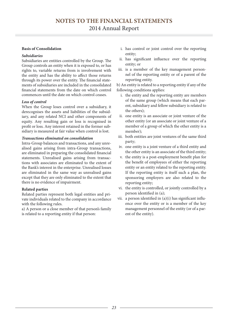#### **Basis of Consolidation**

#### *Subsidiaries*

Subsidiaries are entities controlled by the Group. The Group controls an entity when it is exposed to, or has rights to, variable returns from is involvement with the entity and has the ability to affect those returns through its power over the entity. The financial statements of subsidiaries are included in the consolidated financial statements from the date on which control commences until the date on which control ceases.

#### *Loss of control*

When the Group loses control over a subsidiary, it derecognises the assets and liabilities of the subsidiary, and any related NCI and other components of equity. Any resulting gain or loss is recognised in profit or loss. Any interest retained in the former subsidiary is measured at fair value when control is lost.

#### *Transactions eliminated on consolidation*

Intra-Group balances and transactions, and any unrealised gains arising from intra-Group transactions, are eliminated in preparing the consolidated financial statements. Unrealised gains arising from transactions with associates are eliminated to the extent of the Bank's interest in the enterprise. Unrealised losses are eliminated in the same way as unrealised gains except that they are only eliminated to the extent that there is no evidence of impairment.

#### **Related parties**

Related parties represent both legal entities and private individuals related to the company in accordance with the following rules.

a) A person or a close member of that person's family is related to a reporting entity if that person:

- i. has control or joint control over the reporting entity;
- ii. has significant influence over the reporting entity; or
- iii. is a member of the key management personnel of the reporting entity or of a parent of the reporting entity.

b) An entity is related to a reporting entity if any of the following conditions applies:

- i. the entity and the reporting entity are members of the same group (which means that each parent, subsidiary and fellow subsidiary is related to the others);
- ii. one entity is an associate or joint venture of the other entity (or an associate or joint venture of a member of a group of which the other entity is a member);
- iii. both entities are joint ventures of the same third party;
- iv. one entity is a joint venture of a third entity and the other entity is an associate of the third entity;
- v. the entity is a post-employment benefit plan for the benefit of employees of either the reporting entity or an entity related to the reporting entity. If the reporting entity is itself such a plan, the sponsoring employers are also related to the reporting entity;
- vi. the entity is controlled, or jointly controlled by a person identified in (a);
- vii. a person identified in (a)(i) has significant influence over the entity or is a member of the key management personnel of the entity (or of a parent of the entity).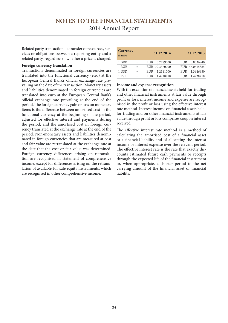Related party transaction - a transfer of resources, services or obligations between a reporting entity and a related party, regardless of whether a price is charged.

#### **Foreign currency translation**

Transactions denominated in foreign currencies are translated into the functional currency (eiro) at the European Central Bank's official exchange rate prevailing on the date of the transaction. Monetary assets and liabilities denominated in foreign currencies are translated into euro at the European Central Bank's official exchange rate prevailing at the end of the period. The foreign currency gain or loss on monetary items is the difference between amortised cost in the functional currency at the beginning of the period, adjusted for effective interest and payments during the period, and the amortised cost in foreign currency translated at the exchange rate at the end of the period. Non-monetary assets and liabilities denominated in foreign currencies that are measured at cost and fair value are retranslated at the exchange rate at the date that the cost or fair value was determined. Foreign currency differences arising on retranslation are recognised in statement of comprehensive income, except for differences arising on the retranslation of available-for-sale equity instruments, which are recognised in other comprehensive income.

| Currency<br>name |     | 31.12.2014              | 31.12.2013              |
|------------------|-----|-------------------------|-------------------------|
| 1 GBP            |     | 0.7789000<br>EUR.       | 0.8336940<br><b>EUR</b> |
| 1 RUB            | $=$ | EUR 72.3370000          | EUR 45.0515385          |
| 1 USD            | $=$ | 1.2141000<br><b>FUR</b> | 1.3646680<br>EUR.       |
| 1 LVL            |     | 1.4228718<br>EUR.       | 1.4228718<br>EUR.       |

#### **Income and expense recognition**

With the exception of financial assets held-for-trading and other financial instruments at fair value through profit or loss, interest income and expense are recognised in the profit or loss using the effective interest rate method. Interest income on financial assets heldfor-trading and on other financial instruments at fair value through profit or loss comprises coupon interest received.

The effective interest rate method is a method of calculating the amortised cost of a financial asset or a financial liability and of allocating the interest income or interest expense over the relevant period. The effective interest rate is the rate that exactly discounts estimated future cash payments or receipts through the expected life of the financial instrument or, when appropriate, a shorter period to the net carrying amount of the financial asset or financial liability.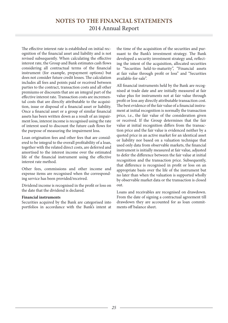### **NOTES TO THE FINANCIAL STATEMENTS** 2014 Annual Report

The effective interest rate is established on initial recognition of the financial asset and liability and is not revised subsequently. When calculating the effective interest rate, the Group and Bank estimates cash flows considering all contractual terms of the financial instrument (for example, prepayment options) but does not consider future credit losses. The calculation includes all fees and points paid or received between parties to the contract, transaction costs and all other premiums or discounts that are an integral part of the effective interest rate. Transaction costs are incremental costs that are directly attributable to the acquisition, issue or disposal of a financial asset or liability. Once a financial asset or a group of similar financial assets has been written down as a result of an impairment loss, interest income is recognised using the rate of interest used to discount the future cash flows for the purpose of measuring the impairment loss.

Loan origination fees and other fees that are considered to be integral to the overall profitability of a loan, together with the related direct costs, are deferred and amortised to the interest income over the estimated life of the financial instrument using the effective interest rate method.

Other fees, commissions and other income and expense items are recognised when the corresponding service has been provided/received.

Dividend income is recognised in the profit or loss on the date that the dividend is declared.

#### **Financial instruments**

Securities acquired by the Bank are categorised into portfolios in accordance with the Bank's intent at the time of the acquisition of the securities and pursuant to the Bank's investment strategy. The Bank developed a security investment strategy and, reflecting the intent of the acquisition, allocated securities to "Securities held-to-maturity", "Financial assets at fair value through profit or loss" and "Securities available-for-sale".

All financial instruments held by the Bank are recognised at trade date and are initially measured at fair value plus for instruments not at fair value through profit or loss any directly attributable transaction cost. The best evidence of the fair value of a financial instrument at initial recognition is normally the transaction price, i.e., the fair value of the consideration given or received. If the Group determines that the fair value at initial recognition differs from the transaction price and the fair value is evidenced neither by a quoted price in an active market for an identical asset or liability nor based on a valuation technique that used only data from observable markets, the financial instrument is initially measured at fair value, adjusted to defer the difference between the fair value at initial recognition and the transaction price. Subsequently, that difference is recognised in profit or loss on an appropriate basis over the life of the instrument but no later than when the valuation is supported wholly by observable market data or the transaction is closed out.

Loans and receivables are recognised on drawdown. From the date of signing a contractual agreement till drawdown they are accounted for as loan commitments off balance sheet.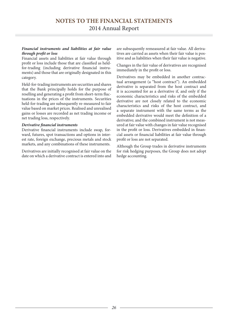#### *Financial instruments and liabilities at fair value through profit or loss*

Financial assets and liabilities at fair value through profit or loss include those that are classified as heldfor-trading (including derivative financial instruments) and those that are originally designated in this category.

Held-for-trading instruments are securities and shares that the Bank principally holds for the purpose of reselling and generating a profit from short-term fluctuations in the prices of the instruments. Securities held-for-trading are subsequently re-measured to fair value based on market prices. Realised and unrealised gains or losses are recorded as net trading income or net trading loss, respectively.

#### *Derivative financial instruments*

Derivative financial instruments include swap, forward, futures, spot transactions and options in interest rate, foreign exchange, precious metals and stock markets, and any combinations of these instruments.

Derivatives are initially recognised at fair value on the date on which a derivative contract is entered into and

are subsequently remeasured at fair value. All derivatives are carried as assets when their fair value is positive and as liabilities when their fair value is negative.

Changes in the fair value of derivatives are recognised immediately in the profit or loss.

Derivatives may be embedded in another contractual arrangement (a "host contract"). An embedded derivative is separated from the host contract and it is accounted for as a derivative if, and only if the economic characteristics and risks of the embedded derivative are not closely related to the economic characteristics and risks of the host contract, and a separate instrument with the same terms as the embedded derivative would meet the definition of a derivative; and the combined instrument is not measured at fair value with changes in fair value recognised in the profit or loss. Derivatives embedded in financial assets or financial liabilities at fair value through profit or loss are not separated.

Although the Group trades in derivative instruments for risk hedging purposes, the Group does not adopt hedge accounting.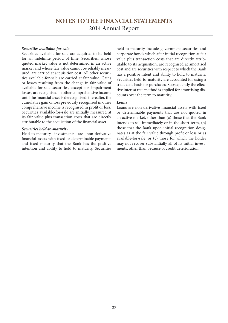### **NOTES TO THE FINANCIAL STATEMENTS** 2014 Annual Report

#### *Securities available-for-sale*

Securities available-for-sale are acquired to be held for an indefinite period of time. Securities, whose quoted market value is not determined in an active market and whose fair value cannot be reliably measured, are carried at acquisition cost. All other securities available-for-sale are carried at fair value. Gains or losses resulting from the change in fair value of available-for-sale securities, except for impairment losses, are recognised in other comprehensive income until the financial asset is derecognised; thereafter, the cumulative gain or loss previously recognised in other comprehensive income is recognised in profit or loss. Securities available-for-sale are initially measured at its fair value plus transaction costs that are directly attributable to the acquisition of the financial asset.

#### *Securities held-to-maturity*

Held-to-maturity investments are non-derivative financial assets with fixed or determinable payments and fixed maturity that the Bank has the positive intention and ability to hold to maturity. Securities held-to-maturity include government securities and corporate bonds which after initial recognition at fair value plus transaction costs that are directly attributable to its acquisition, are recognised at amortised cost and are securities with respect to which the Bank has a positive intent and ability to hold to maturity. Securities held-to-maturity are accounted for using a trade date basis for purchases. Subsequently the effective interest rate method is applied for amortising discounts over the term to maturity.

#### *Loans*

Loans are non-derivative financial assets with fixed or determinable payments that are not quoted in an active market, other than (a) those that the Bank intends to sell immediately or in the short-term, (b) those that the Bank upon initial recognition designates as at the fair value through profit or loss or as available-for-sale; or (c) those for which the holder may not recover substantially all of its initial investments, other than because of credit deterioration.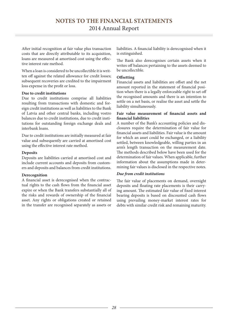After initial recognition at fair value plus transaction costs that are directly attributable to its acquisition, loans are measured at amortised cost using the effective interest rate method.

When a loan is considered to be uncollectible it is written off against the related allowance for credit losses; subsequent recoveries are credited to the impairment loss expense in the profit or loss.

#### **Due to credit institutions**

Due to credit institutions comprise all liabilities resulting from transactions with domestic and foreign credit institutions as well as liabilities to the Bank of Latvia and other central banks, including vostro balances due to credit institutions, due to credit institutions for outstanding foreign exchange deals and interbank loans.

Due to credit institutions are initially measured at fair value and subsequently are carried at amortised cost using the effective interest rate method.

#### **Deposits**

Deposits are liabilities carried at amortised cost and include current accounts and deposits from customers and deposits and balances from credit institutions.

#### **Derecognition**

A financial asset is derecognised when the contractual rights to the cash flows from the financial asset expire or when the Bank transfers substantially all of the risks and rewards of ownership of the financial asset. Any rights or obligations created or retained in the transfer are recognised separately as assets or liabilities. A financial liability is derecognised when it is extinguished.

The Bank also derecognises certain assets when it writes off balances pertaining to the assets deemed to be uncollectible.

#### **Offsetting**

Financial assets and liabilities are offset and the net amount reported in the statement of financial position when there is a legally enforceable right to set off the recognised amounts and there is an intention to settle on a net basis, or realise the asset and settle the liability simultaneously.

#### **Fair value measurement of financial assets and financial liabilities**

A number of the Bank's accounting policies and disclosures require the determination of fair value for financial assets and liabilities. Fair value is the amount for which an asset could be exchanged, or a liability settled, between knowledgeable, willing parties in an arm's length transaction on the measurement date. The methods described below have been used for the determination of fair values. When applicable, further information about the assumptions made in determining fair values is disclosed in the respective notes.

#### *Due from credit institutions*

The fair value of placements on demand, overnight deposits and floating rate placements is their carrying amount. The estimated fair value of fixed interest bearing deposits is based on discounted cash flows using prevailing money-market interest rates for debts with similar credit risk and remaining maturity.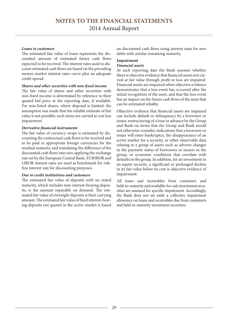#### *Loans to customers*

The estimated fair value of loans represents the discounted amount of estimated future cash flows expected to be received. The interest rates used to discount estimated cash flows are based on the prevailing money-market interest rates curve plus an adequate credit spread.

#### *Shares and other securities with non-fixed income*

The fair value of shares and other securities with non-fixed income is determined by reference to their quoted bid price at the reporting date, if available. For non-listed shares, where disposal is limited, the assumption was made that the reliable estimate of fair value is not possible; such items are carried at cost less impairment.

#### *Derivative financial instruments*

The fair value of currency swaps is estimated by discounting the contractual cash flows to be received and to be paid in appropriate foreign currencies for the residual maturity, and translating the difference of the discounted cash flows into eiro, applying the exchange rate set by the European Central Bank. EURIBOR and LIBOR interest rates are used as benchmark for riskfree interest rate for discounting purposes.

#### *Due to credit institutions and customers*

The estimated fair value of deposits with no stated maturity, which includes non-interest-bearing deposits, is the amount repayable on demand. The estimated fair value of overnight deposits is their carrying amount. The estimated fair value of fixed interest-bearing deposits not quoted in the active market is based on discounted cash flows using interest rates for new debts with similar remaining maturity.

#### **Impairment**

#### *Financial assets*

At each reporting date the Bank assesses whether there is objective evidence that financial assets not carried at fair value through profit or loss are impaired. Financial assets are impaired when objective evidence demonstrates that a loss event has occurred after the initial recognition of the asset, and that the loss event has an impact on the future cash flows of the asset that can be estimated reliably.

Objective evidence that financial assets are impaired can include default or delinquency by a borrower or issuer, restructuring of a loan or advance by the Group and Bank on terms that the Group and Bank would not otherwise consider, indications that a borrower or issuer will enter bankruptcy, the disappearance of an active market for a security, or other observable data relating to a group of assets such as adverse changes in the payment status of borrowers or issuers in the group, or economic conditions that correlate with defaults in the group. In addition, for an investment in an equity security, a significant or prolonged decline in its fair value below its cost is objective evidence of impairment.

All loans and receivables from customers and held-to-maturity and available-for-sale investment securities are assessed for specific impairment. Accordingly, the Bank does not set aside a collective impairment allowance on loans and receivables due from customers and held-to-maturity investment securities.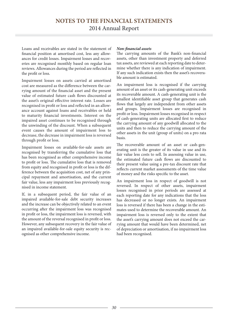Loans and receivables are stated in the statement of financial position at amortised cost, less any allowances for credit losses. Impairment losses and recoveries are recognised monthly based on regular loan reviews. Allowances during the period are reflected in the profit or loss.

Impairment losses on assets carried at amortised cost are measured as the difference between the carrying amount of the financial asset and the present value of estimated future cash flows discounted at the asset's original effective interest rate. Losses are recognised in profit or loss and reflected in an allowance account against loans and receivables or held to maturity financial investments. Interest on the impaired asset continues to be recognised through the unwinding of the discount. When a subsequent event causes the amount of impairment loss to decrease, the decrease in impairment loss is reversed through profit or loss.

Impairment losses on available-for-sale assets are recognised by transferring the cumulative loss that has been recognised as other comprehensive income to profit or loss. The cumulative loss that is removed from equity and recognised in profit or loss is the difference between the acquisition cost, net of any principal repayment and amortisation, and the current fair value, less any impairment loss previously recognised in income statement.

If, in a subsequent period, the fair value of an impaired available-for-sale debt security increases and the increase can be objectively related to an event occurring after the impairment loss was recognised in profit or loss, the impairment loss is reversed, with the amount of the reversal recognised in profit or loss. However, any subsequent recovery in the fair value of an impaired available-for-sale equity security is recognised as other comprehensive income.

#### *Non-financial assets*

The carrying amounts of the Bank's non-financial assets, other than investment property and deferred tax assets, are reviewed at each reporting date to determine whether there is any indication of impairment. If any such indication exists then the asset's recoverable amount is estimated.

An impairment loss is recognised if the carrying amount of an asset or its cash-generating unit exceeds its recoverable amount. A cash-generating unit is the smallest identifiable asset group that generates cash flows that largely are independent from other assets and groups. Impairment losses are recognised in profit or loss. Impairment losses recognised in respect of cash-generating units are allocated first to reduce the carrying amount of any goodwill allocated to the units and then to reduce the carrying amount of the other assets in the unit (group of units) on a pro rata basis.

The recoverable amount of an asset or cash-generating unit is the greater of its value in use and its fair value less costs to sell. In assessing value in use, the estimated future cash flows are discounted to their present value using a pre-tax discount rate that reflects current market assessments of the time value of money and the risks specific to the asset.

An impairment loss in respect of goodwill is not reversed. In respect of other assets, impairment losses recognised in prior periods are assessed at each reporting date for any indications that the loss has decreased or no longer exists. An impairment loss is reversed if there has been a change in the estimates used to determine the recoverable amount. An impairment loss is reversed only to the extent that the asset's carrying amount does not exceed the carrying amount that would have been determined, net of depreciation or amortisation, if no impairment loss had been recognised.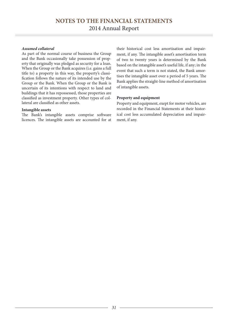### **NOTES TO THE FINANCIAL STATEMENTS** 2014 Annual Report

#### *Assumed collateral*

As part of the normal course of business the Group and the Bank occasionally take possession of property that originally was pledged as security for a loan. When the Group or the Bank acquires (i.e. gains a full title to) a property in this way, the property's classification follows the nature of its intended use by the Group or the Bank. When the Group or the Bank is uncertain of its intentions with respect to land and buildings that it has repossessed, those properties are classified as investment property. Other types of collateral are classified as other assets.

#### **Intangible assets**

The Bank's intangible assets comprise software licences. The intangible assets are accounted for at

their historical cost less amortisation and impairment, if any. The intangible asset's amortisation term of two to twenty years is determined by the Bank based on the intangible asset's useful life, if any; in the event that such a term is not stated, the Bank amortises the intangible asset over a period of 5 years. The Bank applies the straight-line method of amortisation of intangible assets.

#### **Property and equipment**

Property and equipment, exept for motor vehicles, are recorded in the Financial Statements at their historical cost less accumulated depreciation and impairment, if any.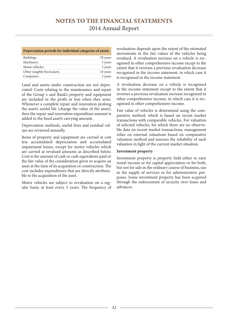### **NOTES TO THE FINANCIAL STATEMENTS** 2014 Annual Report

| Depreciation periods for individual categories of assets |           |
|----------------------------------------------------------|-----------|
| Ruildence                                                | $50$ year |

| <b>Buildings</b>            | 50 years |
|-----------------------------|----------|
| Machinery                   | 5 years  |
| Motor vehicles              | 5 years  |
| Other tangible fixed assets | 10 years |
| Computers                   | 5 years  |

Land and assets under construction are not depreciated. Costs relating to the maintenance and repair of the Group`s and Bank's property and equipment are included in the profit or loss when they arise. Whenever a complete repair and renovation prolong the asset's useful life (change the value of the asset), then the repair and renovation expenditure amount is added to the fixed asset's carrying amount.

Depreciation methods, useful lives and residual values are reviewed annually.

Items of property and equipment are carried at cost less accumulated depreciation and accumulated impairment losses, except for motor vehicles which are carried at revalued amounts as described below. Cost is the amount of cash or cash equivalents paid or the fair value of the consideration given to acquire an asset at the time of its acquisition or construction. The cost includes expenditures that are directly attributable to the acquisition of the asset.

Motor vehicles are subject to revaluation on a regular basis, at least every 5 years. The frequency of revaluation depends upon the extent of the estimated movements in the fair values of the vehicles being revalued. A revaluation increase on a vehicle is recognised in other comprehensive income except to the extent that it reverses a previous revaluation decrease recognised in the income statement, in which case it is recognised in the income statement.

A revaluation decrease on a vehicle is recognised in the income statement except to the extent that it reverses a previous revaluation increase recognised in other comprehensive income, in which case it is recognised in other comprehensive income.

Fair value of vehicles is determined using the comparative method, which is based on recent market transactions with comparable vehicles. For valuation of selected vehicles, for which there are no observable data on recent market transactions, management relies on external valuations based on comparative valuation method and assesses the reliability of such valuation in light of the current market situation.

#### **Investment property**

Investment property is property held either to earn rental income or for capital appreciation or for both, but not for sale in the ordinary course of business, use in the supply of services or for administrative purposes. Some investment property has been acquired through the enforcement of security over loans and advances.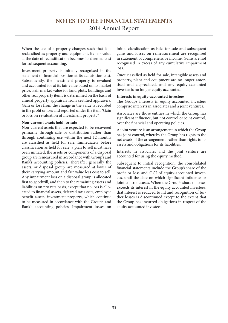When the use of a property changes such that it is reclassified as property and equipment, its fair value at the date of reclasiffication becomes its deemed cost for subsequent accounting.

Investment property is initially recognised in the statement of financial position at its acquisition cost. Subsequently, the investment property is revalued and accounted for at its fair value based on its market price. Fair market value for land plots, buildings and other real property items is determined on the basis of annual property appraisals from certified appraisers. Gain or loss from the change in the value is recorded in the profit or loss and reported under the item "Gain or loss on revaluation of investment property".

#### **Non-current assets held for sale**

Non-current assets that are expected to be recovered primarily through sale or distribution rather than through continuing use within the next 12 months are classified as held for sale. Immediately before classification as held for sale, a plan to sell must have been initiated, the assets or components of a disposal group are remeasured in accordance with Group's and Bank's accounting policies. Thereafter generally the assets, or disposal group, are measured at lower of their carrying amount and fair value less cost to sell. Any impairment loss on a disposal group is allocated first to goodwill, and then to the remaining assets and liabilities on pro rata basis, except that no loss is allocated to financial assets, deferred tax assets, employee benefit assets, investment property, which continue to be measured in accordance with the Group's and Bank's accounting policies. Impairment losses on

initial classification as held for sale and subsequent gains and losses on remeasurement are recognised in statement of comprehensive income. Gains are not recognised in excess of any cumulative impairment loss.

Once classified as held for sale, intangible assets and property, plant and equipment are no longer amortised and depreciated, and any equity-accounted investee is no longer equity accounted.

#### **Interests in equity-accounted investees**

The Group's interests in equity-accounted investees comprise interests in associates and a joint ventures.

Associates are those entities in which the Group has significant influence, but not control or joint control, over the financial and operating policies.

A joint venture is an arrangement in which the Group has joint control, whereby the Group has rights to the net assets of the arrangement, rather than rights to its assets and obligations for its liabilities.

Interests in associates and the joint venture are accounted for using the equity method.

Subsequent to initial recognition, the consolidated financial statements include the Group's share of the profit or loss and OCI of equity-accounted investees, until the date on which significant influence or joint control ceases. When the Group's share of losses exceeds its interest in the equity accounted investees, that interest is reduced to nil and recognition of further losses is discontinued except to the extent that the Group has incurred obligations in respect of the equity accounted investees.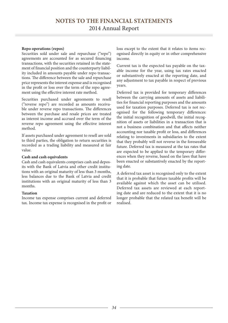#### **Repo operations (repos)**

Securities sold under sale and repurchase ("repo") agreements are accounted for as secured financing transactions, with the securities retained in the statement of financial position and the counterparty liability included in amounts payable under repo transactions. The difference between the sale and repurchase price represents the interest expense and is recognised in the profit or loss over the term of the repo agreement using the effective interest rate method.

Securities purchased under agreements to resell ("reverse repo") are recorded as amounts receivable under reverse repo transactions. The differences between the purchase and resale prices are treated as interest income and accrued over the term of the reverse repo agreement using the effective interest method.

If assets purchased under agreement to resell are sold to third parties, the obligation to return securities is recorded as a trading liability and measured at fair value.

#### **Cash and cash equivalents**

Cash and cash equivalents comprises cash and deposits with the Bank of Latvia and other credit institutions with an original maturity of less than 3 months, less balances due to the Bank of Latvia and credit institutions with an original maturity of less than 3 months.

#### **Taxation**

Income tax expense comprises current and deferred tax. Income tax expense is recognised in the profit or loss except to the extent that it relates to items recognised directly in equity or in other comprehensive income.

Current tax is the expected tax payable on the taxable income for the year, using tax rates enacted or substantively enacted at the reporting date, and any adjustment to tax payable in respect of previous years.

Deferred tax is provided for temporary differences between the carrying amounts of assets and liabilities for financial reporting purposes and the amounts used for taxation purposes. Deferred tax is not recognised for the following temporary differences: the initial recognition of goodwill, the initial recognition of assets or liabilities in a transaction that is not a business combination and that affects neither accounting nor taxable profit or loss, and differences relating to investments in subsidiaries to the extent that they probably will not reverse in the foreseeable future. Deferred tax is measured at the tax rates that are expected to be applied to the temporary differences when they reverse, based on the laws that have been enacted or substantively enacted by the reporting date.

A deferred tax asset is recognised only to the extent that it is probable that future taxable profits will be available against which the asset can be utilised. Deferred tax assets are reviewed at each reporting date and are reduced to the extent that it is no longer probable that the related tax benefit will be realised.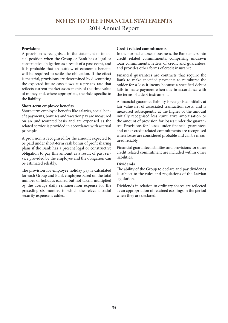#### **Provisions**

A provision is recognised in the statement of financial position when the Group or Bank has a legal or constructive obligation as a result of a past event, and it is probable that an outflow of economic benefits will be required to settle the obligation. If the effect is material, provisions are determined by discounting the expected future cash flows at a pre-tax rate that reflects current market assessments of the time value of money and, where appropriate, the risks specific to the liability.

#### **Short-term employee benefits**

Short-term employee benefits like salaries, social benefit payments, bonuses and vacation pay are measured on an undiscounted basis and are expensed as the related service is provided in accordance with accrual principle.

A provision is recognised for the amount expected to be paid under short-term cash bonus of profit sharing plans if the Bank has a present legal or constructive obligation to pay this amount as a result of past service provided by the employee and the obligation can be estimated reliably.

The provision for employee holiday pay is calculated for each Group and Bank employee based on the total number of holidays earned but not taken, multiplied by the average daily remuneration expense for the preceding six months, to which the relevant social security expense is added.

#### **Credit related commitments**

In the normal course of business, the Bank enters into credit related commitments, comprising undrawn loan commitments, letters of credit and guarantees, and provides other forms of credit insurance.

Financial guarantees are contracts that require the Bank to make specified payments to reimburse the holder for a loss it incurs because a specified debtor fails to make payment when due in accordance with the terms of a debt instrument.

A financial guarantee liability is recognised initially at fair value net of associated transaction costs, and is measured subsequently at the higher of the amount initially recognised less cumulative amortisation or the amount of provision for losses under the guarantee. Provisions for losses under financial guarantees and other credit related commitments are recognised when losses are considered probable and can be measured reliably.

Financial guarantee liabilities and provisions for other credit related commitment are included within other liabilities.

#### **Dividends**

The ability of the Group to declare and pay dividends is subject to the rules and regulations of the Latvian legislation.

Dividends in relation to ordinary shares are reflected as an appropriation of retained earnings in the period when they are declared.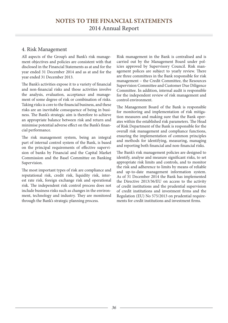### 4. Risk Management

All aspects of the Group's and Bank's risk management objectives and policies are consistent with that disclosed in the Financial Statements as at and for the year ended 31 December 2014 and as at and for the year ended 31 December 2013.

The Bank's activities expose it to a variety of financial and non-financial risks and those activities involve the analysis, evaluation, acceptance and management of some degree of risk or combination of risks. Taking risks is core to the financial business, and these risks are an inevitable consequence of being in business. The Bank's strategic aim is therefore to achieve an appropriate balance between risk and return and minimise potential adverse effect on the Bank's financial performance.

The risk management system, being an integral part of internal control system of the Bank, is based on the principal requirements of effective supervision of banks by Financial and the Capital Market Commission and the Basel Committee on Banking Supervision.

The most important types of risk are compliance and reputational risk, credit risk, liquidity risk, interest rate risk, foreign exchange risk and operational risk. The independent risk control process does not include business risks such as changes in the environment, technology and industry. They are monitored through the Bank's strategic planning process.

Risk management in the Bank is centralised and is carried out by the Management Board under policies approved by Supervisory Council. Risk management polices are subject to yearly review. There are three committees in the Bank responsible for risk management – the Credit Committee, the Resources Supervision Committee and Customer Due Diligence Committee. In addition, internal audit is responsible for the independent review of risk management and control environment.

The Management Board of the Bank is responsible for monitoring and implementation of risk mitigation measures and making sure that the Bank operates within the established risk parameters. The Head of Risk Department of the Bank is responsible for the overall risk management and compliance functions, ensuring the implementation of common principles and methods for identifying, measuring, managing and reporting both financial and non-financial risks.

The Bank's risk management policies are designed to identify, analyse and measure significant risks, to set appropriate risk limits and controls, and to monitor the risk and adherence to limits by means of reliable and up-to-date management information system. As of 31 December 2014 the Bank has implemented the Directive 2013/36/EU on access to the activity of credit institutions and the prudential supervision of credit institutions and investment firms and the Regulation (EU) No 575/2013 on prudential requirements for credit institutions and investment firms.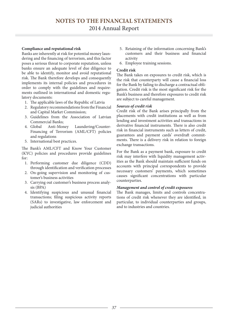### **Compliance and reputational risk**

Banks are inherently at risk for potential money laundering and the financing of terrorism, and this factor poses a serious threat to corporate reputation, unless banks ensure an adequate level of due diligence to be able to identify, monitor and avoid reputational risk. The Bank therefore develops and consequently implements its internal policies and procedures in order to comply with the guidelines and requirements outlined in international and domestic regulatory documents:

- 1. The applicable laws of the Republic of Latvia
- 2. Regulatory recommendations from the Financial and Capital Market Commission;
- 3. Guidelines from the Association of Latvian Commercial Banks;
- 4. Global Anti-Money Laundering/Counter-Financing of Terrorism (AML/CFT) policies and regulations
- 5. International best practices.

The Bank's AML/CFT and Know Your Сustomer (KYC) policies and procedures provide guidelines for:

- 1. Performing customer due diligence (CDD) through identification and verification processes
- 2. On-going supervision and monitoring of customer's business activities
- 3. Carrying out customer's business process analysis (BPA)
- 4. Identifying suspicious and unusual financial transactions; filing suspicious activity reports (SARs) to investigative, law enforcement and judicial authorities
- 5. Retaining of the information concerning Bank's customers and their business and financial activity
- 6. Employee training sessions.

### **Credit risk**

The Bank takes on exposures to credit risk, which is the risk that counterparty will cause a financial loss for the Bank by failing to discharge a contractual obligation. Credit risk is the most significant risk for the Bank's business and therefore exposures to credit risk are subject to careful management.

#### *Sources of credit risk*

Credit risk of the Bank arises principally from the placements with credit institutions as well as from lending and investment activities and transactions in derivative financial instruments. There is also credit risk in financial instruments such as letters of credit, guarantees and payment cards' overdraft commitments. There is a delivery risk in relation to foreign exchange transactions.

For the Bank as a payment bank, exposure to credit risk may interfere with liquidity management activities as the Bank should maintain sufficient funds on accounts with principal correspondents to provide necessary customers' payments, which sometimes causes significant concentrations with particular counterparties.

#### *Management and control of credit exposures*

The Bank manages, limits and controls concentrations of credit risk whenever they are identified, in particular, to individual counterparties and groups, and to industries and countries.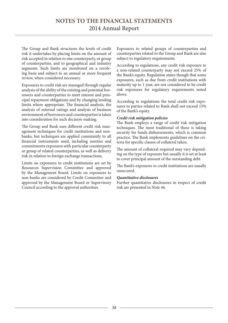The Group and Bank structures the levels of credit risk it undertakes by placing limits on the amount of risk accepted in relation to one counterparty, or group of counterparties, and to geographical and industry segments. Such limits are monitored on a revolving basis and subject to an annual or more frequent review, when considered necessary.

Exposures to credit risk are managed through regular analysis of the ability of the existing and potential borrowers and counterparties to meet interest and principal repayment obligations and by changing lending limits where appropriate. The financial analysis, the analysis of external ratings and analysis of business environment of borrowers and counterparties is taken into consideration for such decision-making.

The Group and Bank uses different credit risk management techniques for credit institutions and nonbanks, but techniques are applied consistently to all financial instruments used, including sureties and commitments exposures with particular counterparty or group of related counterparties, as well as delivery risk in relation to foreign exchange transactions.

Limits on exposures to credit institutions are set by Resources Supervision Committee and approved by the Management Board. Limits on exposures to non-banks are considered by Credit Committee and approved by the Management Board or Supervisory Council according to the approval authorities.

Exposures to related groups of counterparties and counterparties related to the Group and Bank are also subject to regulatory requirements.

According to regulations, any credit risk exposure to a non-related counterparty may not exceed 25% of the Bank's equity. Regulation states though that some exposures, such as due from credit institutions with maturity up to 1 year, are not considered to be credit risk exposures for regulatory requirements noted above.

According to regulations the total credit risk exposures to parties related to Bank shall not exceed 15% of the Bank's equity.

### *Credit risk mitigation policies*

The Bank employs a range of credit risk mitigation techniques. The most traditional of these is taking security for funds disbursements, which is common practice. The Bank implements guidelines on the criteria for specific classes of collateral taken.

The amount of collateral required may vary depending on the type of exposure but usually it is set at least to cover principal amount of the outstanding debt.

The Bank's exposures to credit institutions are usually unsecured.

### *Quantitative disclosures*

Further quantitative disclosures in respect of credit risk are presented in Note 46.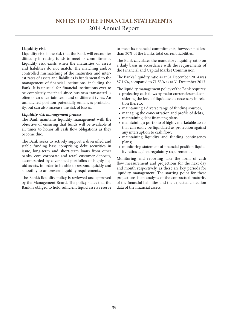### **Liquidity risk**

Liquidity risk is the risk that the Bank will encounter difficulty in raising funds to meet its commitments. Liquidity risk exists when the maturities of assets and liabilities do not match. The matching and/or controlled mismatching of the maturities and interest rates of assets and liabilities is fundamental to the management of financial institutions, including the Bank. It is unusual for financial institutions ever to be completely matched since business transacted is often of an uncertain term and of different types. An unmatched position potentially enhances profitability, but can also increase the risk of losses.

#### *Liquidity risk management process*

The Bank maintains liquidity management with the objective of ensuring that funds will be available at all times to honor all cash flow obligations as they become due.

The Bank seeks to actively support a diversified and stable funding base comprising debt securities in issue, long-term and short-term loans from other banks, core corporate and retail customer deposits, accompanied by diversified portfolios of highly liquid assets, in order to be able to respond quickly and smoothly to unforeseen liquidity requirements.

The Bank's liquidity policy is reviewed and approved by the Management Board. The policy states that the Bank is obliged to hold sufficient liquid assets reserve to meet its financial commitments, however not less than 30% of the Bank's total current liabilities.

The Bank calculates the mandatory liquidity ratio on a daily basis in accordance with the requirements of the Financial and Capital Market Commission.

The Bank's liquidity ratio as at 31 December 2014 was 87.16%, compared to 71.53% as at 31 December 2013.

The liquidity management policy of the Bank requires:

- projecting cash flows by major currencies and considering the level of liquid assets necessary in relation thereto;
- maintaining a diverse range of funding sources;
- managing the concentration and profile of debts;
- maintaining debt financing plans;
- maintaining a portfolio of highly marketable assets that can easily be liquidated as protection against any interruption to cash flow;
- maintaining liquidity and funding contingency plans;
- monitoring statement of financial position liquidity ratios against regulatory requirements.

Monitoring and reporting take the form of cash flow measurement and projections for the next day and month respectively, as these are key periods for liquidity management. The starting point for these projections is an analysis of the contractual maturity of the financial liabilities and the expected collection data of the financial assets.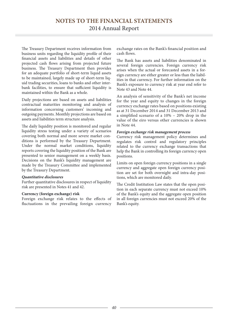The Treasury Department receives information from business units regarding the liquidity profile of their financial assets and liabilities and details of other projected cash flows arising from projected future business. The Treasury Department then provides for an adequate portfolio of short-term liquid assets to be maintained, largely made up of short-term liquid trading securities, loans to banks and other interbank facilities, to ensure that sufficient liquidity is maintained within the Bank as a whole.

Daily projections are based on assets and liabilities contractual maturities monitoring and analysis of information concerning customers' incoming and outgoing payments. Monthly projections are based on assets and liabilities term structure analysis.

The daily liquidity position is monitored and regular liquidity stress testing under a variety of scenarios covering both normal and more severe market conditions is performed by the Treasury Department. Under the normal market conditions, liquidity reports covering the liquidity position of the Bank are presented to senior management on a weekly basis. Decisions on the Bank's liquidity management are made by the Treasury Committee and implemented by the Treasury Department.

#### *Quantitative disclosures*

Further quantitative disclosures in respect of liquidity risk are presented in Notes 41 and 42.

#### **Currency (foreign exchange) risk**

Foreign exchange risk relates to the effects of fluctuations in the prevailing foreign currency

exchange rates on the Bank's financial position and cash flows.

The Bank has assets and liabilities denominated in several foreign currencies. Foreign currency risk arises when the actual or forecasted assets in a foreign currency are either greater or less than the liabilities in that currency. For further information on the Bank's exposure to currency risk at year end refer to Note 43 and Note 44.

An analysis of sensitivity of the Bank's net income for the year and equity to changes in the foreign currency exchange rates based on positions existing as at 31 December 2014 and 31 December 2013 and a simplified scenario of a 10% – 20% drop in the value of the eiro versus other currencies is shown in Note 44.

#### *Foreign exchange risk management process*

Currency risk management policy determines and regulates risk control and regulatory principles related to the currency exchange transactions that help the Bank in controlling its foreign currency open positions.

Limits on open foreign currency positions in a single currency and aggregate open foreign currency position are set for both overnight and intra-day positions, which are monitored daily.

The Credit Institution Law states that the open position in each separate currency must not exceed 10% of the Bank's equity and the aggregate open position in all foreign currencies must not exceed 20% of the Bank's equity.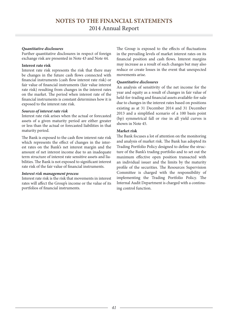### *Quantitative disclosures*

Further quantitative disclosures in respect of foreign exchange risk are presented in Note 43 and Note 44.

#### **Interest rate risk**

Interest rate risk represents the risk that there may be changes in the future cash flows connected with financial instruments (cash flow interest rate risk) or fair value of financial instruments (fair value interest rate risk) resulting from changes in the interest rates on the market. The period when interest rate of the financial instruments is constant determines how it is exposed to the interest rate risk.

#### *Sources of interest rate risk*

Interest rate risk arises when the actual or forecasted assets of a given maturity period are either greater or less than the actual or forecasted liabilities in that maturity period.

The Bank is exposed to the cash flow interest rate risk which represents the effect of changes in the interest rates on the Bank's net interest margin and the amount of net interest income due to an inadequate term structure of interest rate sensitive assets and liabilities. The Bank is not exposed to significant interest rate risk of the fair value of financial instruments.

#### *Interest risk management process*

Interest rate risk is the risk that movements in interest rates will affect the Group's income or the value of its portfolios of financial instruments.

The Group is exposed to the effects of fluctuations in the prevailing levels of market interest rates on its financial position and cash flows. Interest margins may increase as a result of such changes but may also reduce or create losses in the event that unexpected movements arise.

### *Quantitative disclosures*

An analysis of sensitivity of the net income for the year and equity as a result of changes in fair value of held-for-trading and financial assets available-for-sale due to changes in the interest rates based on positions existing as at 31 December 2014 and 31 December 2013 and a simplified scenario of a 100 basis point (bp) symmetrical fall or rise in all yield curves is shown in Note 45.

### **Market risk**

The Bank focuses a lot of attention on the monitoring and analysis of market risk. The Bank has adopted its Trading Portfolio Policy designed to define the structure of the Bank's trading portfolio and to set out the maximum effective open position transacted with an individual issuer and the limits by the maturity profile of the securities. The Resources Supervision Committee is charged with the responsibility of implementing the Trading Portfolio Policy. The Internal Audit Department is charged with a continuing control function.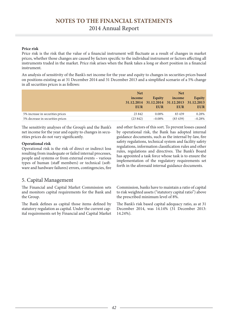#### **Price risk**

Price risk is the risk that the value of a financial instrument will fluctuate as a result of changes in market prices, whether those changes are caused by factors specific to the individual instrument or factors affecting all instruments traded in the market. Price risk arises when the Bank takes a long or short position in a financial instrument.

An analysis of sensitivity of the Bank's net income for the year and equity to changes in securities prices based on positions existing as at 31 December 2014 and 31 December 2013 and a simplified scenario of a 5% change in all securities prices is as follows:

|                                  | <b>Net</b> |            | <b>Net</b>                                  |            |
|----------------------------------|------------|------------|---------------------------------------------|------------|
|                                  | income     | Equity     | income                                      | Equity     |
|                                  |            |            | 31.12.2014 31.12.2014 31.12.2013 31.12.2013 |            |
|                                  | <b>EUR</b> | <b>EUR</b> | <b>EUR</b>                                  | <b>EUR</b> |
| 5% increase in securities prices | 23 842     | 0.08%      | 83 439                                      | 0.28%      |
| 5% decrease in securities prices | (23842)    | $-0.08%$   | (83439)                                     | $-0.28%$   |

The sensitivity analyses of the Group's and the Bank's net income for the year and equity to changes in securities prices do not vary significantly.

#### **Operational risk**

Operational risk is the risk of direct or indirect loss resulting from inadequate or failed internal processes, people and systems or from external events – various types of human (staff members) or technical (software and hardware failures) errors, contingencies, fire

### 5. Capital Management

The Financial and Capital Market Commission sets and monitors capital requirements for the Bank and the Group.

The Bank defines as capital those items defined by statutory regulation as capital. Under the current capital requirements set by Financial and Capital Market and other factors of this sort. To prevent losses caused by operational risk, the Bank has adopted internal guidance documents, such as the internal by-law, fire safety regulations, technical system and facility safety regulations, information classification rules and other rules, regulations and directives. The Bank's Board has appointed a task force whose task is to ensure the implementation of the regulatory requirements set forth in the aforesaid internal guidance documents.

Commission, banks have to maintain a ratio of capital to risk weighted assets ("statutory capital ratio") above the prescribed minimum level of 8%.

The Bank's risk based capital adequacy ratio, as at 31 December 2014, was 14.14% (31 December 2013: 14.24%).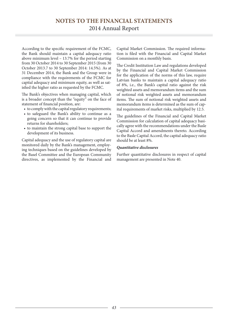Аccording to the specific requirement of the FCMC, the Bank should maintain a capital adequacy ratio above minimum level – 13.7% for the period starting from 30 Оctober 2014 to 30 September 2015 (from 30 Оctober 2013.7 to 30 September 2014: 14.5%). As at 31 December 2014, the Bank and the Group were in compliance with the requirements of the FCMC for capital adequacy and minimum equity, as well as satisfied the higher ratio as requested by the FCMC.

The Bank's objectives when managing capital, which is a broader concept than the "equity" on the face of statement of financial position, are:

- to comply with the capital regulatory requirements;
- to safeguard the Bank's ability to continue as a going concern so that it can continue to provide returns for shareholders;
- to maintain the strong capital base to support the development of its business.

Capital adequacy and the use of regulatory capital are monitored daily by the Bank's management, employing techniques based on the guidelines developed by the Basel Committee and the European Community directives, as implemented by the Financial and Capital Market Commission. The required information is filed with the Financial and Capital Market Commission on a monthly basis.

The Credit Institution Law and regulations developed by the Financial and Capital Market Commission for the application of the norms of this law, require Latvian banks to maintain a capital adequacy ratio of 8%, i.e., the Bank's capital ratio against the risk weighted assets and memorandum items and the sum of notional risk weighted assets and memorandum items. The sum of notional risk weighted assets and memorandum items is determined as the sum of capital requirements of market risks, multiplied by 12.5.

The guidelines of the Financial and Capital Market Commission for calculation of capital adequacy basically agree with the recommendations under the Basle Capital Accord and amendments thereto. According to the Basle Capital Accord, the capital adequacy ratio should be at least 8%.

#### *Quantitative disclosures*

Further quantitative disclosures in respect of capital management are presented in Note 40.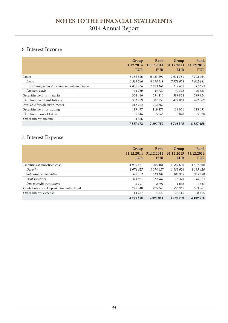# 6. Interest Income

|                                              | Group<br>31.12.2014<br><b>EUR</b> | <b>Bank</b><br>31.12.2014<br><b>EUR</b> | <b>Group</b><br>31.12.2013<br><b>EUR</b> | <b>Bank</b><br>31.12.2013<br><b>EUR</b> |
|----------------------------------------------|-----------------------------------|-----------------------------------------|------------------------------------------|-----------------------------------------|
| Loans                                        | 6 3 5 8 3 2 6                     | 6 423 299                               | 7611381                                  | 7 702 464                               |
| Loans,                                       | 6 3 1 3 5 4 6                     | 6378519                                 | 7 571 058                                | 7 662 141                               |
| including interest incomes on impaired loans | 1 033 166                         | 1 033 166                               | 112653                                   | 112653                                  |
| Payment cards                                | 44 780                            | 44 780                                  | 40 323                                   | 40 323                                  |
| Securities held-to-maturity                  | 334 416                           | 334 416                                 | 589824                                   | 589824                                  |
| Due from credit institutions                 | 302759                            | 302 759                                 | 422 069                                  | 422 069                                 |
| Available for sale instruments               | 212 262                           | 212 262                                 |                                          |                                         |
| Securities held-for-trading                  | 119 477                           | 119 477                                 | 118 031                                  | 118 031                                 |
| Due from Bank of Latvia                      | 5 5 4 6                           | 5 5 4 6                                 | 5 0 7 0                                  | 5 0 7 0                                 |
| Other interest income                        | 4 6 8 6                           |                                         |                                          |                                         |
|                                              | 7 3 3 7 4 7 2                     | 7 397 759                               | 8746375                                  | 8 8 3 7 4 5 8                           |

# 7. Interest Expense

|                                         | Group<br>31.12.2014<br><b>EUR</b> | <b>Bank</b><br>31.12.2014<br><b>EUR</b> | Group<br>31.12.2013<br><b>EUR</b> | <b>Bank</b><br>31.12.2013<br><b>EUR</b> |
|-----------------------------------------|-----------------------------------|-----------------------------------------|-----------------------------------|-----------------------------------------|
| Liabilities at amortised cost           | 1 905 481                         | 1 905 481                               | 1 587 600                         | 1 587 600                               |
| Deposits                                | 1 074 627                         | 1 074 627                               | 1 183 626                         | 1 183 626                               |
| Subordinated liabilities                | 513 102                           | 513 102                                 | 385 958                           | 385 958                                 |
| Debt securities                         | 314 961                           | 314 961                                 | 16 373                            | 16 373                                  |
| Due to credit institutions              | 2 7 9 1                           | 2 7 9 1                                 | 1643                              | 1643                                    |
| Contributions to Deposit Guarantee Fund | 775 048                           | 775 048                                 | 553 961                           | 553 961                                 |
| Other interest expense                  | 14 2 8 7                          | 14 122                                  | 28 4 15                           | 28 4 15                                 |
|                                         | 2694816                           | 2 694 651                               | 2 169 976                         | 2 169 976                               |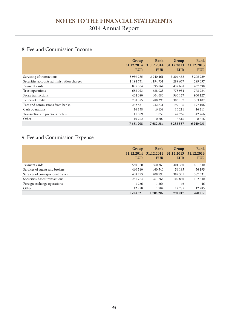### 8. Fee and Commission Income

|                                            | Group<br>31.12.2014<br><b>EUR</b> | <b>Bank</b><br>31.12.2014<br><b>EUR</b> | Group<br>31.12.2013<br><b>EUR</b> | <b>Bank</b><br>31.12.2013<br><b>EUR</b> |
|--------------------------------------------|-----------------------------------|-----------------------------------------|-----------------------------------|-----------------------------------------|
| Servicing of transactions                  | 3 9 3 9 2 8 5                     | 3 940 461                               | 3 204 455                         | 3 205 929                               |
| Securities accounts administration charges | 1 194 731                         | 1 194 731                               | 289 637                           | 289 637                                 |
| Payment cards                              | 895 864                           | 895 864                                 | 437 698                           | 437 698                                 |
| Trust operations                           | 688 023                           | 688 023                                 | 778 934                           | 778 934                                 |
| Forex transactions                         | 404 680                           | 404 680                                 | 960 127                           | 960 127                                 |
| Letters of credit                          | 288 395                           | 288 395                                 | 303 107                           | 303 107                                 |
| Fees and commissions from banks            | 232 831                           | 232 831                                 | 197 106                           | 197 106                                 |
| Cash operations                            | 16 138                            | 16 138                                  | 16 211                            | 16 211                                  |
| Transactions in precious metals            | 11 0 59                           | 11 0 59                                 | 42 766                            | 42766                                   |
| Other                                      | 10 20 2                           | 10 20 2                                 | 8 5 1 6                           | 8 5 1 6                                 |
|                                            | 7681208                           | 7682384                                 | 6 238 557                         | 6 240 031                               |

# 9. Fee and Commission Expense

|                                 | Group<br>31.12.2014<br><b>EUR</b> | <b>Bank</b><br>31.12.2014<br><b>EUR</b> | Group<br>31.12.2013<br><b>EUR</b> | <b>Bank</b><br>31.12.2013<br><b>EUR</b> |
|---------------------------------|-----------------------------------|-----------------------------------------|-----------------------------------|-----------------------------------------|
| Payment cards                   | 560 360                           | 560 360                                 | 401 330                           | 401 330                                 |
| Services of agents and brokers  | 460 540                           | 460 540                                 | 56 195                            | 56 195                                  |
| Services of correspondent banks | 408 793                           | 408 793                                 | 387 331                           | 387 331                                 |
| Securities-based transactions   | 261 264                           | 261 264                                 | 102 830                           | 102 830                                 |
| Foreign exchange operations     | 1 2 6 6                           | 1 2 6 6                                 | 46                                | 46                                      |
| Other                           | 12 298                            | 11984                                   | 12 2 8 5                          | 12 2 8 5                                |
|                                 | 1704521                           | 1704 207                                | 960 017                           | 960 017                                 |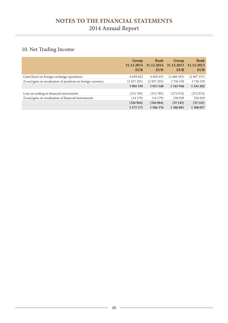# 10. Net Trading Income

|                                                             | Group<br>31.12.2014<br><b>EUR</b> | <b>Bank</b><br>31.12.2014<br><b>EUR</b> | Group<br>31.12.2013<br><b>EUR</b> | <b>Bank</b><br>31.12.2013<br><b>EUR</b> |
|-------------------------------------------------------------|-----------------------------------|-----------------------------------------|-----------------------------------|-----------------------------------------|
| Gain/(loss) on foreign exchange operations                  | 6839632                           | 6 850 633                               | (2408593)                         | (2407337)                               |
| (Loss)/gain on revaluation of positions in foreign currency | (2937293)                         | (2937293)                               | 3750539                           | 3750539                                 |
|                                                             | 3 902 339                         | 3913340                                 | 1 341 946                         | 1 343 202                               |
| Loss on trading in financial instruments                    | (312785)                          | (312785)                                | (272074)                          | (272074)                                |
| (Loss)/gain on revaluation of financial instruments         | (14 179)                          | (14179)                                 | 236929                            | 236929                                  |
|                                                             | (326964)                          | (326964)                                | (35145)                           | (35145)                                 |
|                                                             | 3 5 7 5 3 7 5                     | 3 586 376                               | 1 306 801                         | 1 308 057                               |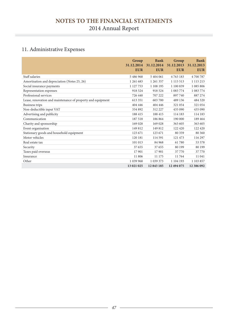# 11. Administrative Expenses

|                                                             | Group<br>31.12.2014<br><b>EUR</b> | <b>Bank</b><br>31.12.2014<br><b>EUR</b> | Group<br>31.12.2013<br><b>EUR</b> | <b>Bank</b><br>31.12.2013<br><b>EUR</b> |
|-------------------------------------------------------------|-----------------------------------|-----------------------------------------|-----------------------------------|-----------------------------------------|
| Staff salaries                                              | 5486968                           | 5 404 061                               | 4763183                           | 4700787                                 |
| Amortisation and depreciation (Notes 25, 26)                | 1 261 683                         | 1 261 357                               | 1 1 1 5 5 1 3                     | 1 1 1 5 2 1 3                           |
| Social insurance payments                                   | 1 127 753                         | 1 108 195                               | 1 100 839                         | 1 085 806                               |
| Representation expenses                                     | 918 524                           | 918 524                                 | 1 083 774                         | 1 083 774                               |
| Professional services                                       | 726 440                           | 707 222                                 | 897 740                           | 887 274                                 |
| Lease, renovation and maintenance of property and equipment | 613 351                           | 603 700                                 | 489 136                           | 484 320                                 |
| <b>Business trips</b>                                       | 404 446                           | 404 446                                 | 321 054                           | 321 054                                 |
| Non-deductible input VAT                                    | 334 892                           | 312 227                                 | 435 090                           | 435 090                                 |
| Advertising and publicity                                   | 188 415                           | 188 415                                 | 114 183                           | 114 183                                 |
| Communication                                               | 187518                            | 186 864                                 | 190 000                           | 189 464                                 |
| Charity and sponsorship                                     | 169 028                           | 169 028                                 | 363 605                           | 363 605                                 |
| Event organisation                                          | 149 812                           | 149 812                                 | 122 420                           | 122 420                                 |
| Stationary goods and household equipment                    | 123 671                           | 123 671                                 | 80 359                            | 80 360                                  |
| Motor vehicles                                              | 120 181                           | 114 591                                 | 121 473                           | 116 297                                 |
| Real estate tax                                             | 101 013                           | 84 968                                  | 61780                             | 53 578                                  |
| Security                                                    | 37 655                            | 37 655                                  | 80 199                            | 80 199                                  |
| Taxes paid overseas                                         | 17901                             | 17901                                   | 37 770                            | 37 770                                  |
| Insurance                                                   | 11 806                            | 11 175                                  | 11764                             | 11 041                                  |
| Other                                                       | 1 039 968                         | 1 0 3 9 3 7 3                           | 1 104 193                         | 1 103 857                               |
|                                                             | 13 021 025                        | 12843185                                | 12 494 075                        | 12 386 092                              |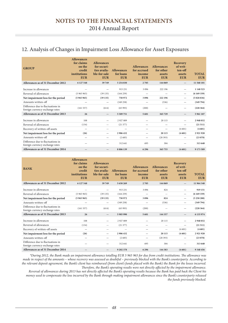### 12. Analysis of Changes in Impairment Loss Allowance for Asset Exposures

| <b>GROUP</b>                                                         | <b>Allowances</b><br>for claims<br>on the<br>credit<br>institutions<br><b>EUR</b> | <b>Allowances</b><br>for securi-<br>ties availa-<br>ble-for-sale<br><b>EUR</b> | <b>Allowances</b><br>for loans<br><b>EUR</b> | <b>Allowances</b><br>for accrued<br>income<br><b>EUR</b> | <b>Allowances</b><br>for other<br>assets<br><b>EUR</b> | Recovery<br>of writ-<br>ten-off<br>assets<br><b>EUR</b> | <b>TOTAL</b><br><b>EUR</b> |
|----------------------------------------------------------------------|-----------------------------------------------------------------------------------|--------------------------------------------------------------------------------|----------------------------------------------|----------------------------------------------------------|--------------------------------------------------------|---------------------------------------------------------|----------------------------|
| Allowances as of 31 December 2012                                    | 6 127 548                                                                         | 39 749                                                                         | 5 254 030                                    | 2705                                                     | 144 069                                                | $\overline{\phantom{0}}$                                | 11 568 101                 |
| Increase in allowances                                               |                                                                                   |                                                                                | 915 231                                      | 3 0 9 6                                                  | 222 196                                                | -                                                       | 1 140 523                  |
| Reversal of allowances                                               | (5965965)                                                                         | (39135)                                                                        | (164259)                                     | $\overline{\phantom{0}}$                                 | $\overline{\phantom{0}}$                               | -                                                       | (6169359)                  |
| Net impairment loss for the period                                   | (5965965)                                                                         | (39135)                                                                        | 750 972                                      | 3096                                                     | 222 196                                                | —                                                       | (5028836)                  |
| Amounts written-off                                                  |                                                                                   |                                                                                | (349 258)                                    |                                                          | (536)                                                  | -                                                       | (349794)                   |
| Difference due to fluctuations in<br>foreign currency exchange rates | (161557)                                                                          | (614)                                                                          | (65993)                                      | (200)                                                    |                                                        | -                                                       | (228 364)                  |
| Allowances as of 31 December 2013                                    | 26                                                                                | $\qquad \qquad -$                                                              | 5 5 8 9 7 5 1                                | 5601                                                     | 365 729                                                | $\qquad \qquad$                                         | 5961107                    |
| Increase in allowances                                               | 108                                                                               |                                                                                | 2927809                                      | $\overline{\phantom{0}}$                                 | 20 11 5                                                | -                                                       | 2948032                    |
| Reversal of allowances                                               | (134)                                                                             |                                                                                | (21377)                                      | $\overline{\phantom{0}}$                                 | $\qquad \qquad$                                        | -                                                       | (21511)                    |
| Recovery of written-off assets                                       | $\overline{\phantom{0}}$                                                          | $\overline{\phantom{m}}$                                                       | -                                            | -                                                        | $\overline{\phantom{m}}$                               | (4601)                                                  | (4601)                     |
| Net impairment loss for the period                                   | (26)                                                                              | $\overline{\phantom{0}}$                                                       | 2906432                                      | $\overline{\phantom{0}}$                                 | 20 11 5                                                | (4601)                                                  | 2921920                    |
| Amounts written-off                                                  | -                                                                                 |                                                                                | (2685)                                       |                                                          | (20393)                                                |                                                         | (23078)                    |
| Difference due to fluctuations in<br>foreign currency exchange rates |                                                                                   |                                                                                | 312 641                                      | 695                                                      | 304                                                    | -                                                       | 313 640                    |
| Allowances as of 31 December 2014                                    |                                                                                   |                                                                                | 8806139                                      | 6296                                                     | 365 755                                                | (4601)                                                  | 9 173 589                  |

| <b>BANK</b>                                                          | <b>Allowances</b><br>for claims<br>on the<br>credit<br><b>institutions</b><br><b>EUR</b> | <b>Allowances</b><br>for securi-<br>ties availa-<br>ble-for-sale<br><b>EUR</b> | <b>Allowances</b><br>for loans<br><b>EUR</b> | <b>Allowances</b><br>for accrued<br>income<br><b>EUR</b> | <b>Allowances</b><br>for other<br>assets<br><b>EUR</b> | Recovery<br>of writ-<br>ten-off<br>assets<br><b>EUR</b> | <b>TOTAL</b><br><b>EUR</b> |
|----------------------------------------------------------------------|------------------------------------------------------------------------------------------|--------------------------------------------------------------------------------|----------------------------------------------|----------------------------------------------------------|--------------------------------------------------------|---------------------------------------------------------|----------------------------|
| Allowances as of 31 December 2012                                    | 6 127 548                                                                                | 39 749                                                                         | 5 650 269                                    | 2705                                                     | 144 069                                                | $\overline{\phantom{0}}$                                | 11 964 340                 |
| Increase in allowances                                               |                                                                                          |                                                                                | 915 231                                      | 3 0 9 6                                                  | 824                                                    | -                                                       | 919 151                    |
| Reversal of allowances                                               | (5965965)                                                                                | (39135)                                                                        | (164259)                                     |                                                          | $\overline{\phantom{m}}$                               | —                                                       | (6169359)                  |
| Net impairment loss for the period                                   | (5965965)                                                                                | (39135)                                                                        | 750 972                                      | 3096                                                     | 824                                                    | —                                                       | (5250208)                  |
| Amounts written-off                                                  |                                                                                          |                                                                                | (349 258)                                    | -                                                        | (536)                                                  | -                                                       | (349794)                   |
| Difference due to fluctuations in<br>foreign currency exchange rates | (161557)                                                                                 | (614)                                                                          | (65993)                                      | (200)                                                    |                                                        | -                                                       | (228364)                   |
| Allowances as of 31 December 2013                                    | 26                                                                                       |                                                                                | 5985990                                      | 5601                                                     | 144 357                                                | —                                                       | 6 135 974                  |
| Increase in allowances                                               | 108                                                                                      |                                                                                | 2927809                                      |                                                          | 20 11 5                                                | -                                                       | 2948032                    |
| Reversal of allowances                                               | (134)                                                                                    |                                                                                | (21377)                                      |                                                          |                                                        |                                                         | (21511)                    |
| Recovery of written-off assets                                       | $\overline{\phantom{0}}$                                                                 |                                                                                |                                              | $\overline{\phantom{0}}$                                 | $\overline{\phantom{m}}$                               | (4601)                                                  | (4601)                     |
| Net impairment loss for the period                                   | (26)                                                                                     |                                                                                | 2906432                                      |                                                          | 20 11 5                                                | (4601)                                                  | 2921920                    |
| Amounts written-off                                                  | -                                                                                        |                                                                                | (2685)                                       | $\overline{\phantom{0}}$                                 | (20393)                                                | -                                                       | (23078)                    |
| Difference due to fluctuations in<br>foreign currency exchange rates |                                                                                          |                                                                                | 312 641                                      | 695                                                      | 304                                                    |                                                         | 313 640                    |
| Allowances as of 31 December 2014                                    |                                                                                          |                                                                                | 9 202 378                                    | 6296                                                     | 144 383                                                | (4601)                                                  | 9 3 4 8 4 5 6              |

*\*During 2012, the Bank made an impairment allowance totalling EUR 5 965 965 for due from credit institutions. The allowance was made in respect of the amounts – whose recovery was assessed as doubtful – previously blocked with the Bank's counterparty. According to the relevant deposit agreement, the Bank's client has reimbursed (from client's funds placed with the Bank) the Bank for the losses incurred. Therefore, the Bank's operating results were not directly affected by the impairment allowance.*

*Reversal of allowances during 2013 has not directly affected the Bank's operating results because the Bank has paid back the Client his money used to compensate the loss incurred by the Bank through making impairment allowances since the Bank's counterparty released the funds previously blocked.*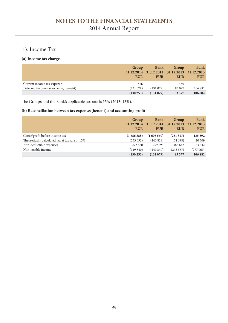### 13. Income Tax

### **(a) Income tax charge**

|                                       | Group<br><b>EUR</b> | <b>Bank</b><br>EUR | Group<br>31.12.2014 31.12.2014 31.12.2013 31.12.2013<br><b>EUR</b> | <b>Bank</b><br><b>EUR</b> |
|---------------------------------------|---------------------|--------------------|--------------------------------------------------------------------|---------------------------|
| Current income tax expense            | 826                 |                    | 480                                                                |                           |
| Deferred income tax expense/(benefit) | (131079)            | (131079)           | 83 097                                                             | 106 882                   |
|                                       | (130 253)           | (131079)           | 83 577                                                             | 106 882                   |

The Group's and the Bank's applicable tax rate is 15% (2013: 15%).

### **(b) Reconciliation between tax expense/(benefit) and accounting profit**

|                                                 | Group<br>31.12.2014<br><b>EUR</b> | <b>Bank</b><br>31.12.2014<br><b>EUR</b> | Group<br>31.12.2013<br><b>EUR</b> | <b>Bank</b><br>31.12.2013<br><b>EUR</b> |
|-------------------------------------------------|-----------------------------------|-----------------------------------------|-----------------------------------|-----------------------------------------|
| (Loss)/profit before income tax                 | (168688)                          | (1605560)                               | (231317)                          | 135 392                                 |
| Theoretically calculated tax at tax rate of 15% | (253 033)                         | (240834)                                | (34698)                           | 20 309                                  |
| Non-deductible expenses                         | 272 620                           | 259 595                                 | 363 642                           | 363 642                                 |
| Non-taxable income                              | (149840)                          | (149840)                                | (245 367)                         | (277069)                                |
|                                                 | (130 253)                         | (131079)                                | 83 577                            | 106882                                  |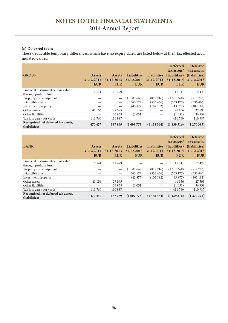### **(c) Deferred taxes**

These deductible temporary differences, which have no expiry dates, are listed below at their tax effected accumulated values:

| <b>GROUP</b>                                         | <b>Assets</b><br>31.12.2014<br><b>EUR</b> | <b>Assets</b><br>31.12.2013<br><b>EUR</b> | <b>Liabilities</b><br>31.12.2014<br><b>EUR</b> | <b>Liabilities</b><br>31.12.2013<br><b>EUR</b> | <b>Deferred</b><br>tax assets/<br>(liabilities)<br>31.12.2014<br><b>EUR</b> | <b>Deferred</b><br>tax assets/<br>(liabilities)<br>31.12.2013<br><b>EUR</b> |
|------------------------------------------------------|-------------------------------------------|-------------------------------------------|------------------------------------------------|------------------------------------------------|-----------------------------------------------------------------------------|-----------------------------------------------------------------------------|
| Financial instruments at fair value                  | 17541                                     | 12 4 29                                   |                                                |                                                | 17 541                                                                      | 12 4 29                                                                     |
| through profit or loss<br>Property and equipment     |                                           |                                           | (1001668)                                      | (819716)                                       | (1001668)                                                                   | (819716)                                                                    |
|                                                      |                                           |                                           |                                                | (536 466)                                      |                                                                             |                                                                             |
| Intangible assets                                    |                                           | $\hspace{0.1mm}-\hspace{0.1mm}$           | (563177)                                       |                                                | (563177)                                                                    | (536 466)                                                                   |
| Investment property                                  |                                           |                                           | (43877)                                        | (102182)                                       | (43877)                                                                     | (102182)                                                                    |
| Other assets                                         | 41 156                                    | 27 595                                    | —                                              |                                                | 41 156                                                                      | 27 5 95                                                                     |
| Other liabilities                                    |                                           | 36 958                                    | (1051)                                         |                                                | (1051)                                                                      | 36 958                                                                      |
| Tax loss carry-forwards                              | 411760                                    | 110 987                                   |                                                |                                                | 411760                                                                      | 110 987                                                                     |
| Recognised net deferred tax assets/<br>(liabilities) | 470 457                                   | 187969                                    | (1609773)                                      | (1458364)                                      | (1139316)                                                                   | (1270395)                                                                   |

| <b>BANK</b>                                                   | <b>Assets</b><br>31.12.2014<br><b>EUR</b> | <b>Assets</b><br>31.12.2013<br><b>EUR</b> | Liabilities<br>31.12.2014<br><b>EUR</b> | <b>Liabilities</b><br>31.12.2013<br><b>EUR</b> | <b>Deferred</b><br>tax assets/<br>(liabilities)<br>31.12.2014<br><b>EUR</b> | <b>Deferred</b><br>tax assets/<br>(liabilities)<br>31.12.2013<br><b>EUR</b> |
|---------------------------------------------------------------|-------------------------------------------|-------------------------------------------|-----------------------------------------|------------------------------------------------|-----------------------------------------------------------------------------|-----------------------------------------------------------------------------|
| Financial instruments at fair value<br>through profit or loss | 17541                                     | 12429                                     |                                         |                                                | 17541                                                                       | 12 4 29                                                                     |
| Property and equipment                                        | —                                         |                                           | (1001668)                               | (819716)                                       | (1001668)                                                                   | (819716)                                                                    |
| Intangible assets                                             |                                           |                                           | (563 177)                               | (536466)                                       | (563 177)                                                                   | (536 466)                                                                   |
| Investment property                                           |                                           |                                           | (43877)                                 | (102182)                                       | (43877)                                                                     | (102182)                                                                    |
| Other assets                                                  | 41 156                                    | 27 595                                    | —                                       |                                                | 41 156                                                                      | 27 5 95                                                                     |
| Other liabilities                                             |                                           | 36 958                                    | (1051)                                  |                                                | (1051)                                                                      | 36958                                                                       |
| Tax loss carry-forwards                                       | 411760                                    | 110 987                                   |                                         |                                                | 411760                                                                      | 110 987                                                                     |
| Recognised net deferred tax assets/<br>(liabilities)          | 470 457                                   | 187969                                    | (1609773)                               | (1458364)                                      | (1139316)                                                                   | (1270395)                                                                   |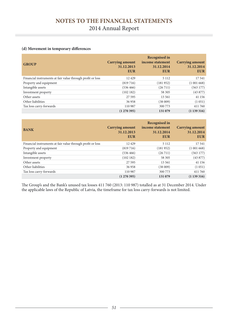### **(d) Movement in temporary differences**

| <b>GROUP</b>                                               | <b>Carrying amount</b><br>31.12.2013<br><b>EUR</b> | <b>Recognised in</b><br>income statement<br>31.12.2014<br><b>EUR</b> | <b>Carrying amount</b><br>31.12.2014<br><b>EUR</b> |
|------------------------------------------------------------|----------------------------------------------------|----------------------------------------------------------------------|----------------------------------------------------|
| Financial instruments at fair value through profit or loss | 12 4 29                                            | 5 1 1 2                                                              | 17 541                                             |
| Property and equipment                                     | (819716)                                           | (181952)                                                             | (1001668)                                          |
| Intangible assets                                          | (536 466)                                          | (26711)                                                              | (563177)                                           |
| Investment property                                        | (102182)                                           | 58 30 5                                                              | (43877)                                            |
| Other assets                                               | 27 5 95                                            | 13 5 61                                                              | 41 156                                             |
| Other liabilities                                          | 36958                                              | (38009)                                                              | (1051)                                             |
| Tax loss carry-forwards                                    | 110 987                                            | 300 773                                                              | 411760                                             |
|                                                            | (1270395)                                          | 131 079                                                              | (1139316)                                          |

| <b>BANK</b>                                                | <b>Carrying amount</b><br>31.12.2013<br><b>EUR</b> | <b>Recognised in</b><br>income statement<br>31.12.2014<br><b>EUR</b> | <b>Carrying amount</b><br>31.12.2014<br><b>EUR</b> |
|------------------------------------------------------------|----------------------------------------------------|----------------------------------------------------------------------|----------------------------------------------------|
| Financial instruments at fair value through profit or loss | 12 4 29                                            | 5 1 1 2                                                              | 17 541                                             |
| Property and equipment                                     | (819716)                                           | (181952)                                                             | (1001668)                                          |
| Intangible assets                                          | (536 466)                                          | (26711)                                                              | (563177)                                           |
| Investment property                                        | (102182)                                           | 58 30 5                                                              | (43877)                                            |
| Other assets                                               | 27 595                                             | 13 5 61                                                              | 41 156                                             |
| Other liabilities                                          | 36958                                              | (38009)                                                              | (1051)                                             |
| Tax loss carry-forwards                                    | 110 987                                            | 300 773                                                              | 411760                                             |
|                                                            | (1270395)                                          | 131 079                                                              | (1139316)                                          |

The Group's and the Bank's unused tax losses 411 760 (2013: 110 987) totalled as at 31 December 2014. Under the applicable laws of the Republic of Latvia, the timeframe for tax loss carry-forwards is not limited.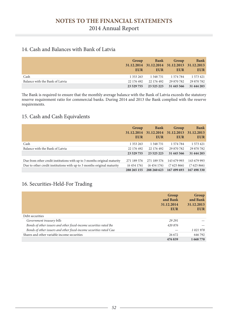### 14. Cash and Balances with Bank of Latvia

|                                 | Group<br><b>EUR</b> | <b>Bank</b><br>31.12.2014 31.12.2014 31.12.2013 31.12.2013<br><b>EUR</b> | <b>Second</b> Group<br><b>EUR</b> | <b>Bank</b><br><b>EUR</b> |
|---------------------------------|---------------------|--------------------------------------------------------------------------|-----------------------------------|---------------------------|
| Cash                            | 1 353 263           | 1 348 731                                                                | 1 574 784                         | 1 573 421                 |
| Balance with the Bank of Latvia | 22 176 492          | 22 176 492                                                               | 29 870 782                        | 29 870 782                |
|                                 | 23 529 755          | 23 5 25 223                                                              | 31 445 566                        | 31 444 203                |

The Bank is required to ensure that the monthly average balance with the Bank of Latvia exceeds the statutory reserve requirement ratio for commercial banks. During 2014 and 2013 the Bank complied with the reserve requirements.

### 15. Cash and Cash Equivalents

|                                                                          | Group<br>31.12.2014<br><b>EUR</b> | <b>Bank</b><br>31.12.2014<br><b>EUR</b> | Group<br>31.12.2013<br><b>EUR</b> | <b>Bank</b><br>31.12.2013<br><b>EUR</b> |
|--------------------------------------------------------------------------|-----------------------------------|-----------------------------------------|-----------------------------------|-----------------------------------------|
| Cash                                                                     | 1 353 263                         | 1 348 731                               | 1 574 784                         | 1 573 421                               |
| Balance with the Bank of Latvia                                          | 22 176 492                        | 22 176 492                              | 29 870 782                        | 29 870 782                              |
|                                                                          | 23 529 755                        | 23 5 25 223                             | 31 445 566                        | 31 444 203                              |
| Due from other credit institutions with up to 3 months original maturity | 271 189 576                       | 271 189 576                             | 143 679 993                       | 143 679 993                             |
| Due to other credit institutions with up to 3 months original maturity   | (6454176)                         | (6454176)                               | (7625866)                         | (7625866)                               |
|                                                                          | 288 265 155                       | 288 260 623                             | 167 499 693                       | 167 498 330                             |

### 16. Securities-Held-For Trading

|                                                                    | Group<br>and Bank<br>31.12.2014<br><b>EUR</b> | Group<br>and Bank<br>31.12.2013<br><b>EUR</b> |
|--------------------------------------------------------------------|-----------------------------------------------|-----------------------------------------------|
| Debt securities                                                    |                                               |                                               |
| Government treasury bills                                          | 29 29 1                                       |                                               |
| Bonds of other issuers and other fixed-income securities rated Ba  | 420 876                                       |                                               |
| Bonds of other issuers and other fixed-income securities rated Caa |                                               | 1021978                                       |
| Shares and other variable income securities                        | 26 672                                        | 646792                                        |
|                                                                    | 476839                                        | 1 668 770                                     |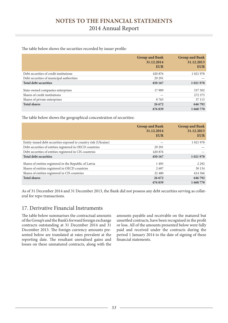The table below shows the securities recorded by issuer profile:

|                                          | <b>Group and Bank</b><br>31.12.2014<br><b>EUR</b> | <b>Group and Bank</b><br>31.12.2013<br><b>EUR</b> |
|------------------------------------------|---------------------------------------------------|---------------------------------------------------|
| Debt securities of credit institutions   | 420 876                                           | 1 0 2 1 9 7 8                                     |
| Debt securities of municipal authorities | 29 29 1                                           |                                                   |
| <b>Total debt securities</b>             | 450 167                                           | 1021978                                           |
| State-owned companies enterprises        | 17909                                             | 337 302                                           |
| Shares of credit institutions            |                                                   | 272 375                                           |
| Shares of private enterprises            | 8 7 6 3                                           | 37 115                                            |
| <b>Total shares</b>                      | 26 672                                            | 646792                                            |
|                                          | 476839                                            | 1668770                                           |

The table below shows the geographical concentration of securities:

|                                                                                                            | <b>Group and Bank</b><br>31.12.2014<br><b>EUR</b> | <b>Group and Bank</b><br>31.12.2013<br><b>EUR</b> |
|------------------------------------------------------------------------------------------------------------|---------------------------------------------------|---------------------------------------------------|
| Entity-issued debt securities exposed to country risk (Ukraine)                                            |                                                   | 1 0 2 1 9 7 8                                     |
| Debt securities of entities registered in OECD countries                                                   | 29 29 1                                           |                                                   |
| Debt securities of entities registered in CIS countries                                                    | 420 876                                           |                                                   |
| <b>Total debt securities</b>                                                                               | 450 167                                           | 1021978                                           |
| Shares of entities registered in the Republic of Latvia<br>Shares of entities registered in OECD countries | 1495<br>2697                                      | 2 2 9 2<br>30 134                                 |
| Shares of entities registered in CIS countries                                                             | 22 480                                            | 614 366                                           |
| <b>Total shares</b>                                                                                        | 26 672                                            | 646792                                            |
|                                                                                                            | 476839                                            | 1 668 770                                         |

As of 31 December 2014 and 31 December 2013, the Bank did not possess any debt securities serving as collateral for repo transactions.

### 17. Derivative Financial Instruments

The table below summarises the contractual amounts of the Group's and the Bank's forward foreign exchange contracts outstanding at 31 December 2014 and 31 December 2013. The foreign currency amounts presented below are translated at rates prevalent at the reporting date. The resultant unrealised gains and losses on these unmatured contracts, along with the

amounts payable and receivable on the matured but unsettled contracts, have been recognised in the profit or loss. All of the amounts presented below were fully paid and received under the contracts during the period 1 January 2014 to the date of signing of these financial statements.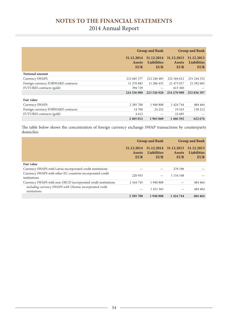|                                    |                                           | <b>Group and Bank</b>                          |                                           | <b>Group and Bank</b>                          |
|------------------------------------|-------------------------------------------|------------------------------------------------|-------------------------------------------|------------------------------------------------|
|                                    | 31.12.2014<br><b>Assets</b><br><b>EUR</b> | 31.12.2014<br><b>Liabilities</b><br><b>EUR</b> | 31.12.2013<br><b>Assets</b><br><b>EUR</b> | 31.12.2013<br><b>Liabilities</b><br><b>EUR</b> |
| Notional amount                    |                                           |                                                |                                           |                                                |
| Currency SWAPS                     | 212 685 377                               | 212 240 485                                    | 232 184 612                               | 231 244 332                                    |
| Foreign currency FORWARD contracts | 11 276 883                                | 11 286 435                                     | 21 473 017                                | 21 592 065                                     |
| FUTURES contracts (gold)           | 394 729                                   |                                                | 613 360                                   |                                                |
|                                    | 224 356 989                               | 223 526 920                                    | 254 270 989                               | 252 836 397                                    |
| Fair value                         |                                           |                                                |                                           |                                                |
| Currency SWAPS                     | 2 3 8 5 7 0 0                             | 1940808                                        | 1 424 744                                 | 484 464                                        |
| Foreign currency FORWARD contracts | 14 700                                    | 24 2 5 2                                       | 19 163                                    | 138 212                                        |
| FUTURES contracts (gold)           | 4612                                      |                                                | 22 685                                    |                                                |
|                                    | 2405012                                   | 1965060                                        | 1466592                                   | 622 676                                        |

The table below shows the concentration of foreign currency exchange SWAP transactions by counterparty domiciles:

|                                                                            | <b>Group and Bank</b>                     |                                                | <b>Group and Bank</b>                     |                                                |
|----------------------------------------------------------------------------|-------------------------------------------|------------------------------------------------|-------------------------------------------|------------------------------------------------|
|                                                                            | 31.12.2014<br><b>Assets</b><br><b>EUR</b> | 31.12.2014<br><b>Liabilities</b><br><b>EUR</b> | 31.12.2013<br><b>Assets</b><br><b>EUR</b> | 31.12.2013<br><b>Liabilities</b><br><b>EUR</b> |
| <b>Fair value</b>                                                          |                                           |                                                |                                           |                                                |
| Currency SWAPS with Latvia incorporated credit institutions                |                                           |                                                | 270 196                                   |                                                |
| Currency SWAPS with other EU countries incorporated credit<br>institutions | 220 955                                   |                                                | 1 1 5 4 5 4 8                             |                                                |
| Currency SWAPS with non-OECD incorporated credit institutions              | 2 164 745                                 | 1 940 808                                      |                                           | 484 464                                        |
| including currency SWAPS with Ukraine incorporated credit<br>institutions  | —                                         | 1 431 565                                      |                                           | 484 464                                        |
|                                                                            | 2 3 8 5 7 0 0                             | 1940808                                        | 1 424 744                                 | 484 464                                        |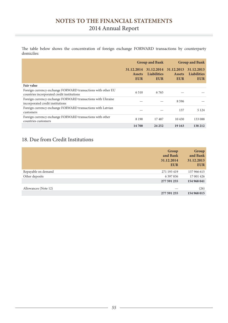The table below shows the concentration of foreign exchange FORWARD transactions by counterparty domiciles:

|                                                                                                            | <b>Group and Bank</b>                     |                                                | <b>Group and Bank</b>                     |                                         |
|------------------------------------------------------------------------------------------------------------|-------------------------------------------|------------------------------------------------|-------------------------------------------|-----------------------------------------|
|                                                                                                            | 31.12.2014<br><b>Assets</b><br><b>EUR</b> | 31.12.2014<br><b>Liabilities</b><br><b>EUR</b> | 31.12.2013<br><b>Assets</b><br><b>EUR</b> | 31.12.2013<br>Liabilities<br><b>EUR</b> |
| <b>Fair value</b>                                                                                          |                                           |                                                |                                           |                                         |
| Foreign currency exchange FORWARD transactions with other EU<br>countries incorporated credit institutions | 6 5 1 0                                   | 6 7 6 5                                        |                                           |                                         |
| Foreign currency exchange FORWARD transactions with Ukraine<br>incorporated credit institutions            |                                           |                                                | 8 5 9 6                                   |                                         |
| Foreign currency exchange FORWARD transactions with Latvian<br>customers                                   |                                           |                                                | 137                                       | 5 1 2 4                                 |
| Foreign currency exchange FORWARD transactions with other<br>countries customers                           | 8 1 9 0                                   | 17487                                          | 10 430                                    | 133 088                                 |
|                                                                                                            | 14 700                                    | 24 25 2                                        | 19 163                                    | 138 212                                 |

### 18. Due from Credit Institutions

|                      | Group<br>and Bank<br>31.12.2014<br><b>EUR</b> | Group<br>and Bank<br>31.12.2013<br><b>EUR</b> |
|----------------------|-----------------------------------------------|-----------------------------------------------|
| Repayable on demand  | 271 193 419                                   | 137 966 615                                   |
| Other deposits       | 6 397 836                                     | 17 001 426                                    |
|                      | 277 591 255                                   | 154 968 041                                   |
| Allowances (Note 12) |                                               | (26)                                          |
|                      | 277 591 255                                   | 154 968 015                                   |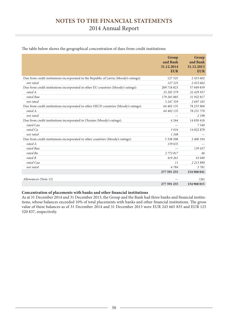The table below shows the geographical concentration of dues from credit institutions:

|                                                                                        | Group<br>and Bank | Group<br>and Bank |
|----------------------------------------------------------------------------------------|-------------------|-------------------|
|                                                                                        | 31.12.2014        | 31.12.2013        |
|                                                                                        | <b>EUR</b>        | <b>EUR</b>        |
| Due from credit institutions incorporated in the Republic of Latvia (Moody's ratings): | 127 525           | 2 453 602         |
| not rated                                                                              | 127 525           | 2 453 602         |
| Due from credit institutions incorporated in other EU countries (Moody's ratings):     | 209 718 823       | 57 049 859        |
| rated A                                                                                | 25 205 579        | 22 429 937        |
| rated Baa                                                                              | 179 265 885       | 31 922 817        |
| not rated                                                                              | 5 247 359         | 2 697 105         |
| Due from credit institutions incorporated in other OECD countries (Moody's ratings):   | 64 402 135        | 78 233 968        |
| rated A                                                                                | 64 402 135        | 78 231 770        |
| not rated                                                                              |                   | 2 1 9 8           |
| Due from credit institutions incorporated in Ukraine (Moody's ratings):                | 4 2 6 4           | 14 830 418        |
| rated Caa                                                                              |                   | 7540              |
| rated Ca                                                                               | 3016              | 14 822 878        |
| not rated                                                                              | 1 2 4 8           |                   |
| Due from credit institutions incorporated in other countries (Moody's ratings):        | 3 3 3 3 5 0 8     | 2 400 194         |
| rated A                                                                                | 139 635           |                   |
| rated Baa                                                                              |                   | 139 437           |
| rated Ba                                                                               | 2772817           | 46                |
| rated B                                                                                | 419 261           | 43 040            |
| rated Caa                                                                              | 11                | 2 2 1 3 8 9 0     |
| not rated                                                                              | 6784              | 3781              |
|                                                                                        | 277 591 255       | 154 968 041       |
| Allowances (Note 12)                                                                   |                   | (26)              |
|                                                                                        | 277 591 255       | 154 968 015       |

### **Concentration of placements with banks and other financial institutions**

As at 31 December 2014 and 31 December 2013, the Group and the Bank had three banks and financial institutions, whose balances exceeded 10% of total placements with banks and other financial institutions. The gross value of these balances as of 31 December 2014 and 31 December 2013 were EUR 243 665 835 and EUR 125 520 837, respectively.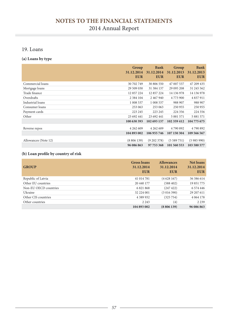### 19. Loans

### **(a) Loans by type**

|                      | Group<br>31.12.2014<br><b>EUR</b> | <b>Bank</b><br>31.12.2014<br><b>EUR</b> | Group<br>31.12.2013<br><b>EUR</b> | <b>Bank</b><br>31.12.2013<br><b>EUR</b> |
|----------------------|-----------------------------------|-----------------------------------------|-----------------------------------|-----------------------------------------|
| Commercial loans     | 30 702 749                        | 30 806 550                              | 47 007 537                        | 47 209 435                              |
| Mortgage loans       | 29 509 030                        | 31 384 137                              | 29 095 208                        | 31 245 562                              |
| Trade finance        | 12 857 224                        | 12 857 224                              | 14 136 978                        | 14 136 978                              |
| Overdrafts           | 2 3 8 4 1 0 4                     | 2 467 940                               | 4773900                           | 4837911                                 |
| Industrial loans     | 1 008 537                         | 1 008 537                               | 988 907                           | 988 907                                 |
| Consumer loans       | 253 063                           | 253 063                                 | 250 955                           | 250 955                                 |
| Payment cards        | 223 245                           | 223 245                                 | 224 356                           | 224 356                                 |
| Other                | 23 692 441                        | 23 692 441                              | 5 881 571                         | 5 881 571                               |
|                      | 100 630 393                       | 102 693 137                             | 102 359 412                       | 104 775 675                             |
| Reverse repos        | 4 262 609                         | 4 2 6 2 6 0 9                           | 4790892                           | 4790892                                 |
|                      | 104 893 002                       | 106 955 746                             | 107 150 304                       | 109 566 567                             |
| Allowances (Note 12) | (8806139)                         | (9202378)                               | (5589751)                         | (5985990)                               |
|                      | 96 086 863                        | 97 753 368                              | 101 560 553                       | 103 580 577                             |

### **(b) Loan profile by country of risk**

| <b>GROUP</b>          | <b>Gross</b> loans<br>31.12.2014<br><b>EUR</b> | <b>Allowances</b><br>31.12.2014<br><b>EUR</b> | <b>Net loans</b><br>31.12.2014<br><b>EUR</b> |
|-----------------------|------------------------------------------------|-----------------------------------------------|----------------------------------------------|
| Republic of Latvia    | 41 014 781                                     | (4628167)                                     | 36 386 614                                   |
| Other EU countries    | 20 440 177                                     | (588402)                                      | 19 851 775                                   |
| Non-EU OECD countries | 6821868                                        | (247 422)                                     | 6 5 7 4 4 4 6                                |
| Ukraine               | 32 224 001                                     | (3016390)                                     | 29 207 611                                   |
| Other CIS countries   | 4 389 932                                      | (325754)                                      | 4 0 6 4 1 7 8                                |
| Other countries       | 2 2 4 3                                        | $\left( 4\right)$                             | 2 2 3 9                                      |
|                       | 104 893 002                                    | (8806139)                                     | 96 086 863                                   |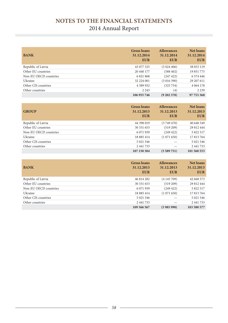| <b>BANK</b>           | <b>Gross</b> loans<br>31.12.2014<br><b>EUR</b> | <b>Allowances</b><br>31.12.2014<br><b>EUR</b> | <b>Net loans</b><br>31.12.2014<br><b>EUR</b> |
|-----------------------|------------------------------------------------|-----------------------------------------------|----------------------------------------------|
| Republic of Latvia    | 43 077 525                                     | (5024406)                                     | 38 053 119                                   |
| Other EU countries    | 20 440 177                                     | (588402)                                      | 19 851 775                                   |
| Non-EU OECD countries | 6821868                                        | (247 422)                                     | 6 5 7 4 4 4 6                                |
| Ukraine               | 32 224 001                                     | (3016390)                                     | 29 207 611                                   |
| Other CIS countries   | 4 389 932                                      | (325754)                                      | 4 0 6 4 1 7 8                                |
| Other countries       | 2 2 4 3                                        | $\left( 4\right)$                             | 2 2 3 9                                      |
|                       | 106 955 746                                    | (9202378)                                     | 97 753 368                                   |

| <b>GROUP</b>          | <b>Gross</b> loans<br>31.12.2013<br><b>EUR</b> | <b>Allowances</b><br>31.12.2013<br><b>EUR</b> | <b>Net loans</b><br>31.12.2013<br><b>EUR</b> |
|-----------------------|------------------------------------------------|-----------------------------------------------|----------------------------------------------|
| Republic of Latvia    | 44 398 019                                     | (3749470)                                     | 40 648 549                                   |
| Other EU countries    | 30 331 653                                     | (519 209)                                     | 29 812 444                                   |
| Non-EU OECD countries | 6 0 71 9 39                                    | (249 422)                                     | 5 822 517                                    |
| Ukraine               | 18 885 414                                     | (1071650)                                     | 17813764                                     |
| Other CIS countries   | 5 0 21 5 46                                    |                                               | 5 0 21 5 46                                  |
| Other countries       | 2441733                                        |                                               | 2441733                                      |
|                       | 107 150 304                                    | (5589751)                                     | 101 560 553                                  |

| <b>BANK</b>           | <b>Gross</b> loans<br>31.12.2013<br><b>EUR</b> | <b>Allowances</b><br>31.12.2013<br><b>EUR</b> | <b>Net loans</b><br>31.12.2013<br><b>EUR</b> |
|-----------------------|------------------------------------------------|-----------------------------------------------|----------------------------------------------|
| Republic of Latvia    | 46 814 282                                     | (4145709)                                     | 42 668 573                                   |
| Other EU countries    | 30 331 653                                     | (519 209)                                     | 29 812 444                                   |
| Non-EU OECD countries | 6 0 7 1 9 3 9                                  | (249 422)                                     | 5 822 517                                    |
| Ukraine               | 18 885 414                                     | (1071650)                                     | 17813764                                     |
| Other CIS countries   | 5 0 21 5 46                                    |                                               | 5 0 21 5 46                                  |
| Other countries       | 2441733                                        |                                               | 2441733                                      |
|                       | 109 566 567                                    | (5985990)                                     | 103 580 577                                  |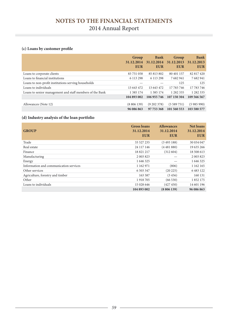### **(c) Loans by customer profile**

|                                                          | Group<br>31.12.2014<br><b>EUR</b> | <b>Bank</b><br>31.12.2014<br><b>EUR</b> | Group<br>31.12.2013<br><b>EUR</b> | <b>Bank</b><br>31.12.2013<br><b>EUR</b> |
|----------------------------------------------------------|-----------------------------------|-----------------------------------------|-----------------------------------|-----------------------------------------|
| Loans to corporate clients                               | 83 751 058                        | 85 813 802                              | 80 401 157                        | 82 817 420                              |
| Loans to financial institutions                          | 6 1 1 3 2 9 8                     | 6 1 1 3 2 9 8                           | 7 682 941                         | 7682941                                 |
| Loans to non-profit institutions serving households      |                                   |                                         | 125                               | 125                                     |
| Loans to individuals                                     | 13 643 472                        | 13 643 472                              | 17 783 746                        | 17 783 746                              |
| Loans to senior management and staff members of the Bank | 1 385 174                         | 1 385 174                               | 1 282 335                         | 1 282 335                               |
|                                                          | 104 893 002                       | 106 955 746                             | 107 150 304                       | 109 566 567                             |
| Allowances (Note 12)                                     | (8806139)                         | (9202378)                               | (5589751)                         | (5985990)                               |
|                                                          | 96 086 863                        | 97 753 368                              | 101 560 553                       | 103 580 577                             |

### **(d) Industry analysis of the loan portfolio**

| <b>GROUP</b>                           | <b>Gross</b> loans<br>31.12.2014<br><b>EUR</b> | <b>Allowances</b><br>31.12.2014<br><b>EUR</b> | <b>Net loans</b><br>31.12.2014<br><b>EUR</b> |
|----------------------------------------|------------------------------------------------|-----------------------------------------------|----------------------------------------------|
| Trade                                  | 33 527 235                                     | (3493188)                                     | 30 034 047                                   |
| Real estate                            | 24 117 146                                     | (4481880)                                     | 19 635 266                                   |
| Finance                                | 18 821 217                                     | (312604)                                      | 18 508 613                                   |
| Manufacturing                          | 2 003 823                                      |                                               | 2 003 823                                    |
| Energy                                 | 1 646 325                                      |                                               | 1 646 325                                    |
| Information and communication services | 1 162 971                                      | (806)                                         | 1 1 62 1 65                                  |
| Other services                         | 6 503 347                                      | (20 225)                                      | 6 483 122                                    |
| Agriculture, forestry and timber       | 163 587                                        | (3456)                                        | 160 131                                      |
| Other                                  | 1918705                                        | (66530)                                       | 1852175                                      |
| Loans to individuals                   | 15 028 646                                     | (427 450)                                     | 14 601 196                                   |
|                                        | 104 893 002                                    | (8806139)                                     | 96 086 863                                   |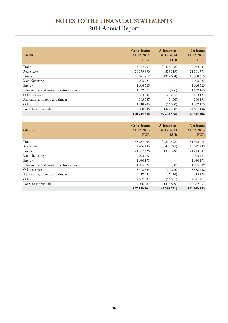| <b>BANK</b>                            | <b>Gross</b> loans<br>31.12.2014<br><b>EUR</b> | <b>Allowances</b><br>31.12.2014<br><b>EUR</b> | <b>Net loans</b><br>31.12.2014<br><b>EUR</b> |
|----------------------------------------|------------------------------------------------|-----------------------------------------------|----------------------------------------------|
| Trade                                  | 33 527 235                                     | (3493188)                                     | 30 034 047                                   |
| Real estate                            | 26 179 890                                     | (4878119)                                     | 21 301 771                                   |
| Finance                                | 18 821 217                                     | (312604)                                      | 18 508 613                                   |
| Manufacturing                          | 2 003 823                                      |                                               | 2 003 823                                    |
| Energy                                 | 1 646 325                                      |                                               | 1 646 325                                    |
| Information and communication services | 1 162 971                                      | (806)                                         | 1 1 62 1 65                                  |
| Other services                         | 6 503 347                                      | (20 225)                                      | 6 483 122                                    |
| Agriculture, forestry and timber       | 163 587                                        | (3456)                                        | 160 131                                      |
| Other                                  | 1918705                                        | (66530)                                       | 1852175                                      |
| Loans to individuals                   | 15 028 646                                     | (427 450)                                     | 14 601 196                                   |
|                                        | 106 955 746                                    | (9202378)                                     | 97 753 368                                   |

| <b>GROUP</b>                           | <b>Gross</b> loans<br>31.12.2013<br><b>EUR</b> | <b>Allowances</b><br>31.12.2013<br><b>EUR</b> | <b>Net loans</b><br>31.12.2013<br><b>EUR</b> |
|----------------------------------------|------------------------------------------------|-----------------------------------------------|----------------------------------------------|
| Trade                                  | 33 287 403                                     | (1344328)                                     | 31 943 075                                   |
| Real estate                            | 22 456 480                                     | (3428745)                                     | 19 027 735                                   |
| Finance                                | 21 557 426                                     | (312 579)                                     | 21 244 847                                   |
| Manufacturing                          | 2 023 497                                      |                                               | 2 0 2 3 4 9 7                                |
| Energy                                 | 1680171                                        |                                               | 1680171                                      |
| Information and communication services | 1 065 327                                      | (38)                                          | 1 065 289                                    |
| Other services                         | 3 408 663                                      | $(20\,225)$                                   | 3 3 8 8 4 3 8                                |
| Agriculture, forestry and timber       | 17454                                          | (3476)                                        | 13 978                                       |
| Other                                  | 2 5 8 7 8 0 2                                  | (66531)                                       | 2 5 2 1 2 7 1                                |
| Loans to individuals                   | 19 066 081                                     | (413829)                                      | 18 652 252                                   |
|                                        | 107 150 304                                    | (5589751)                                     | 101 560 553                                  |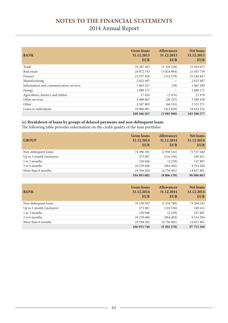| <b>BANK</b>                            | <b>Gross</b> loans<br>31.12.2013<br><b>EUR</b> | <b>Allowances</b><br>31.12.2013<br><b>EUR</b> | <b>Net loans</b><br>31.12.2013<br><b>EUR</b> |
|----------------------------------------|------------------------------------------------|-----------------------------------------------|----------------------------------------------|
| Trade                                  | 33 287 403                                     | (1344328)                                     | 31 943 075                                   |
| Real estate                            | 24 872 743                                     | (3824984)                                     | 21 047 759                                   |
| Finance                                | 21 557 426                                     | (312 579)                                     | 21 244 847                                   |
| Manufacturing                          | 2 0 2 3 4 9 7                                  |                                               | 2 0 2 3 4 9 7                                |
| Information and communication services | 1 065 327                                      | (38)                                          | 1 065 289                                    |
| Energy                                 | 1680171                                        |                                               | 1680171                                      |
| Agriculture, forestry and timber       | 17454                                          | (3476)                                        | 13 978                                       |
| Other services                         | 3 408 663                                      | (20 225)                                      | 3 3 8 4 4 3 8                                |
| Other                                  | 2 5 8 7 8 0 2                                  | (66531)                                       | 2 5 2 1 2 7 1                                |
| Loans to individuals                   | 19 066 081                                     | (413829)                                      | 18 652 252                                   |
|                                        | 109 566 567                                    | (5985990)                                     | 103 580 577                                  |

### **(e) Breakdown of loаns by groups of delayed payments and non-delinquent loans**

The following table provides information on the credit quality of the loan portfolio:

| <b>GROUP</b>              | <b>Gross</b> loans<br>31.12.2014<br><b>EUR</b> | <b>Allowances</b><br>31.12.2014<br><b>EUR</b> | <b>Net loans</b><br>31.12.2014<br><b>EUR</b> |
|---------------------------|------------------------------------------------|-----------------------------------------------|----------------------------------------------|
| Non-delinquent loans      | 74 496 181                                     | (2958541)                                     | 71 537 640                                   |
| Up to 1 month (inclusive) | 373 967                                        | (124556)                                      | 249 411                                      |
| 1 to 3 months             | 150 046                                        | (2 239)                                       | 147 807                                      |
| 3 to 6 months             | 10 278 606                                     | (964 402)                                     | 9 3 1 4 2 0 4                                |
| More than 6 months        | 19 594 202                                     | (4756401)                                     | 14 837 801                                   |
|                           | 104 893 002                                    | (8806139)                                     | 96 086 863                                   |

| <b>BANK</b>               | <b>Gross loans</b><br>31.12.2014<br><b>EUR</b> | <b>Allowances</b><br>31.12.2014<br><b>EUR</b> | <b>Net loans</b><br>31.12.2014<br><b>EUR</b> |
|---------------------------|------------------------------------------------|-----------------------------------------------|----------------------------------------------|
| Non-delinquent loans      | 76 558 925                                     | (3354780)                                     | 73 204 145                                   |
| Up to 1 month (inclusive) | 373 967                                        | (124556)                                      | 249 411                                      |
| 1 to 3 months             | 150 046                                        | (2 239)                                       | 147 807                                      |
| 3 to 6 months             | 10 278 606                                     | (964 402)                                     | 9 3 1 4 2 0 4                                |
| More than 6 months        | 19 594 202                                     | (4756401)                                     | 14 837 801                                   |
|                           | 106 955 746                                    | (9202378)                                     | 97 753 368                                   |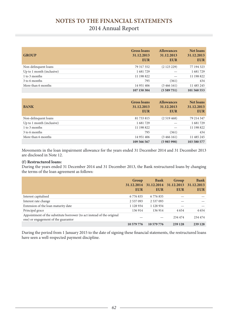| <b>GROUP</b>              | <b>Gross loans</b><br>31.12.2013<br><b>EUR</b> | <b>Allowances</b><br>31.12.2013<br><b>EUR</b> | <b>Net loans</b><br>31.12.2013<br><b>EUR</b> |
|---------------------------|------------------------------------------------|-----------------------------------------------|----------------------------------------------|
| Non-delinquent loans      | 79 317 552                                     | (2123229)                                     | 77 194 323                                   |
| Up to 1 month (inclusive) | 1681729                                        |                                               | 1681729                                      |
| 1 to 3 months             | 11 198 822                                     |                                               | 11 198 822                                   |
| 3 to 6 months             | 795                                            | (361)                                         | 434                                          |
| More than 6 months        | 14 951 406                                     | (3466161)                                     | 11 485 245                                   |
|                           | 107 150 304                                    | (5589751)                                     | 101 560 553                                  |

| <b>BANK</b>               | <b>Gross</b> loans<br>31.12.2013<br><b>EUR</b> | <b>Allowances</b><br>31.12.2013<br><b>EUR</b> | <b>Net loans</b><br>31.12.2013<br><b>EUR</b> |
|---------------------------|------------------------------------------------|-----------------------------------------------|----------------------------------------------|
| Non-delinquent loans      | 81 733 815                                     | (2519468)                                     | 79 214 347                                   |
| Up to 1 month (inclusive) | 1681729                                        |                                               | 1681729                                      |
| 1 to 3 months             | 11 198 822                                     |                                               | 11 198 822                                   |
| 3 to 6 months             | 795                                            | (361)                                         | 434                                          |
| More than 6 months        | 14 951 406                                     | (3466161)                                     | 11 485 245                                   |
|                           | 109 566 567                                    | (5985990)                                     | 103 580 577                                  |

Movements in the loan impairment allowance for the years ended 31 December 2014 and 31 December 2013 are disclosed in Note 12.

### **(f) Restructured loans:**

During the years ended 31 December 2014 and 31 December 2013, the Bank restructured loans by changing the terms of the loan agreement as follows:

|                                                                                                               | Group<br>31.12.2014<br><b>EUR</b> | <b>Bank</b><br>31.12.2014<br><b>EUR</b> | Group<br>31.12.2013<br><b>EUR</b> | <b>Bank</b><br>31.12.2013<br><b>EUR</b> |
|---------------------------------------------------------------------------------------------------------------|-----------------------------------|-----------------------------------------|-----------------------------------|-----------------------------------------|
| Interest capitalised                                                                                          | 6 776 835                         | 6 7 7 6 8 3 5                           |                                   |                                         |
| Interest rate change                                                                                          | 2 537 093                         | 2 537 093                               |                                   |                                         |
| Extension of the loan maturity date                                                                           | 1 1 28 9 34                       | 1 1 28 9 34                             |                                   |                                         |
| Principal grace                                                                                               | 136914                            | 136914                                  | 4 6 5 4                           | 4 6 5 4                                 |
| Appointment of the substitute borrower (to act instead of the original<br>one) or engagement of the guarantor |                                   |                                         | 234 474                           | 234 474                                 |
|                                                                                                               | 10 579 776                        | 10 579 776                              | 239 128                           | 239 128                                 |

During the period from 1 January 2015 to the date of signing these financial statements, the restructured loans have seen a well-respected payment discipline.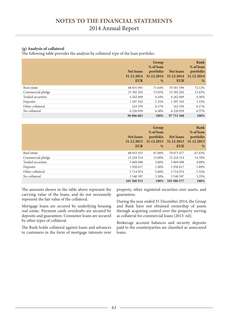### **(g) Analysis of collateral**

The following table provides the analysis by collateral type of the loan portfolio:

|                   | <b>Net loans</b><br>31.12.2014<br><b>EUR</b> | Group<br>% of loan<br>portfolio<br>31.12.2014<br>$\%$ | <b>Net loans</b><br>31.12.2014<br><b>EUR</b> | <b>Bank</b><br>% of loan<br>portfolio<br>31.12.2014<br>$\%$ |
|-------------------|----------------------------------------------|-------------------------------------------------------|----------------------------------------------|-------------------------------------------------------------|
| Real estate       | 68 835 091                                   | 71.64%                                                | 70 501 596                                   | 72.12%                                                      |
| Commercial pledge | 15 302 202                                   | 15.92%                                                | 15 302 202                                   | 15.65%                                                      |
| Traded securities | 4 262 609                                    | 4.44%                                                 | 4 2 6 2 6 0 9                                | 4.36%                                                       |
| Deposits          | 1 297 543                                    | 1.35%                                                 | 1 297 543                                    | 1.33%                                                       |
| Other collateral  | 163 359                                      | 0.17%                                                 | 163 359                                      | 0.17%                                                       |
| No collateral     | 6 2 2 6 0 5 9                                | 6.48%                                                 | 6 2 2 6 0 5 9                                | 6.37%                                                       |
|                   | 96 086 863                                   | 100%                                                  | 97 753 368                                   | 100%                                                        |

|                   | <b>Net loans</b><br>31.12.2013<br><b>EUR</b> | Group<br>% of loan<br>portfolio<br>31.12.2013<br>$\%$ | <b>Net loans</b><br>31.12.2013<br><b>EUR</b> | <b>Bank</b><br>% of loan<br>portfolio<br>31.12.2013<br>$\%$ |
|-------------------|----------------------------------------------|-------------------------------------------------------|----------------------------------------------|-------------------------------------------------------------|
| Real estate       | 68 053 453                                   | 67.00%                                                | 70 073 477                                   | 67.65%                                                      |
| Commercial pledge | 15 224 314                                   | 15.00%                                                | 15 224 314                                   | 14.70%                                                      |
| Traded securities | 5 0 6 9 6 9 8                                | 5.00%                                                 | 5 0 6 9 6 9 8                                | 4.89%                                                       |
| Deposits          | 1958 617                                     | 1.90%                                                 | 1958617                                      | 1.89%                                                       |
| Other collateral  | 5 7 1 4 0 7 4                                | 5.60%                                                 | 5 7 1 4 0 7 4                                | 5.52%                                                       |
| No collateral     | 5 540 397                                    | 5.50%                                                 | 5 540 397                                    | 5.35%                                                       |
|                   | 101 560 553                                  | 100%                                                  | 103 580 577                                  | 100%                                                        |

The amounts shown in the table above represent the carrying value of the loans, and do not necessarily represent the fair value of the collateral.

Mortgage loans are secured by underlying housing real estate. Payment cards overdrafts are secured by deposits and guarantees. Consumer loans are secured by other types of collateral.

The Bank holds collateral against loans and advances to customers in the form of mortgage interests over property, other registered securities over assets, and guarantees.

During the year ended 31 December 2014, the Group and Bank have not obtained ownership of assets through acquiring control over the property serving as collateral for commercial loans (2013: nil).

Brokerage account balances and security deposits paid to the counterparties are classified as unsecured loans.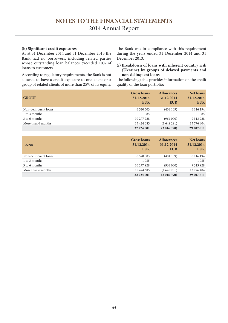#### **(h) Significant credit exposures**

As at 31 December 2014 and 31 December 2013 the Bank had no borrowers, including related parties whose outstanding loan balances exceeded 10% of loans to customers.

According to regulatory requirements, the Bank is not allowed to have a credit exposure to one client or a group of related clients of more than 25% of its equity. The Bank was in compliance with this requirement during the years ended 31 December 2014 and 31 December 2013.

#### **(i) Breakdown of loans with inherent country risk (Ukraine) by groups of delayed payments and non-delinquent loans**

The following table provides information on the credit quality of the loan portfolio:

| <b>GROUP</b>         | <b>Gross</b> loans<br>31.12.2014<br><b>EUR</b> | <b>Allowances</b><br>31.12.2014<br><b>EUR</b> | <b>Net loans</b><br>31.12.2014<br><b>EUR</b> |
|----------------------|------------------------------------------------|-----------------------------------------------|----------------------------------------------|
| Non-delinquent loans | 6 5 20 30 3                                    | (404109)                                      | 6 1 1 6 1 9 4                                |
| 1 to 3 months        | 1 0 8 5                                        |                                               | 1085                                         |
| 3 to 6 months        | 10 277 928                                     | (964000)                                      | 9 3 1 3 9 2 8                                |
| More than 6 months   | 15 424 685                                     | (1648281)                                     | 13 776 404                                   |
|                      | 32 224 001                                     | (3016390)                                     | 29 207 611                                   |

| <b>BANK</b>          | <b>Gross loans</b><br>31.12.2014<br><b>EUR</b> | <b>Allowances</b><br>31.12.2014<br><b>EUR</b> | <b>Net loans</b><br>31.12.2014<br><b>EUR</b> |
|----------------------|------------------------------------------------|-----------------------------------------------|----------------------------------------------|
| Non-delinquent loans | 6 5 20 30 3                                    | (404109)                                      | 6 1 1 6 1 9 4                                |
| 1 to 3 months        | 1 0 8 5                                        |                                               | 1085                                         |
| 3 to 6 months        | 10 277 928                                     | (964000)                                      | 9 3 1 3 9 2 8                                |
| More than 6 months   | 15 424 685                                     | (1648281)                                     | 13 776 404                                   |
|                      | 32 224 001                                     | (3016390)                                     | 29 207 611                                   |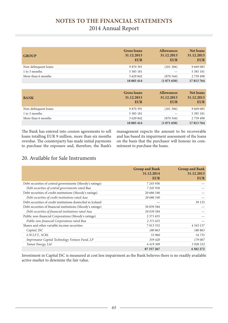| <b>GROUP</b>         | <b>Gross loans</b><br>31.12.2013<br><b>EUR</b> | <b>Allowances</b><br>31.12.2013<br><b>EUR</b> | <b>Net loans</b><br>31.12.2013<br><b>EUR</b> |
|----------------------|------------------------------------------------|-----------------------------------------------|----------------------------------------------|
| Non-delinquent loans | 9 870 391                                      | (201306)                                      | 9 6 6 9 0 8 5                                |
| 1 to 3 months        | 5 3 8 5 1 8 1                                  |                                               | 5 3 8 5 1 8 1                                |
| More than 6 months   | 3 629 842                                      | (870344)                                      | 2759498                                      |
|                      | 18 885 414                                     | (1071650)                                     | 17813764                                     |

| <b>BANK</b>          | <b>Gross loans</b><br>31.12.2013<br><b>EUR</b> | <b>Allowances</b><br>31.12.2013<br><b>EUR</b> | <b>Net loans</b><br>31.12.2013<br><b>EUR</b> |
|----------------------|------------------------------------------------|-----------------------------------------------|----------------------------------------------|
| Non-delinquent loans | 9 870 391                                      | (201306)                                      | 9 6 6 9 0 8 5                                |
| 1 to 3 months        | 5 3 8 5 1 8 1                                  |                                               | 5 3 8 5 1 8 1                                |
| More than 6 months   | 3 629 842                                      | (870344)                                      | 2759498                                      |
|                      | 18 885 414                                     | (1071650)                                     | 17813764                                     |

The Bank has entered into cession agreements to sell loans totalling EUR 9 million, more than six months overdue. The counterparty has made initial payments to purchase the exposure and, therefore, the Bank's management expects the amount to be recoverable and has based its impairment assessment of the loans on the basis that the purchaser will honour its commitment to purchase the loans.

### 20. Available for Sale Instruments

|                                                             | <b>Group and Bank</b><br>31.12.2014<br><b>EUR</b> | <b>Group and Bank</b><br>31.12.2013<br><b>EUR</b> |
|-------------------------------------------------------------|---------------------------------------------------|---------------------------------------------------|
| Debt securities of central governments (Moody's ratings)    | 7 245 936                                         |                                                   |
| Debt securities of central governments rated Baa            | 7 245 936                                         |                                                   |
| Debt securities of credit institutions (Moody's ratings)    | 20 686 540                                        |                                                   |
| Debt securities of credit institutions rated Aaa            | 20 686 540                                        |                                                   |
| Debt securities of credit institutions domiciled in Iceland |                                                   | 39 135                                            |
| Debt securities of financial institutions (Moody's ratings) | 50 039 584                                        |                                                   |
| Debt securities of financial institutions rated Aaa         | 50 039 584                                        |                                                   |
| Public non-financial Corporations (Moody's ratings)         | 2 3 7 1 6 5 5                                     |                                                   |
| Public non-financial Corporations rated Baa                 | 2 371 655                                         |                                                   |
| Shares and other variable income securities                 | 7 013 552                                         | 4 3 4 3 1 3 7                                     |
| Capital, JSC                                                | 180 863                                           | 180 863                                           |
| S. W.I.F.T., SCRL                                           | 53 960                                            | 54 735                                            |
| Imprimatur Capital Technology Venture Fund, LP              | 359 420                                           | 179 007                                           |
| Tamar Energy, Ltd                                           | 6419309                                           | 3 928 532                                         |
|                                                             | 87 357 267                                        | 4 3 8 2 2 7 2                                     |

Investment in Capital JSC is measured at cost less impairment as the Bank believes there is no readily available active market to detemine the fair value.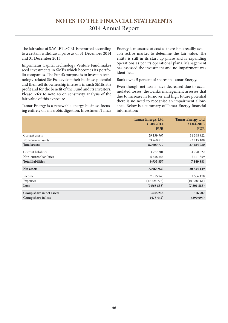The fair value of S.W.I.F.T. SCRL is reported according to a certain withdrawal price as of 31 December 2014 and 31 December 2013.

Imprimatur Capital Technology Venture Fund makes seed investments in SMEs which becomes its portfolio companies. Тhe Fund's purpose is to invest in technology-related SMEs, develop their business potential and then sell its ownership interests in such SMEs at a profit and for the benefit of the Fund and its Investors. Please refer to note 48 on sensitivity analysis of the fair value of this exposure.

Tamar Energy is a renewable energy business focusing entirely on anaerobic digestion. Investment Tamar Energy is measured at cost as there is no readily available active market to detemine the fair value. The entity is still in its start up phase and is expanding operations as per its operational plans. Management has assessed the investment and no impairment was identified.

Bank owns 5 percent of shares in Tamar Energy.

Even though net assets have decreased due to accumulated losses, the Bank's management assesses that due to increase in turnover and high future potential there is no need to recognise an impairment allowance. Below is a summary of Tamar Energy financial information:

|                           | <b>Tamar Energy, Ltd</b><br>31.04.2014<br><b>EUR</b> | <b>Tamar Energy, Ltd</b><br>31.04.2013<br><b>EUR</b> |
|---------------------------|------------------------------------------------------|------------------------------------------------------|
| Current assets            | 29 139 967                                           | 14 368 922                                           |
| Non-current assets        | 53 760 810                                           | 23 115 108                                           |
| <b>Total assets</b>       | 82 900 777                                           | 37 484 030                                           |
| Current liabilities       | 3 277 301                                            | 4778 522                                             |
| Non-current liabilities   | 6 6 5 8 5 5 6                                        | 2 3 7 1 3 5 9                                        |
| <b>Total liabilities</b>  | 9935857                                              | 7149881                                              |
| Net assets                | 72 964 920                                           | 30 334 149                                           |
| Income                    | 7955943                                              | 2 5 8 6 1 7 8                                        |
| Expenses                  | (17524776)                                           | (10388061)                                           |
| Loss                      | (9568833)                                            | (7801883)                                            |
| Group share in net assets | 3 648 246                                            | 1 516 707                                            |
| Group share in loss       | (478442)                                             | (390094)                                             |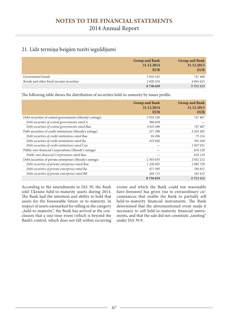### 21. Līdz termiņa beigām turēti ieguldījumi

|                                         | <b>Group and Bank</b><br>31.12.2014<br><b>EUR</b> | <b>Group and Bank</b><br>31.12.2013<br><b>EUR</b> |
|-----------------------------------------|---------------------------------------------------|---------------------------------------------------|
| Government bonds                        | 5910325                                           | 747 488                                           |
| Bonds and other fixed-income securities | 2 8 2 0 3 3 4                                     | 4 9 6 5 6 2 5                                     |
|                                         | 8730659                                           | 5 7 1 3 1 1 3                                     |

The following table shows the distribution of securities held-to-maturity by issuer profile:

|                                                          | <b>Group and Bank</b><br>31.12.2014<br><b>EUR</b> | <b>Group and Bank</b><br>31.12.2013<br><b>EUR</b> |
|----------------------------------------------------------|---------------------------------------------------|---------------------------------------------------|
| Debt securities of central governments (Moody's ratings) | 5910326                                           | 747487                                            |
| Debt securities of central governments rated A           | 986 830                                           |                                                   |
| Debt securities of central governments rated Baa         | 4 9 23 4 96                                       | 747487                                            |
| Debt securities of credit institutions (Moody's ratings) | 517298                                            | 2 3 0 3 2 8 5                                     |
| Debt securities of credit institutions rated Baa         | 84 206                                            | 75 216                                            |
| Debt securities of credit institutions rated Ba          | 433 092                                           | 391 038                                           |
| Debt securities of credit institutions rated Caa         |                                                   | 1837031                                           |
| Public non-financial Corporations (Moody's ratings)      |                                                   | 610 129                                           |
| Public non-financial Corporations rated Baa              |                                                   | 610129                                            |
| Debt securities of private enterprises (Moody's ratings) | 2 3 0 3 0 3 5                                     | 2 0 5 2 2 1 2                                     |
| Debt securities of private enterprises rated Baa         | 1 226 825                                         | 1 085 729                                         |
| Debt securities of private enterprises rated Ba          | 871 495                                           | 784 831                                           |
| Debt securities of private enterprises rated BB          | 204 715                                           | 181 652                                           |
|                                                          | 8730659                                           | 5713113                                           |

According to the amendments to IAS 39, the Bank sold Ukraine held-to-maturity assets during 2014. The Bank had the intention and ability to hold that assets for the foreseeable future or to maturity. In respect of assets earmarked for selling in the category "held-to-maturity", the Bank has arrived at the conclusion that a one-time event (which is beyond the Bank's control, which does not fall within recurring

events and which the Bank could not reasonably have foreseen) has given rise to extraordinary circumstances that enable the Bank to partially sell held-to-maturity financial instruments. The Bank determined that the aforementioned event made it necessary to sell held-to-maturity financial instruments, and that the sale did not constitute "tainting" under IAS 39.9.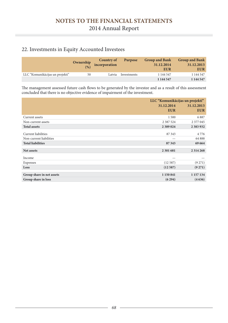### 22. Investments in Equity Accounted Investees

|                                 | Ownership<br>(%) | <b>Country of</b><br>incorporation | <b>Purpose</b> | <b>Group and Bank</b><br>31.12.2014<br><b>EUR</b> | <b>Group and Bank</b><br>31.12.2013<br><b>EUR</b> |
|---------------------------------|------------------|------------------------------------|----------------|---------------------------------------------------|---------------------------------------------------|
| LLC "Komunikācijas un projekti" | 50               | Latvia                             | Investments    | 1 144 547                                         | 1 144 547                                         |
|                                 |                  |                                    |                | 1 144 547                                         | 1 144 547                                         |

The management assessed future cash flows to be generated by the investee and as a result of this assessment concluded that there is no objective evidence of impairment of the investment.

|                           | LLC "Komunikācijas un projekti" |               |
|---------------------------|---------------------------------|---------------|
|                           | 31.12.2014                      | 31.12.2013    |
|                           | <b>EUR</b>                      | <b>EUR</b>    |
| Current assets            | 1 500                           | 6887          |
| Non-current assets        | 2 3 8 7 5 2 4                   | 2 377 045     |
| <b>Total assets</b>       | 2 3 8 9 0 2 4                   | 2 3 8 3 9 3 2 |
| Current liabilities       | 87 343                          | 4 7 7 6       |
| Non-current liabilities   |                                 | 64 888        |
| <b>Total liabilities</b>  | 87 343                          | 69 664        |
| Net assets                | 2 301 681                       | 2 3 1 4 2 6 8 |
| Income                    |                                 |               |
| Expenses                  | (12.587)                        | (9 271)       |
| Loss                      | (12587)                         | $(9\,271)$    |
|                           |                                 |               |
| Group share in net assets | 1 150 841                       | 1 1 5 7 1 3 4 |
| Group share in loss       | (6 294)                         | (4636)        |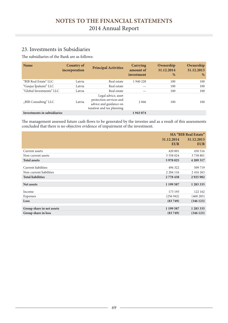### 23. Investments in Subsidiaries

The subsidiaries of the Bank are as follows:

| <b>Name</b>                 | <b>Country of</b><br>incorporation | <b>Principal Activities</b>                                                                           | Carrying<br>amount of<br>investment | Ownership<br>31.12.2014<br>$\%$ | Ownership<br>31.12.2013<br>$\%$ |
|-----------------------------|------------------------------------|-------------------------------------------------------------------------------------------------------|-------------------------------------|---------------------------------|---------------------------------|
| "BIB Real Estate" LLC       | Latvia                             | Real estate                                                                                           | 1 940 228                           | 100                             | 100                             |
| "Gaujas Īpašumi" LLC        | Latvia                             | Real estate                                                                                           |                                     | 100                             | 100                             |
| "Global Investments" LLC    | Latvia                             | Real estate                                                                                           |                                     | 100                             | 100                             |
| "BIB Consulting" LLC        | Latvia                             | Legal advice, asset<br>protection services and<br>advice and guidance on<br>taxation and tax planning | 2846                                | 100                             | 100                             |
| Investments in subsidiaries |                                    |                                                                                                       | 1943074                             |                                 |                                 |

The management assessed future cash flows to be generated by the investee and as a result of this assessments concluded that there is no objective evidence of impairment of the investment.

|                           |               | <b>SIA "BIB Real Estate"</b> |
|---------------------------|---------------|------------------------------|
|                           | 31.12.2014    | 31.12.2013                   |
|                           | <b>EUR</b>    | <b>EUR</b>                   |
| Current assets            | 420 001       | 450 516                      |
| Non-current assets        | 3 558 024     | 3758801                      |
| <b>Total assets</b>       | 3978025       | 4 209 317                    |
| Current liabilities       | 494 322       | 509 719                      |
| Non-current liabilities   | 2 2 8 4 1 1 6 | 2 416 263                    |
| <b>Total liabilities</b>  | 2778438       | 2925982                      |
| Net assets                | 1 199 587     | 1 283 335                    |
| Income                    | 173 193       | 122 162                      |
| Expenses                  | (256942)      | (468 285)                    |
| Loss                      | (83749)       | (346123)                     |
|                           |               |                              |
| Group share in net assets | 1 199 587     | 1 283 335                    |
| Group share in loss       | (83749)       | (346123)                     |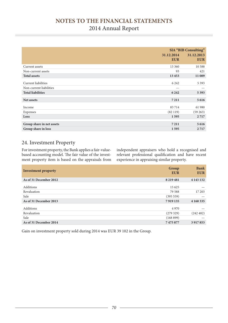|                                                | <b>SIA "BIB Consulting"</b> |                          |
|------------------------------------------------|-----------------------------|--------------------------|
|                                                | 31.12.2014<br><b>EUR</b>    | 31.12.2013<br><b>EUR</b> |
| Current assets                                 | 13 360                      | 10 5 8 8                 |
| Non-current assets                             | 93                          | 421                      |
| <b>Total assets</b>                            | 13 4 53                     | 11 009                   |
| Current liabilities<br>Non-current liabilities | 6 2 4 2                     | 5 3 9 3                  |
| <b>Total liabilities</b>                       | 6 2 4 2                     | 5 3 9 3                  |
| Net assets                                     | 7211                        | 5616                     |
| Income                                         | 83714                       | 61 980                   |
| Expenses                                       | (82119)                     | (59 263)                 |
| Loss                                           | 1595                        | 2717                     |
| Group share in net assets                      | 7211                        | 5 6 1 6                  |
| Group share in loss                            | 1595                        | 2717                     |

### 24. Investment Property

For investment property, the Bank applies a fair-valuebased accounting model. The fair value of the investment property item is based on the appraisals from independent appraisers who hold a recognised and relevant professional qualification and have recent experience in appraising similar property.

| <b>Investment property</b> | Group<br><b>EUR</b> | <b>Bank</b><br><b>EUR</b> |
|----------------------------|---------------------|---------------------------|
| As of 31 December 2012     | 8 2 1 9 4 8 1       | 4 143 132                 |
| Additions                  | 15 625              |                           |
| Revaluation                | 79 588              | 17 203                    |
| Sale                       | (395 559)           |                           |
| As of 31 December 2013     | 7919135             | 4 160 335                 |
| Additions                  | 4970                |                           |
| Revaluation                | (279 329)           | (242 482)                 |
| Sale                       | (168899)            |                           |
| As of 31 December 2014     | 7475877             | 3 9 1 7 8 5 3             |

Gain on investment property sold during 2014 was EUR 39 102 in the Group.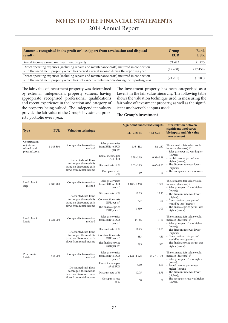| Amounts recognised in the profit or loss (apart from revaluation and disposal<br>result):                                                                                                 | Group<br><b>EUR</b> | <b>Bank</b><br><b>EUR</b> |
|-------------------------------------------------------------------------------------------------------------------------------------------------------------------------------------------|---------------------|---------------------------|
| Rental income earned on investment property                                                                                                                                               | 71 473              | 71 473                    |
| Direct operating expenses (including repairs and maintenance costs) incurred in connection<br>with the investment property which has earned a rental income during the reporting year     | (17450)             | (17 450)                  |
| Direct operating expenses (including repairs and maintenance costs) incurred in connection<br>with the investment property which has not earned a rental income during the reporting year | $(24\,201)$         | (1783)                    |

The fair value of investment property was determined by external, independent property valuers, having appropriate recognised professional qualifications and recent experience in the location and category of the property being valued. The independent valuers provide the fair value of the Group's investment property portfolio every year.

The investment property has been categorised as a Level 3 in the fair value hierarchy. The following table shows the valuation technique used in measuring the fair value of investment property, as well as the significant unobservable inputs used:

#### **The Group's investment**

|                                                                |                          |                                                                                 |                                                             | Significant unobservable inputs |                                                                          | <b>Inter-relation between</b><br>significant unobserva-                                                              |
|----------------------------------------------------------------|--------------------------|---------------------------------------------------------------------------------|-------------------------------------------------------------|---------------------------------|--------------------------------------------------------------------------|----------------------------------------------------------------------------------------------------------------------|
| <b>Type</b>                                                    | <b>EUR</b>               | <b>Valuation technique</b>                                                      |                                                             | 31.12.2014                      | 31.12.2013                                                               | ble inputs and fair value<br>measurement                                                                             |
| Construction<br>objects and<br>related land<br>plots in Latvia | 1 145 800                | Comparable transaction<br>method                                                | Sales price varies<br>from EUR to EUR<br>per m <sup>2</sup> | 133-452                         | $92 - 287$                                                               | The estimated fair value would<br>increase (decrease) if:<br>· Sales price per m2 was higher                         |
|                                                                |                          | Discounted cash flows                                                           | Rental income per<br>$m2$ of EUR                            | $0.38 - 6.19$                   | $0.38 - 6.19$                                                            | (lower);<br>• Rental income per m2 was<br>higher (lower);                                                            |
|                                                                |                          | technique: the model is<br>based on discounted cash<br>flows from rental income | Discount rate of %                                          | $6.63 - 9.75$                   | $6.63 - 9.75$                                                            | • The discount rate was lower<br>(higher);                                                                           |
|                                                                |                          |                                                                                 | Occupancy rate<br>of $%$                                    | 90                              | 90                                                                       | • The occupancy rate was lower.                                                                                      |
| Land plots in<br>Riga                                          | 2088700                  | Comparable transaction<br>method                                                | Sales price varies<br>from EUR to EUR<br>per m <sup>2</sup> | 1 100-1 350                     | 1 300                                                                    | The estimated fair value would<br>increase (decrease) if:<br>• Sales price per $m2$ was higher<br>(lower);           |
|                                                                |                          | Discounted cash flows                                                           | Discount rate of %                                          | 12.25                           | 12.25                                                                    | • The discount rate was lower<br>(higher);                                                                           |
|                                                                |                          | technique: the model is<br>based on discounted cash<br>flows from rental income | Construction costs<br>$EUR$ per m <sup>2</sup>              | 777                             | 480                                                                      | • Construction costs per $m2$<br>would be less (greater);                                                            |
|                                                                |                          |                                                                                 | The final sale price<br>$EUR$ per m <sup>2</sup>            | 1 3 5 0                         | 1 300                                                                    | • The final sale price per $m2$ was<br>higher (lower).                                                               |
| Land plots in<br>Latvia                                        | 1 324 000                | Comparable transaction<br>method                                                | Sales price varies<br>from EUR to EUR<br>per m <sup>2</sup> | $14 - 86$                       | $7 - 61$                                                                 | The estimated fair value would<br>increase (decrease) if:<br>• Sales price per $m2$ was higher<br>(lower):           |
|                                                                |                          | Discounted cash flows                                                           | Discount rate of %                                          | 11.75                           | 11.75                                                                    | • The discount rate was lower<br>(higher);                                                                           |
|                                                                |                          | technique: the model is<br>based on discounted cash                             | Construction costs<br>$EUR$ per m <sup>2</sup>              | 683                             | 480                                                                      | $\bullet$ Construction costs per m <sup>2</sup><br>would be less (greater);                                          |
|                                                                | flows from rental income | The final sale price<br>$EUR$ per m <sup>2</sup>                                | 785                                                         | 552                             | $\bullet$ The final sale price per m <sup>2</sup> was<br>higher (lower). |                                                                                                                      |
| Premises in<br>Latvia                                          | 443 000                  | Comparable transaction<br>method                                                | Sales price varies<br>from EUR to EUR<br>per m <sup>2</sup> | 2 121-2 128                     | 14 77-1 478                                                              | The estimated fair value would<br>increase (decrease) if:<br>• Sales price per m <sup>2</sup> was higher<br>(lower); |
|                                                                |                          | Discounted cash flows                                                           | Rental income per<br>$m2$ of EUR                            | 4.00                            | 2.81                                                                     | • Rental income per m <sup>2</sup> was<br>higher (lower);                                                            |
|                                                                |                          | technique: the model is<br>based on discounted cash<br>flows from rental income | Discount rate of %                                          | 12.75                           | 12.75                                                                    | • The discount rate was lower<br>(higher);                                                                           |
|                                                                |                          |                                                                                 | Occupancy rate<br>$of \%$                                   | 50                              | 50                                                                       | • The occupancy rate was higher<br>(lower).                                                                          |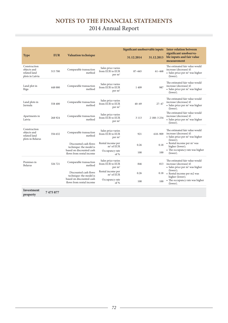|                                                                 |            |                                                      |                                                             | Significant unobservable inputs |             | <b>Inter-relation between</b>                                                                                                |
|-----------------------------------------------------------------|------------|------------------------------------------------------|-------------------------------------------------------------|---------------------------------|-------------|------------------------------------------------------------------------------------------------------------------------------|
| <b>Type</b>                                                     | <b>EUR</b> | <b>Valuation technique</b>                           |                                                             | 31.12.2014                      | 31.12.2013  | significant unobserva-<br>ble inputs and fair value<br>measurement                                                           |
| Construction<br>objects and<br>related land<br>plots in Latvia  | 515 700    | Comparable transaction<br>method                     | Sales price varies<br>from EUR to EUR<br>per m <sup>2</sup> | $87 - 665$                      | $61 - 468$  | The estimated fair value would<br>increase (decrease) if:<br>$\bullet$ Sales price per m <sup>2</sup> was higher<br>(lower). |
| Land plot in<br>Riga                                            | 448 000    | Comparable transaction<br>method                     | Sales price varies<br>from EUR to EUR<br>per m <sup>2</sup> | 1 4 0 9                         | 987         | The estimated fair value would<br>increase (decrease) if:<br>$\bullet$ Sales price per m <sup>2</sup> was higher<br>(lower). |
| Land plots in<br>Jurmala                                        | 558 400    | Comparable transaction<br>method                     | Sales price varies<br>from EUR to EUR<br>per m <sup>2</sup> | $40 - 69$                       | $27 - 47$   | The estimated fair value would<br>increase (decrease) if:<br>• Sales price per m <sup>2</sup> was higher<br>(lower).         |
| Apartments in<br>Latvia                                         | 268 924    | Comparable transaction<br>method                     | Sales price varies<br>from EUR to EUR<br>per m <sup>2</sup> | 3 1 1 3                         | 2 188-3 254 | The estimated fair value would<br>increase (decrease) if:<br>$\bullet$ Sales price per $m2$ was higher<br>(lower).           |
| Construction<br>objects and<br>related land<br>plots in Belarus | 356 632    | Comparable transaction<br>method                     | Sales price varies<br>from EUR to EUR<br>per m <sup>2</sup> | 921                             | 618-909     | The estimated fair value would<br>increase (decrease) if:<br>• Sales price per $m2$ was higher<br>(lower);                   |
|                                                                 |            | Discounted cash flows<br>technique: the model is     | Rental income per<br>$m2$ of EUR                            | 0.26                            | 0.18        | $\bullet$ Rental income per m <sup>2</sup> was<br>higher (lower);                                                            |
|                                                                 |            | based on discounted cash<br>flows from rental income | Occupancy rate<br>of $%$                                    | 100                             | 100         | • The occupancy rate was higher<br>(lower).                                                                                  |
| Premises in<br><b>Belarus</b>                                   | 326721     | Comparable transaction<br>method                     | Sales price varies<br>from EUR to EUR<br>per m <sup>2</sup> | 846                             | 813         | The estimated fair value would<br>increase (decrease) if:<br>• Sales price per $m2$ was higher                               |
|                                                                 |            | Discounted cash flows<br>technique: the model is     | Rental income per<br>$m2$ of EUR                            | 0.26                            | 0.18        | (lower);<br>• Rental income per m2 was<br>higher (lower);                                                                    |
|                                                                 |            | based on discounted cash<br>flows from rental income | Occupancy rate<br>$of \%$                                   | 100                             | 100         | • The occupancy rate was higher<br>(lower).                                                                                  |
| <b>Investment</b>                                               | 7.175.077  |                                                      |                                                             |                                 |             |                                                                                                                              |

**property 7 475 877**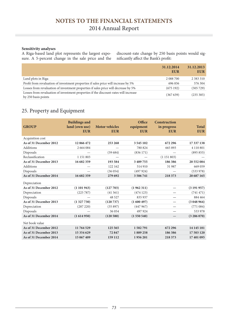#### **Sensitivity analyses**

A Riga-based land plot represents the largest exposure. A 5-percent change in the sale price and the discount-rate change by 250 basis points would significantly affect the Bank's profit:

|                                                                                                             | 31.12.2014<br><b>EUR</b> | 31.12.2013<br><b>EUR</b> |
|-------------------------------------------------------------------------------------------------------------|--------------------------|--------------------------|
| Land plots in Riga                                                                                          | 2 088 700                | 2 3 8 3 3 1 0            |
| Profit from revaluation of investment properties if sales price will increase by 5%                         | 696 836                  | 576 304                  |
| Losses from revaluation of investment properties if sales price will decrease by 5%                         | (675192)                 | (505 729)                |
| Losses from revaluation of investment properties if the discount-rates will increase<br>by 250 basis points | (367639)                 | (235 385)                |

### 25. Property and Equipment

| <b>GROUP</b>           | <b>Buildings and</b><br>land (own use)<br><b>EUR</b> | <b>Motor vehicles</b><br><b>EUR</b> | Office<br>equipment<br><b>EUR</b> | <b>Construction</b><br>in progress<br><b>EUR</b> | <b>Total</b><br><b>EUR</b> |
|------------------------|------------------------------------------------------|-------------------------------------|-----------------------------------|--------------------------------------------------|----------------------------|
| Acquisition cost       |                                                      |                                     |                                   |                                                  |                            |
| As of 31 December 2012 | 12 866 472                                           | 253 268                             | 3545102                           | 672 296                                          | 17 337 138                 |
| Additions              | 2 664 084                                            |                                     | 780 824                           | 665893                                           | 4 1 1 0 8 0 1              |
| Disposals              |                                                      | (59684)                             | (836171)                          |                                                  | (895 855)                  |
| Reclassification       | 1 1 5 1 8 0 3                                        |                                     |                                   | (1151803)                                        |                            |
| As of 31 December 2013 | 16 682 359                                           | 193 584                             | 3 489 755                         | 186 386                                          | 20 552 084                 |
| Additions              |                                                      | 122 162                             | 514910                            | 31 987                                           | 669 059                    |
| Disposals              |                                                      | (36054)                             | (497924)                          |                                                  | (533978)                   |
| As of 31 December 2014 | 16 682 359                                           | 279 692                             | 3 506 741                         | 218 373                                          | 20 687 165                 |
| Depreciation           |                                                      |                                     |                                   |                                                  |                            |
| As of 31 December 2012 | (1101943)                                            | (127703)                            | (1962311)                         |                                                  | (3191957)                  |
| Depreciation           | (225 787)                                            | (41561)                             | (474123)                          |                                                  | (741 471)                  |
| Disposals              |                                                      | 48 5 27                             | 835937                            | $\overline{\phantom{0}}$                         | 884 464                    |
| As of 31 December 2013 | (1327730)                                            | (120737)                            | (1600497)                         |                                                  | (3048964)                  |
| Depreciation           | (287 220)                                            | (35897)                             | (447967)                          |                                                  | (771084)                   |
| Disposals              |                                                      | 36 054                              | 497924                            |                                                  | 533 978                    |
| As of 31 December 2014 | (1614950)                                            | (120 580)                           | (1550540)                         |                                                  | (3286070)                  |
| Net book value         |                                                      |                                     |                                   |                                                  |                            |
| As of 31 December 2012 | 11764529                                             | 125 565                             | 1582791                           | 672 296                                          | 14 145 181                 |
| As of 31 December 2013 | 15 354 629                                           | 72847                               | 1889258                           | 186 386                                          | 17 503 120                 |
| As of 31 December 2014 | 15 067 409                                           | 159 112                             | 1956201                           | 218 373                                          | 17401095                   |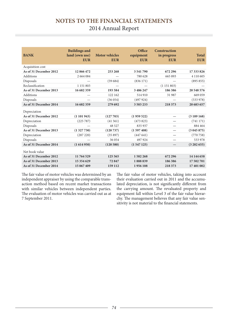| <b>BANK</b>            | <b>Buildings and</b><br>land (own use)<br><b>EUR</b> | <b>Motor vehicles</b><br><b>EUR</b> | Office<br>equipment<br><b>EUR</b> | <b>Construction</b><br>in progress<br><b>EUR</b> | <b>Total</b><br><b>EUR</b> |
|------------------------|------------------------------------------------------|-------------------------------------|-----------------------------------|--------------------------------------------------|----------------------------|
| Acquisition cost       |                                                      |                                     |                                   |                                                  |                            |
| As of 31 December 2012 | 12 866 472                                           | 253 268                             | 3541790                           | 672 296                                          | 17 333 826                 |
| Additions              | 2 664 084                                            |                                     | 780 628                           | 665 893                                          | 4 110 605                  |
| Disposals              |                                                      | (59684)                             | (836171)                          |                                                  | (895 855)                  |
| Reclassification       | 1 1 5 1 8 0 3                                        |                                     |                                   | (1151803)                                        |                            |
| As of 31 December 2013 | 16 682 359                                           | 193 584                             | 3 486 247                         | 186386                                           | 20 548 576                 |
| Additions              |                                                      | 122 162                             | 514910                            | 31 987                                           | 669 059                    |
| Disposals              |                                                      | (36054)                             | (497924)                          |                                                  | (533978)                   |
| As of 31 December 2014 | 16 682 359                                           | 279 692                             | 3503233                           | 218 373                                          | 20 683 657                 |
| Depreciation           |                                                      |                                     |                                   |                                                  |                            |
| As of 31 December 2012 | (1101943)                                            | (127703)                            | (1959522)                         |                                                  | (3189168)                  |
| Depreciation           | (225787)                                             | (41561)                             | (473823)                          |                                                  | (741171)                   |
| Disposals              |                                                      | 48 527                              | 835937                            |                                                  | 884 464                    |
| As of 31 December 2013 | (1327730)                                            | (120737)                            | (1597408)                         |                                                  | (3045875)                  |
| Depreciation           | (287 220)                                            | (35897)                             | (447641)                          |                                                  | (770758)                   |
| Disposals              |                                                      | 36 054                              | 497924                            |                                                  | 533 978                    |
| As of 31 December 2014 | (1614950)                                            | (120580)                            | (1547125)                         |                                                  | (3282655)                  |
| Net book value         |                                                      |                                     |                                   |                                                  |                            |
| As of 31 December 2012 | 11764529                                             | 125 565                             | 1582268                           | 672 296                                          | 14 144 658                 |
| As of 31 December 2013 | 15 354 629                                           | 72847                               | 1888839                           | 186 386                                          | 17 502 701                 |
| As of 31 December 2014 | 15 067 409                                           | 159 112                             | 1956108                           | 218 373                                          | 17 401 002                 |

The fair value of motor vehicles was determined by an independent appraiser by using the comparable transaction method based on recent market transactions with similar vehicles between independent parties. The evaluation of motor vehicles was carried out as at 7 September 2011.

The fair value of motor vehicles, taking into account their evaluation carried out in 2011 and the accumulated depreciation, is not significantly different from the carrying amount. The revaluated property and equipment fall within Level 3 of the fair value hierarchy. The management believes that any fair value sensitivity is not material to the financial statements.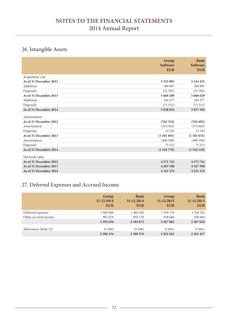# 26. Intangible Assets

| Acquisition cost<br>As of 31 December 2012<br>5 3 3 5 0 9 5<br>5 3 3 4 4 3 5<br>Additions<br>369 897<br>369 897<br>Disposals<br>(35703)<br>(35703)<br>As of 31 December 2013<br>5 669 289<br>5 668 629<br>Additions<br>244 277<br>244 277<br>Disposals<br>(75512)<br>(75512)<br>As of 31 December 2014<br>5837394<br>5838054<br>Amortization |
|----------------------------------------------------------------------------------------------------------------------------------------------------------------------------------------------------------------------------------------------------------------------------------------------------------------------------------------------|
|                                                                                                                                                                                                                                                                                                                                              |
|                                                                                                                                                                                                                                                                                                                                              |
|                                                                                                                                                                                                                                                                                                                                              |
|                                                                                                                                                                                                                                                                                                                                              |
|                                                                                                                                                                                                                                                                                                                                              |
|                                                                                                                                                                                                                                                                                                                                              |
|                                                                                                                                                                                                                                                                                                                                              |
|                                                                                                                                                                                                                                                                                                                                              |
|                                                                                                                                                                                                                                                                                                                                              |
| As of 31 December 2012<br>(763 352)<br>(762692)                                                                                                                                                                                                                                                                                              |
| Amortization<br>(374042)<br>(374042)                                                                                                                                                                                                                                                                                                         |
| Disposals<br>35 703<br>35 703                                                                                                                                                                                                                                                                                                                |
| As of 31 December 2013<br>(1101691)<br>(1101031)                                                                                                                                                                                                                                                                                             |
| Amortization<br>(490599)<br>(490599)                                                                                                                                                                                                                                                                                                         |
| 75 512<br>75 5 12<br>Disposals                                                                                                                                                                                                                                                                                                               |
| As of 31 December 2014<br>(1516778)<br>(1516118)                                                                                                                                                                                                                                                                                             |
| Net book value                                                                                                                                                                                                                                                                                                                               |
| As of 31 December 2012<br>4571743<br>4571743                                                                                                                                                                                                                                                                                                 |
| As of 31 December 2013<br>4567598<br>4567598                                                                                                                                                                                                                                                                                                 |
| As of 31 December 2014<br>4 3 2 1 2 7 6<br>4 3 2 1 2 7 6                                                                                                                                                                                                                                                                                     |

# 27. Deferred Expenses and Accrued Income

|                      | Group<br>31.12.2014<br><b>EUR</b> | <b>Bank</b><br>31.12.2014<br><b>EUR</b> | Group<br>31.12.2013<br><b>EUR</b> | <b>Bank</b><br>31.12.2013<br><b>EUR</b> |
|----------------------|-----------------------------------|-----------------------------------------|-----------------------------------|-----------------------------------------|
| Deferred expenses    | 1 484 960                         | 1 484 502                               | 1 3 3 9 1 7 8                     | 1 338 334                               |
| Other accrued income | 907 670                           | 910 170                                 | 928 684                           | 928 684                                 |
|                      | 2 392 630                         | 2 3 9 4 6 7 2                           | 2 2 6 7 8 6 2                     | 2 2 6 7 0 1 8                           |
| Allowances (Note 12) | (6296)                            | (6296)                                  | (5601)                            | (5601)                                  |
|                      | 2 3 8 6 3 3 4                     | 2 3 8 3 3 7 6                           | 2 2 6 2 2 6 1                     | 2 2 6 1 4 1 7                           |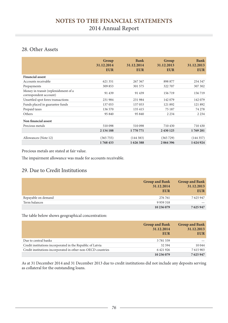#### 28. Other Assets

|                                                                | Group<br>31.12.2014<br><b>EUR</b> | <b>Bank</b><br>31.12.2014<br><b>EUR</b> | Group<br>31.12.2013<br><b>EUR</b> | <b>Bank</b><br>31.12.2013<br><b>EUR</b> |
|----------------------------------------------------------------|-----------------------------------|-----------------------------------------|-----------------------------------|-----------------------------------------|
| <b>Financial assest</b>                                        |                                   |                                         |                                   |                                         |
| Accounts receivable                                            | 621 351                           | 267 367                                 | 898 877                           | 254 347                                 |
| Prepayments                                                    | 309 853                           | 301 575                                 | 322 707                           | 307 302                                 |
| Money in transit (replenishment of a<br>correspondent account) | 91 439                            | 91 439                                  | 156719                            | 156719                                  |
| Unsettled spot forex transactions                              | 231 984                           | 231984                                  | 142 079                           | 142 079                                 |
| Funds placed in guarantee funds                                | 137 053                           | 137 053                                 | 121892                            | 121892                                  |
| Prepaid taxes                                                  | 136 570                           | 135 415                                 | 75 187                            | 74 278                                  |
| Others                                                         | 95 840                            | 95 840                                  | 2 2 3 4                           | 2 2 3 4                                 |
| Non financial assest                                           |                                   |                                         |                                   |                                         |
| Precious metals                                                | 510 098                           | 510098                                  | 710430                            | 710430                                  |
|                                                                | 2 134 188                         | 1770771                                 | 2 430 125                         | 1769 281                                |
| Allowances (Note 12)                                           | (365755)<br>1768433               | (144383)<br>1626388                     | (365729)<br>2 064 396             | (144357)<br>1624924                     |

Precious metals are stated at fair value.

The impairment allowance was made for accounts receivable.

### 29. Due to Credit Institutions

|                     | <b>Group and Bank</b><br>31.12.2014<br><b>EUR</b> | <b>Group and Bank</b><br>31.12.2013<br><b>EUR</b> |
|---------------------|---------------------------------------------------|---------------------------------------------------|
| Repayable on demand | 276 761                                           | 7 625 947                                         |
| Term balances       | 9 9 5 9 3 1 8                                     |                                                   |
|                     | 10 236 079                                        | 7625947                                           |

#### The table below shows geographical concentration:

|                                                              | <b>Group and Bank</b><br>31.12.2014<br><b>EUR</b> | <b>Group and Bank</b><br>31.12.2013<br><b>EUR</b> |
|--------------------------------------------------------------|---------------------------------------------------|---------------------------------------------------|
| Due to central banks                                         | 3 781 559                                         |                                                   |
| Credit institutions incorporated in the Republic of Latvia   | 32 5 9 4                                          | 10 044                                            |
| Credit institutions incorporated in other non-OECD countries | 6421926                                           | 7615903                                           |
|                                                              | 10 236 079                                        | 7625947                                           |

As at 31 December 2014 and 31 December 2013 due to credit institutions did not include any deposits serving as collateral for the outstanding loans.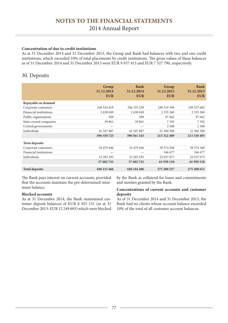#### **Concentration of due to credit institutions**

As at 31 December 2014 and 31 December 2013, the Group and Bank had balances with two and one credit institutions, which exceeded 10% of total placements by credit institutions. The gross values of these balances as of 31 December 2014 and 31 December 2013 were EUR 9 957 415 and EUR 7 327 790, respectively.

#### 30. Deposits

|                        | Group<br>31.12.2014<br><b>EUR</b> | <b>Bank</b><br>31.12.2014<br><b>EUR</b> | <b>Group</b><br>31.12.2013<br><b>EUR</b> | <b>Bank</b><br>31.12.2013<br><b>EUR</b> |
|------------------------|-----------------------------------|-----------------------------------------|------------------------------------------|-----------------------------------------|
| Repayable on demand    |                                   |                                         |                                          |                                         |
| Corporate customers    | 346 324 419                       | 346 335 239                             | 189 519 599                              | 189 527 683                             |
| Financial institutions | 2638049                           | 2 638 049                               | 2 3 3 5 2 6 0                            | 2 3 3 5 2 6 0                           |
| Public organisations   | 509                               | 509                                     | 97 662                                   | 97 662                                  |
| State-owned companies  | 39 861                            | 39 861                                  | 7392                                     | 7392                                    |
| Central governments    |                                   |                                         | 2 1 8 8                                  | 2 1 8 8                                 |
| Individuals            | 41 547 887                        | 41 547 887                              | 21 360 308                               | 21 360 308                              |
|                        | 390 550 725                       | 390 561 545                             | 213 322 409                              | 213 330 493                             |
| <b>Term deposits</b>   |                                   |                                         |                                          |                                         |
| Corporate customers    | 34 479 446                        | 34 479 446                              | 39 574 368                               | 39 574 368                              |
| Financial institutions |                                   |                                         | 346 677                                  | 346 677                                 |
| Individuals            | 23 203 295                        | 23 203 295                              | 22 037 073                               | 22 037 073                              |
|                        | 57 682 741                        | 57 682 741                              | 61958118                                 | 61 958 118                              |
| <b>Total deposits</b>  | 448 233 466                       | 448 244 286                             | 275 280 527                              | 275 288 611                             |

The Bank pays interest on current accounts, provided that the accounts maintain the pre-determined minimum balance.

#### **Blocked accounts**

As at 31 December 2014, the Bank maintained customer deposit balances of EUR 8 925 151 (as at 31 December 2013: EUR 12 249 693) which were blocked by the Bank as collateral for loans and commitments and sureties granted by the Bank.

#### **Concentrations of current accounts and customer deposits**

As of 31 December 2014 and 31 December 2013, the Bank had no clients whose account balance exceeded 10% of the total of all customer account balances.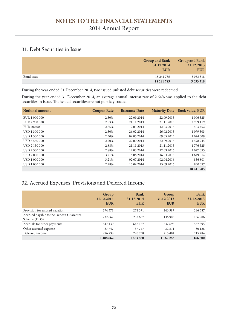#### 31. Debt Securities in Issue

|            | <b>Group and Bank</b><br>31.12.2014<br><b>EUR</b> | <b>Group and Bank</b><br>31.12.2013<br><b>EUR</b> |
|------------|---------------------------------------------------|---------------------------------------------------|
| Bond issue | 18 241 785                                        | 5 0 5 3 3 1 8                                     |
|            | 18 241 785                                        | 5 0 5 3 3 1 8                                     |

During the year ended 31 December 2014, two issued unlisted debt securities were redeemed.

During the year ended 31 December 2014, an average annual interest rate of 2.64% was applied to the debt securities in issue. The issued securities are not publicly traded.

| <b>Notional amount</b> | <b>Coupon Rate</b> | <b>Iissuance Date</b> |            | <b>Maturity Date Book value, EUR</b> |
|------------------------|--------------------|-----------------------|------------|--------------------------------------|
| EUR 1 000 000          | 2.30%              | 22.09.2014            | 22.09.2015 | 1 006 325                            |
| EUR 2 900 000          | 2.83%              | 21.11.2013            | 21.11.2015 | 2 909 119                            |
| EUR 400 000            | 2.85%              | 12.03.2014            | 12.03.2016 | 403 452                              |
| <b>USD 1 300 000</b>   | 2.30%              | 26.02.2014            | 26.02.2015 | 1 079 303                            |
| USD 1 300 000          | 2.30%              | 09.05.2014            | 09.05.2015 | 1 0 7 4 3 0 9                        |
| <b>USD 5 550 000</b>   | 2.20%              | 22.09.2014            | 22.09.2015 | 4 5 9 9 9 4 5                        |
| USD 2 150 000          | 2.88%              | 21.11.2013            | 21.11.2015 | 1776 525                             |
| <b>USD 2 500 000</b>   | 2.88%              | 12.03.2014            | 12.03.2016 | 2 0 7 0 9 5                          |
| USD 2 000 000          | 3.21%              | 16.06.2014            | 16.03.2016 | 1 649 514                            |
| USD 1 000 000          | 3.21%              | 02.07.2014            | 02.04.2016 | 836 801                              |
| <b>USD 1 000 000</b>   | 2.78%              | 15.09.2014            | 15.09.2016 | 830 397                              |
|                        |                    |                       |            | 18 241 785                           |

#### 32. Accrued Expenses, Provisions and Deferred Income

|                                                          | Group<br>31.12.2014<br><b>EUR</b> | <b>Bank</b><br>31.12.2014<br><b>EUR</b> | Group<br>31.12.2013<br><b>EUR</b> | <b>Bank</b><br>31.12.2013<br><b>EUR</b> |
|----------------------------------------------------------|-----------------------------------|-----------------------------------------|-----------------------------------|-----------------------------------------|
| Provision for unused vacation                            | 274 371                           | 274 371                                 | 246 387                           | 246 387                                 |
| Accrued payable to the Deposit Guarantee<br>Scheme (DGS) | 232 667                           | 232 667                                 | 136 906                           | 136 906                                 |
| Accruals for other payments                              | 647 139                           | 642 157                                 | 537 695                           | 537 695                                 |
| Other accrued expense                                    | 37 747                            | 37 747                                  | 32 811                            | 30 128                                  |
| Deferred income                                          | 296 738                           | 296 738                                 | 215 484                           | 215 484                                 |
|                                                          | 1488662                           | 1483680                                 | 1 169 283                         | 1 166 600                               |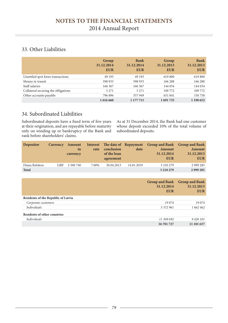### 33. Other Liabilities

|                                     | Group<br>31.12.2014<br><b>EUR</b> | <b>Bank</b><br>31.12.2014<br><b>EUR</b> | Group<br>31.12.2013<br><b>EUR</b> | <b>Bank</b><br>31.12.2013<br><b>EUR</b> |
|-------------------------------------|-----------------------------------|-----------------------------------------|-----------------------------------|-----------------------------------------|
| Unsettled spot forex transactions   | 49 193                            | 49 193                                  | 619 800                           | 619 800                                 |
| Money in transit                    | 598 933                           | 598 933                                 | 166 288                           | 166 288                                 |
| Staff salaries                      | 166 367                           | 166 367                                 | 144 034                           | 144 034                                 |
| Collateral securing the obligations | 5 2 7 1                           | 5 2 7 1                                 | 109 772                           | 109 772                                 |
| Other accounts payable              | 796 896                           | 357949                                  | 651841                            | 150 758                                 |
|                                     | 1616660                           | 1 177 713                               | 1691735                           | 1 190 652                               |

### 34. Subordinated Liabilities

Subordinated deposits have a fixed term of five years at their origination, and are repayable before maturity only on winding up or bankruptcy of the Bank and rank before shareholders' claims.

As at 31 December 2014, the Bank had one customer whose deposit exceeded 10% of the total volume of subordinated deposits.

| <b>Depositor</b> | Currency | Amount<br>$\mathbf{in}$<br>currency | rate  | conclusion<br>of the loan<br>agreement | date       | Interest The date of Repayment Group and Bank Group and Bank<br>Amount<br>31.12.2014<br><b>EUR</b> | Amount<br>31.12.2013<br><b>EUR</b> |
|------------------|----------|-------------------------------------|-------|----------------------------------------|------------|----------------------------------------------------------------------------------------------------|------------------------------------|
| Diana Belokon    | GBP      | 2 500 740                           | 7.00% | 30.04.2013                             | 14.01.2019 | 3 210 279                                                                                          | 2 9 9 2 2 8 5                      |
| <b>Total</b>     |          |                                     |       |                                        |            | 3 2 10 2 79                                                                                        | 2999285                            |

|                                     | 31.12.2014<br><b>EUR</b> | Group and Bank Group and Bank<br>31.12.2013<br><b>EUR</b> |
|-------------------------------------|--------------------------|-----------------------------------------------------------|
| Residents of the Republic of Latvia |                          |                                                           |
| Corporate customers                 | 19074                    | 19074                                                     |
| <i>Individuals</i>                  | 5 372 961                | 1 662 462                                                 |
| <b>Residents of other countries</b> |                          |                                                           |
| <i>Individuals</i>                  | 11 309 692               | 9 4 20 10 1                                               |
|                                     | 16 701 727               | 11 101 637                                                |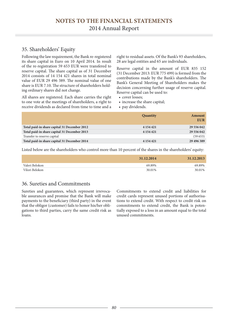### 35. Shareholders' Equity

Following the law requirement, the Bank re-registered its share capital in Euro on 10 April 2014. In result of the re-registration 59 653 EUR were transfered to reserve capital. The share capital as of 31 December 2014 consists of 14 154 421 shares in total nominal value of EUR 29 496 389. The nominal value of one share is EUR 7.10. The structure of shareholders holding ordinary shares did not change.

All shares are registered. Each share carries the right to one vote at the meetings of shareholders, a right to receive dividends as declared from time to time and a right to residual assets. Of the Bank's 93 shareholders, 28 are legal entities and 65 are individuals.

Reserve capital in the amount of EUR 835 152 (31 December 2013: EUR 775 499) is formed from the contributions made by the Bank's shareholders. The Bank's General Meeting of Shareholders makes the decision concerning further usage of reserve capital. Reserve capital can be used to:

- cover losses;
- increase the share capital;
- pay dividends.

|                                              | Quantity      | Amount<br><b>EUR</b> |
|----------------------------------------------|---------------|----------------------|
| Total paid-in share capital 31 December 2012 | 4 1 5 4 4 2 1 | 29 556 042           |
| Total paid-in share capital 31 December 2013 | 4 1 5 4 4 2 1 | 29 556 042           |
| Transfer to reserve capital                  |               | (59653)              |
| Total paid-in share capital 31 December 2014 | 4 1 5 4 4 2 1 | 29 496 389           |

Listed below are the shareholders who control more than 10 percent of the shares in the shareholders' equity:

|                | 31.12.2014 | 31.12.2013 |
|----------------|------------|------------|
| Valeri Belokon | 69.89%     | 69.89%     |
| Vilori Belokon | 30.01%     | 30.01%     |

#### 36. Sureties and Commitments

Sureties and guarantees, which represent irrevocable assurances and promise that the Bank will make payments to the beneficiary (third party) in the event that the obligor (customer) fails to honor his/her obligations to third parties, carry the same credit risk as loans.

Commitments to extend credit and liabilities for credit cards represent unused portions of authorisations to extend credit. With respect to credit risk on commitments to extend credit, the Bank is potentially exposed to a loss in an amount equal to the total unused commitments.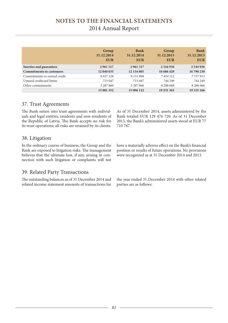|                                 | Group<br>31.12.2014<br><b>EUR</b> | <b>Bank</b><br>31.12.2014<br><b>EUR</b> | Group<br>31.12.2013<br><b>EUR</b> | <b>Bank</b><br>31.12.2013<br><b>EUR</b> |
|---------------------------------|-----------------------------------|-----------------------------------------|-----------------------------------|-----------------------------------------|
| Sureties and guarantees         | 2961317                           | 2961317                                 | 2 544 936                         | 2 5 4 4 9 3 6                           |
| <b>Commitments to customers</b> | 12 040 035                        | 12 134 805                              | 16 686 429                        | 16790230                                |
| Commitments to extend credit    | 8 0 3 7 1 2 8                     | 8 131 898                               | 7 654 112                         | 7757913                                 |
| Unused creditcard limits        | 715 047                           | 715 047                                 | 744 249                           | 744 249                                 |
| Other commitments               | 3 287 860                         | 3 287 860                               | 8 2 8 8 0 6 8                     | 8 2 8 8 0 6 8                           |
|                                 | 15 001 352                        | 15 096 122                              | 19 231 365                        | 19 335 166                              |

#### 37. Trust Agreements

The Bank enters into trust agreements with individuals and legal entities, residents and non-residents of the Republic of Latvia. The Bank accepts no risk for its trust operations; all risks are retained by its clients.

As of 31 December 2014, assets administered by the Bank totaled EUR 129 476 720. As of 31 December 2013, the Bank's administered assets stood at EUR 77 710 787.

#### 38. Litigation

In the ordinary course of business, the Group and the Bank are exposed to litigation risks. The management believes that the ultimate loss, if any, arising in connection with such litigation or complaints will not have a materially adverse effect on the Bank's financial position or results of future operations. No provisions were recognized as at 31 December 2014 and 2013.

#### 39. Related Party Transactions

The outstanding balances as of 31 December 2014 and related income statement amounts of transactions for the year ended 31 December 2014 with other related parties are as follows: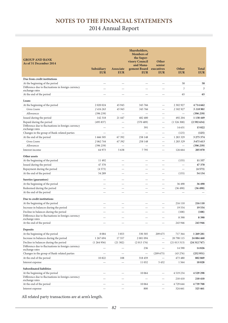| <b>GROUP AND BANK</b><br>As of 31 December 2014                      | Subsidiary<br><b>EUR</b>       | <b>Associate</b><br><b>EUR</b> | Shareholders,<br><b>Members</b> of<br>the Super-<br>visory Council<br>and Mana-<br>gement Board<br><b>EUR</b> | Other<br>senior<br>executives<br><b>EUR</b> | Other<br><b>EUR</b> | <b>Total</b><br><b>EUR</b> |
|----------------------------------------------------------------------|--------------------------------|--------------------------------|---------------------------------------------------------------------------------------------------------------|---------------------------------------------|---------------------|----------------------------|
| Due from credit institutions                                         |                                |                                |                                                                                                               |                                             |                     |                            |
| At the beginning of the period                                       |                                |                                |                                                                                                               |                                             | 58                  | 58                         |
| Difference due to fluctuations in foreign currency<br>exchange rates |                                |                                |                                                                                                               |                                             | $\overline{7}$      | $\overline{7}$             |
| At the end of the period                                             |                                |                                |                                                                                                               |                                             | 65                  | 65                         |
| Loans                                                                |                                |                                |                                                                                                               |                                             |                     |                            |
| At the beginning of the period                                       | 2 0 2 0 0 2 4                  | 45 9 45                        | 345 766                                                                                                       | $\overline{\phantom{0}}$                    | 2 302 927           | 4 7 1 4 6 6 2              |
| Gross Loans                                                          | 2 416 263                      | 45 945                         | 345 766                                                                                                       | $\equiv$                                    | 2 302 927           | 5 110 901                  |
| Allowances                                                           | (396 239)                      |                                |                                                                                                               | $\overline{\phantom{0}}$                    |                     | (396 239)                  |
| Issued during the period                                             | 142 318                        | 21 4 4 7                       | 482 480                                                                                                       | $=$                                         | 492 204             | 1 138 449                  |
| Repaid during the period                                             | (495837)                       |                                | (570 489)                                                                                                     | $\equiv$                                    | (1526308)           | (2592634)                  |
| Difference due to fluctuations in foreign currency<br>exchange rates |                                |                                | 391                                                                                                           |                                             | 14 631              | 15 022                     |
| Changes in the group of Bank-related parties                         | $\overline{\phantom{0}}$       |                                | $\equiv$                                                                                                      | $\overline{\phantom{0}}$                    | (125)               | (125)                      |
| At the end of the period                                             | 1 666 505                      | 67 392                         | 258 148                                                                                                       | $\equiv$                                    | 1 283 329           | 3 275 374                  |
| Gross Loans                                                          | 2 062 744                      | 67392                          | 258 148                                                                                                       | $\overline{\phantom{0}}$                    | 1 283 329           | 3 671 613                  |
| Allowances                                                           | (396 239)                      |                                |                                                                                                               | $\overline{\phantom{0}}$                    |                     | (396 239)                  |
| Interest income                                                      | 64 973                         | 5638                           | 7795                                                                                                          | $\overline{\phantom{0}}$                    | 126 664             | 205 070                    |
| Other assets                                                         |                                |                                |                                                                                                               |                                             |                     |                            |
| At the beginning of the period                                       | 11 492                         |                                | $\qquad \qquad -$                                                                                             | $\qquad \qquad \longleftarrow$              | (155)               | 11 3 3 7                   |
| Issued during the period                                             | 47 370                         | $\overline{\phantom{0}}$       | ÷.                                                                                                            | $\overline{\phantom{0}}$                    | $\equiv$            | 47370                      |
| Repayment during the period                                          | (4573)                         |                                | $\overline{\phantom{0}}$                                                                                      | $\overline{\phantom{0}}$                    |                     | (4573)                     |
| At the end of the period                                             | 54 289                         | $\sim$                         | $\sim$                                                                                                        | L.                                          | (155)               | 54 134                     |
| Sureties (guarantees)                                                |                                |                                |                                                                                                               |                                             |                     |                            |
| At the beginning of the period                                       |                                |                                |                                                                                                               | $\qquad \qquad \longleftarrow$              | 36 490              | 36 490                     |
| Redeemed during the period                                           |                                | $\overline{\phantom{0}}$       | $\overline{\phantom{0}}$                                                                                      | $\qquad \qquad -$                           | (36 490)            | (36 490)                   |
| At the end of the period                                             | $\equiv$                       | $\equiv$                       | $\equiv$                                                                                                      | $\equiv$                                    |                     |                            |
| Due to credit institutions                                           |                                |                                |                                                                                                               |                                             |                     |                            |
| At the beginning of the period                                       |                                |                                |                                                                                                               |                                             | 216 110             | 216 110                    |
| Increase in balances during the period                               |                                |                                |                                                                                                               |                                             | 19554               | 19554                      |
| Decline in balances during the period                                |                                |                                |                                                                                                               | $\overline{\phantom{0}}$                    | (108)               | (108)                      |
| Difference due to fluctuations in foreign currency<br>exchange rates |                                |                                |                                                                                                               |                                             | 8 3 9 0             | 8390                       |
| At the end of the period                                             |                                |                                |                                                                                                               |                                             | 243 946             | 243 946                    |
| Deposits                                                             |                                |                                |                                                                                                               |                                             |                     |                            |
| At the beginning of the period                                       | 8084                           | 3853                           | 330 305                                                                                                       | 209 675                                     | 717 364             | 1 269 281                  |
| Increase in balances during the period                               | 1 267 694                      | 17 557                         | 2 001 094                                                                                                     | $\qquad \qquad \longleftarrow$              | 20 798 115          | 24 084 460                 |
| Decline in balances during the period                                | (1264956)                      | (21302)                        | (2013176)                                                                                                     | $\qquad \qquad -$                           | (21013313)          | $(24\,312\,747)$           |
| Difference due to fluctuations in foreign currency<br>exchange rates | $\qquad \qquad \longleftarrow$ |                                | 236                                                                                                           | $\overline{\phantom{0}}$                    | 14 5 9 0            | 14826                      |
| Changes in the group of Bank-related parties                         |                                | $\qquad \qquad -$              | $\qquad \qquad -$                                                                                             | (209 675)                                   | $(43\ 276)$         | (252951)                   |
| At the end of the period                                             | 10822                          | 108                            | 318 459                                                                                                       |                                             | 473 480             | 802 869                    |
| Interest expense                                                     |                                |                                | 11 032                                                                                                        | 5 4 3 2                                     | 1564                | 18028                      |
| <b>Subordinated liabilities</b>                                      |                                |                                |                                                                                                               |                                             |                     |                            |
| At the beginning of the period                                       | $\equiv$                       |                                | 10 064                                                                                                        | $\overline{\phantom{0}}$                    | 4519234             | 4 5 29 29 8                |
| Difference due to fluctuations in foreign currency<br>exchange rates | $\overline{\phantom{0}}$       |                                |                                                                                                               | $\qquad \qquad \longleftarrow$              | 210 410             | 210 410                    |
| At the end of the period                                             |                                |                                | 10 064                                                                                                        | —                                           | 4 729 644           | 4 739 708                  |
| Interest expense                                                     |                                |                                | 800                                                                                                           |                                             | 324 661             | 325 461                    |

All related party transactions are at arm's length.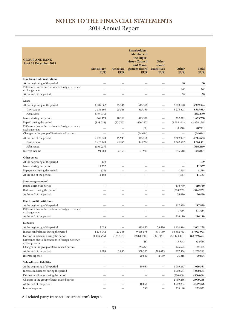| <b>GROUP AND BANK</b><br>As of 31 December 2013                                      | Subsidiary<br><b>EUR</b> | <b>Associate</b><br><b>EUR</b> | Shareholders,<br><b>Members</b> of<br>the Super-<br>visory Council<br>and Mana-<br>gement Board<br><b>EUR</b> | Other<br>senior<br>executives<br><b>EUR</b> | Other<br><b>EUR</b>      | <b>Total</b><br><b>EUR</b> |
|--------------------------------------------------------------------------------------|--------------------------|--------------------------------|---------------------------------------------------------------------------------------------------------------|---------------------------------------------|--------------------------|----------------------------|
| Due from credit institutions                                                         |                          |                                |                                                                                                               |                                             |                          |                            |
| At the beginning of the period                                                       |                          |                                |                                                                                                               |                                             | 60                       | 60                         |
| Difference due to fluctuations in foreign currency                                   |                          |                                |                                                                                                               |                                             | (2)                      | (2)                        |
| exchange rates<br>At the end of the period                                           | $\overline{\phantom{0}}$ | $\overline{\phantom{0}}$       | $\overline{\phantom{0}}$                                                                                      | $\overline{\phantom{0}}$                    | 58                       | 58                         |
|                                                                                      |                          |                                |                                                                                                               |                                             |                          |                            |
| Loans                                                                                |                          |                                |                                                                                                               |                                             |                          |                            |
| At the beginning of the period                                                       | 1989862                  | 25 5 46                        | 615 358                                                                                                       | $\overline{\phantom{0}}$                    | 3 278 628                | 5 909 394                  |
| Gross Loans                                                                          | 2 386 101                | 25 5 46                        | 615 358                                                                                                       | ÷,                                          | 3 278 628                | 6 305 633                  |
| Allowances                                                                           | (396 239)                |                                |                                                                                                               | $\overline{\phantom{0}}$                    |                          | (396 239)                  |
| Issued during the period                                                             | 868 178                  | 78 169                         | 425 350                                                                                                       | $\equiv$                                    | 292 071                  | 1663768                    |
| Repaid during the period<br>Difference due to fluctuations in foreign currency       | (838016)                 | (57 770)                       | (670 227)                                                                                                     |                                             | (1259112)                | (2825125)                  |
| exchange rates                                                                       |                          |                                | (61)                                                                                                          | $\overline{\phantom{0}}$                    | (8660)                   | (8721)                     |
| Changes in the group of Bank-related parties                                         | $\overline{\phantom{0}}$ | $\overline{\phantom{0}}$       | (24654)                                                                                                       | $\overline{\phantom{0}}$                    | $\overline{\phantom{0}}$ | (24654)                    |
| At the end of the period                                                             | 2 0 2 0 0 2 4            | 45 9 45                        | 345 766                                                                                                       |                                             | 2 302 927                | 4714662                    |
| Gross Loans                                                                          | 2 416 263                | 45 945                         | 345 766                                                                                                       |                                             | 2 302 927                | 5 110 901                  |
| Allowances                                                                           | (396 239)                | $\overline{\phantom{0}}$       |                                                                                                               | $\overline{\phantom{0}}$                    | L.                       | (396 239)                  |
| Interest income                                                                      | 91 084                   | 2 4 5 3                        | 21 9 19                                                                                                       |                                             | 246 618                  | 362 074                    |
| Other assets                                                                         |                          |                                |                                                                                                               |                                             |                          |                            |
| At the beginning of the period                                                       | 179                      | $\overline{\phantom{0}}$       |                                                                                                               |                                             |                          | 179                        |
| Issued during the period                                                             | 11 337                   |                                |                                                                                                               |                                             |                          | 11 3 3 7                   |
| Repayment during the period                                                          | (24)                     |                                |                                                                                                               | $\overline{\phantom{0}}$                    | (155)                    | (179)                      |
| At the end of the period                                                             | 11 492                   |                                |                                                                                                               |                                             | (155)                    | 11 3 3 7                   |
| Sureties (guarantees)                                                                |                          |                                |                                                                                                               |                                             |                          |                            |
| Issued during the period                                                             | $\equiv$                 |                                | $\overline{\phantom{0}}$                                                                                      | $\equiv$                                    | 410 749                  | 410749                     |
| Redeemed during the period                                                           | $\equiv$                 |                                | $\overline{\phantom{0}}$                                                                                      | $\equiv$                                    | (374 259)                | (374 259)                  |
| At the end of the period                                                             |                          | $\overline{\phantom{0}}$       | $\overline{\phantom{0}}$                                                                                      | $\overline{\phantom{0}}$                    | 36 490                   | 36 490                     |
|                                                                                      |                          |                                |                                                                                                               |                                             |                          |                            |
| Due to credit institutions                                                           |                          |                                |                                                                                                               |                                             | 217879                   |                            |
| At the beginning of the period<br>Difference due to fluctuations in foreign currency |                          |                                |                                                                                                               |                                             |                          | 217879                     |
| exchange rates                                                                       |                          |                                |                                                                                                               |                                             | (1769)                   | (1769)                     |
| At the end of the period                                                             | -                        |                                | $\overline{\phantom{0}}$                                                                                      | $\overline{\phantom{0}}$                    | 216 110                  | 216 110                    |
| Deposits                                                                             |                          |                                |                                                                                                               |                                             |                          |                            |
| At the beginning of the period                                                       | 2038                     |                                | 813850                                                                                                        | 70 476                                      | 1 1 1 4 8 9 4            | 2001258                    |
| Increase in balances during the period                                               | 1 136 042                | 127 368                        | 9 4 4 6 5 7 8                                                                                                 | 611 160                                     | 56 602 753               | 67 923 901                 |
| Decline in balances during the period                                                | (1129996)                | (123 515)                      | (9890790)                                                                                                     | (471961)                                    | (57173431)               | (68789693)                 |
| Difference due to fluctuations in foreign currency<br>exchange rates                 |                          |                                | (46)                                                                                                          | —                                           | (3544)                   | (3590)                     |
| Changes in the group of Bank-related parties                                         | $\qquad \qquad -$        | $\overline{\phantom{0}}$       | (39 287)                                                                                                      | $\equiv$                                    | 176 692                  | 137 405                    |
| At the end of the period                                                             | 8084                     | 3853                           | 330 305                                                                                                       | 209 675                                     | 717364                   | 1 269 281                  |
| Interest expense                                                                     |                          |                                | 20 889                                                                                                        | 2 1 4 9                                     | 76816                    | 99 854                     |
| <b>Subordinated liabilities</b>                                                      |                          |                                |                                                                                                               |                                             |                          |                            |
| At the beginning of the period                                                       | —                        | —                              | 10 064                                                                                                        |                                             | 1 019 267                | 1 029 331                  |
| Increase in balances during the period                                               | $\equiv$                 |                                |                                                                                                               | $\qquad \qquad -$                           | 1 000 681                | 1 000 681                  |
| Decline in balances during the period                                                | $\overline{\phantom{0}}$ | $\equiv$                       | $\equiv$                                                                                                      | $\qquad \qquad -$                           | (500000)                 | (500000)                   |
| Changes in the group of Bank-related parties                                         |                          |                                |                                                                                                               |                                             | 2 9 9 2 2 8 6            | 2999286                    |
| At the end of the period                                                             | $\overline{\phantom{0}}$ | —                              | 10 064                                                                                                        | —                                           | 4 5 19 2 3 4             | 4 5 29 29 8                |
| Interest expense                                                                     | $\overline{\phantom{0}}$ | $\overline{\phantom{0}}$       | 793                                                                                                           | $\overline{\phantom{0}}$                    | 233 140                  | 233 933                    |

All related party transactions are at arm's length.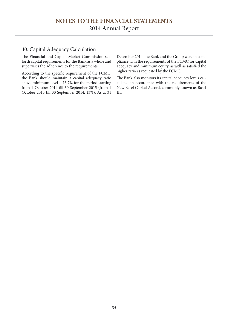#### 40. Capital Adequacy Calculation

The Financial and Capital Market Commission sets forth capital requirements for the Bank as a whole and supervises the adherence to the requirements.

Аccording to the specific requirement of the FCMC, the Bank should maintain a capital adequacy ratio above minimum level – 13.7% for the period starting from 1 Оctober 2014 till 30 September 2015 (from 1 Оctober 2013 till 30 September 2014: 13%). As at 31

December 2014, the Bank and the Group were in compliance with the requirements of the FCMC for capital adequacy and minimum equity, as well as satisfied the higher ratio as requested by the FCMC.

The Bank also monitors its capital adequacy levels calculated in accordance with the requirements of the New Basel Capital Accord, commonly known as Basel III.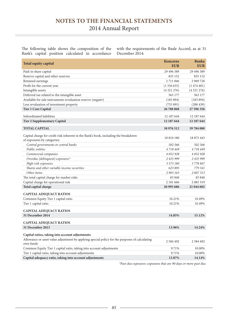The following table shows the composition of the Bank's capital position calculated in accordance with the requirements of the Basle Accord, as at 31 December 2014:

|                                                                                                                    | <b>Koncerns</b> | <b>Banka</b>  |
|--------------------------------------------------------------------------------------------------------------------|-----------------|---------------|
| <b>Total equity capital</b>                                                                                        | <b>EUR</b>      | <b>EUR</b>    |
| Paid-in share capital                                                                                              | 29 496 389      | 29 496 389    |
| Reserve capital and other reserves                                                                                 | 835 152         | 835 152       |
| Retained earnings                                                                                                  | 2 711 846       | 2 969 728     |
| Profit for the current year                                                                                        | (1556635)       | (1474481)     |
| Intangible assets                                                                                                  | (4321276)       | (4321276)     |
| Deferred tax related to the intangible asset                                                                       | 563 177         | 563 177       |
| Available for sale instruments revaluation reserve (negativ)                                                       | (183 894)       | (183 894)     |
| Less revaluation of investment property                                                                            | (755891)        | (288439)      |
| Tier 1 Core Capital                                                                                                | 26 788 868      | 27 596 356    |
| Subordinated liabilities                                                                                           | 12 187 644      | 12 187 644    |
| <b>Tier 2 Supplementary Capital</b>                                                                                | 12 187 644      | 12 187 644    |
|                                                                                                                    |                 |               |
| <b>TOTAL CAPITAL</b>                                                                                               | 38 976 512      | 39 784 000    |
| Capital charge for credit risk inherent in the Bank's book, including the breakdown<br>of exposures by categories: | 18 810 180      | 18 875 443    |
| Central governments or central banks                                                                               | 502 566         | 502 566       |
| Public entities                                                                                                    | 4718449         | 4718449       |
| Commercial companies                                                                                               | 4 052 928       | 4 052 928     |
| Overdue (delinquent) exposures*                                                                                    | 2 435 999       | 2 435 999     |
| High-risk exposures                                                                                                | 3 573 180       | 3778847       |
| Shares and other variable income securities                                                                        | 623895          | 779 341       |
| Other items                                                                                                        | 2 903 163       | 2607313       |
| The total capital charge for market risks                                                                          | 83 840          | 83 840        |
| Capital charge for operational risk                                                                                | 2 101 666       | 2 085 319     |
| Total capital charge                                                                                               | 20 995 686      | 21 044 602    |
|                                                                                                                    |                 |               |
| <b>CAPITAL ADEQUACY RATIOS</b>                                                                                     |                 |               |
| Common Equity Tier 1 capital ratio                                                                                 | 10.21%          | 10.49%        |
| Tier 1 capital ratio                                                                                               | 10.21%          | 10.49%        |
| <b>CAPITAL ADEQUACY RATIOS</b>                                                                                     |                 |               |
| 31 December 2014                                                                                                   | 14.85%          | 15.12%        |
| <b>CAPITAL ADEQUACY RATIOS</b>                                                                                     |                 |               |
| <b>31 December 2013</b>                                                                                            | 13.96%          | 14.24%        |
| Capital ratios, taking into account adjustments                                                                    |                 |               |
| Allowance or asset value adjustment by applying special policy for the purposes of calculating<br>own funds        | 2 5 8 4 4 9 2   | 2 5 8 4 4 9 2 |
| Common Equity Tier 1 capital ratio, taking into account adjustments                                                | 9.71%           | 10.00%        |
| Tier 1 capital ratio, taking into account adjustments                                                              | 9.71%           | 10.00%        |
| Capital adequacy ratio, taking into account adjustments                                                            | 13.87%          | 14.14%        |

*\*Past due exposures: exposures that are 90 days or more past due.*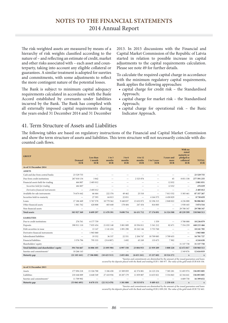The risk-weighted assets are measured by means of a hierarchy of risk weights classified according to the nature of – and reflecting an estimate of credit, market and other risks associated with – each asset and counterparty, taking into account any eligible collateral or guarantees. A similar treatment is adopted for sureties and commitments, with some adjustments to reflect the more contingent nature of the potential losses.

The Bank is subject to minimum capital adequacy requirements calculated in accordance with the Basle Accord established by covenants under liabilities incurred by the Bank. The Bank has complied with all externally imposed capital requirements during the years ended 31 December 2014 and 31 December

2013. In 2015 discussions with the Financial and Capital Market Commission of the Republic of Latvia started in relation to possible increase in capital adjustments to the capital requirements calculation. Please see note 49 for further details.

To calculate the required capital charge in accordance with the minimum regulatory capital requirements, Bank applies the following approaches:

- capital charge for credit risk the Standardised Approach;
- capital charge for market risk the Standardised Approach;
- capital charge for operational risk the Basic Indicator Approach.

#### 41. Term Structure of Assets and Liabilities

The following tables are based on regulatory instructions of the Financial and Capital Market Commission and show the term structure of assets and liabilities. This term structure will not necessarily coincide with discounted cash flows.

| <b>GROUP</b>                               | Demand<br><b>EUR</b>     | Less than<br>1 month<br><b>EUR</b> | 1 to 3<br>months<br><b>EUR</b> | $3$ to $6$<br>months<br><b>EUR</b> | 6 to 12<br>months<br><b>EUR</b>                                                                                                                                                                                 | 1 to 5 years<br><b>EUR</b> | 5 years and<br>more<br><b>EUR</b> | With no<br>stated<br>maturity or<br>pledged as<br>collateral<br><b>EUR</b> | <b>TOTAL</b><br><b>EUR</b> |
|--------------------------------------------|--------------------------|------------------------------------|--------------------------------|------------------------------------|-----------------------------------------------------------------------------------------------------------------------------------------------------------------------------------------------------------------|----------------------------|-----------------------------------|----------------------------------------------------------------------------|----------------------------|
| As of 31 December 2014                     |                          |                                    |                                |                                    |                                                                                                                                                                                                                 |                            |                                   |                                                                            |                            |
| <b>ASSETS</b>                              |                          |                                    |                                |                                    |                                                                                                                                                                                                                 |                            |                                   |                                                                            |                            |
| Cash and due from central banks            | 23 529 755               | $\overline{\phantom{0}}$           | $\overline{\phantom{0}}$       |                                    |                                                                                                                                                                                                                 | $\overline{\phantom{0}}$   | $\overline{\phantom{0}}$          | $\overline{\phantom{0}}$                                                   | 23 529 755                 |
| Due from credit institutions               | 267 010 134              | 3842                               |                                |                                    | 2 5 2 5 8 7 6                                                                                                                                                                                                   | $\equiv$                   | 65                                | 8 0 5 1 3 3 8                                                              | 277 591 255                |
| Financial assets held-for-trading          | 464 807                  | 2 405 012                          | $\equiv$                       | $\overline{\phantom{0}}$           |                                                                                                                                                                                                                 | $\overline{\phantom{0}}$   | 12032                             | $\overline{\phantom{0}}$                                                   | 2881851                    |
| Securities held-for-trading                | 464 807                  | $\overline{\phantom{0}}$           | $\overline{\phantom{0}}$       | $\overline{\phantom{m}}$           |                                                                                                                                                                                                                 | $\overline{\phantom{0}}$   | 12032                             | $\overline{\phantom{0}}$                                                   | 476839                     |
| Derivative financial instruments           | $\overline{\phantom{0}}$ | 2 405 012                          | $\overline{\phantom{0}}$       | $\overline{\phantom{0}}$           | $\overline{\phantom{0}}$                                                                                                                                                                                        | $\overline{\phantom{0}}$   | $\overline{\phantom{0}}$          | $\overline{\phantom{0}}$                                                   | 2 405 012                  |
| Available for sale instruments             | 74 674 442               | 66 4 64                            | 222 376                        | 49 4 62                            | 25 510                                                                                                                                                                                                          | $\overline{\phantom{0}}$   | 7013552                           | 5 305 461                                                                  | 87 357 267                 |
| Securities held-to-maturity                |                          | 27 593                             | 64813                          | 22 851                             | $\overline{\phantom{0}}$                                                                                                                                                                                        | 4 164 573                  | 4 450 829                         | $\overline{\phantom{0}}$                                                   | 8730659                    |
| Loans                                      | 17 186 469               | 5767578                            | 10 779 562                     | 9 440 037                          | 13 632 872                                                                                                                                                                                                      | 32 196 315                 | 2 848 022                         | 4 2 3 6 0 0 8                                                              | 96 086 863                 |
| Other financial assets                     | 1 061 762                | 428 808                            | 403 640                        | 178 404                            | 247 454                                                                                                                                                                                                         | 816 003                    | $\overline{\phantom{0}}$          | 1938 445                                                                   | 5 0 7 4 5 1 6              |
| Non-financial assets                       | $\overline{\phantom{0}}$ | $\overline{\phantom{a}}$           | $\overline{\phantom{0}}$       | $\overline{\phantom{m}}$           | $\overline{\phantom{0}}$                                                                                                                                                                                        | $\overline{\phantom{0}}$   | $\overline{\phantom{0}}$          | 29 708 347                                                                 | 29 708 347                 |
| <b>Total assets</b>                        | 383 927 369              | 8 699 297                          | 11 470 391                     | 9690754                            | 16 431 712                                                                                                                                                                                                      | 37 176 891                 | 14 324 500                        | 49 239 599                                                                 | 530 960 513                |
| <b>LIABILITIES</b>                         |                          |                                    |                                |                                    |                                                                                                                                                                                                                 |                            |                                   |                                                                            |                            |
| Due to credit institutions                 | 276 761                  | 6 177 759                          | $\overline{\phantom{0}}$       | $\overline{\phantom{0}}$           |                                                                                                                                                                                                                 | 1559                       | $\overline{\phantom{0}}$          | 3780000                                                                    | 10 236 079                 |
| Deposits                                   | 390 911 110              | 7 035 454                          | 21 032 140                     | 5 881 809                          | 10 594 811                                                                                                                                                                                                      | 5 341 212                  | 82 671                            | 7 3 5 4 2 5 9                                                              | 448 233 466                |
| Debt securities in issue                   |                          | 13 147                             | 1 141 434                      | 1 091 298                          | 10 242 146                                                                                                                                                                                                      | 5 753 760                  | $\overline{\phantom{0}}$          | $\overline{\phantom{m}}$                                                   | 18 241 785                 |
| Derivative financial instruments           | $\overline{\phantom{0}}$ | 1 965 060                          | $\overline{\phantom{m}}$       | $\overline{\phantom{m}}$           | $\overline{\phantom{m}}$                                                                                                                                                                                        | $\overline{\phantom{0}}$   | $\overline{\phantom{0}}$          | $\overline{\phantom{0}}$                                                   | 1965060                    |
| Subordinated liabilities                   |                          | 19 3 5 2                           | 36 337                         | 22 551                             | 2 204 747                                                                                                                                                                                                       | 10 709 085                 | 3709655                           | $\overline{\phantom{0}}$                                                   | 16701727                   |
| Financial liabilities                      | 3 576 796                | 795 333                            | (314007)                       | 1692                               | 43 249                                                                                                                                                                                                          | 133 673                    | 7902                              | $\overline{\phantom{m}}$                                                   | 4 2 4 4 6 3 8              |
| Shareholders' equity                       | $\equiv$                 | $\overline{\phantom{0}}$           | $\overline{\phantom{0}}$       | $\equiv$                           | $\equiv$                                                                                                                                                                                                        | $\equiv$                   | $\overline{\phantom{0}}$          | 31 337 758                                                                 | 31 337 758                 |
| Total liabilities and shareholders' equity | 394 764 667              | 16 006 105                         | 21895904                       | 6997350                            | 23 084 953                                                                                                                                                                                                      | 21 939 289                 | 3800228                           | 42 472 017                                                                 | 530 960 513                |
| Sureties and commitments*                  | 10 266 143               | $\overline{\phantom{0}}$           |                                | $\equiv$                           | $\overline{\phantom{0}}$                                                                                                                                                                                        |                            | $\equiv$                          | 2 3 4 9 8 7 6                                                              | 12 616 019                 |
| Maturity gap                               | (21103441)               | (7306808)                          | (10425513)                     | 2 693 404                          | (6653241)                                                                                                                                                                                                       | 15 237 602                 | 10 524 272                        | $\mathbf{x}$                                                               | $\mathbf{x}$               |
|                                            |                          |                                    |                                |                                    | *Sureties and commitments are diminished by the amount of the issued guarantees and loans<br>secured by the deposits placed with the Bank and totaling EUR 1 566 977. The value of the gold totals EUR 818 356. |                            |                                   |                                                                            |                            |
| As of 31 December 2013                     |                          |                                    |                                |                                    |                                                                                                                                                                                                                 |                            |                                   |                                                                            |                            |
| Assets                                     | 177 094 218              | 15 326 700                         | 5 106 458                      | 13 589 059                         | 42 374 881                                                                                                                                                                                                      | 24 123 234                 | 7585281                           | 51 693 974                                                                 | 336 893 805                |

| <b>Maturity gap</b>       | (53061693)  | 8678151                        | (22312478)                      | 3 3 8 1 8 8 0                   | 30 515 074 | 9489413                  | 2 2 5 0 4 1 8 |            |             |
|---------------------------|-------------|--------------------------------|---------------------------------|---------------------------------|------------|--------------------------|---------------|------------|-------------|
| Sureties and commitments* | 11709902    | $\qquad \qquad \longleftarrow$ | $\hspace{0.1mm}-\hspace{0.1mm}$ | $\hspace{0.1mm}-\hspace{0.1mm}$ |            | $\overline{\phantom{m}}$ |               | 4 689 750  | 16 399 652  |
| Liabilities               | 218 446 009 | 6648549                        | 27 418 936                      | 10 207 179                      | 11 859 807 | 14 633 821               | 5 3 3 4 8 6 3 | 42 344 641 | 336 893 805 |
| Assets                    | 177 094 218 | 15 326 700                     | 5 106 458                       | 13 589 059                      | 42 374 881 | 24 123 234               | 7 585 281     | 51 693 974 | 336 893 805 |
| AS 01 31 December 2015    |             |                                |                                 |                                 |            |                          |               |            |             |

*\*Sureties and commitments are diminished by the amount of the issued guarantees and loans secured by the deposits placed with the Bank and totaling EUR 2 099 250. The value of the gold totals EUR 732 463.*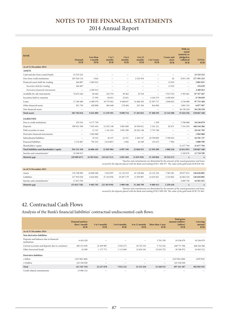| As of 31 December 2014<br><b>ASSETS</b>    |                          |                          | <b>EUR</b>               | months<br><b>EUR</b>     | 6 to 12<br>months<br><b>EUR</b>                                                                                                                                                                                 | 1 to 5 years<br><b>EUR</b> | 5 years and<br>more<br><b>EUR</b> | pledged as<br>collateral<br><b>EUR</b> | <b>TOTAL</b><br><b>EUR</b> |
|--------------------------------------------|--------------------------|--------------------------|--------------------------|--------------------------|-----------------------------------------------------------------------------------------------------------------------------------------------------------------------------------------------------------------|----------------------------|-----------------------------------|----------------------------------------|----------------------------|
|                                            |                          |                          |                          |                          |                                                                                                                                                                                                                 |                            |                                   |                                        |                            |
|                                            |                          |                          |                          |                          |                                                                                                                                                                                                                 |                            |                                   |                                        |                            |
| Cash and due from central banks            | 23 525 223               | $\overline{\phantom{a}}$ | $\overline{\phantom{0}}$ | $\overline{\phantom{a}}$ | -                                                                                                                                                                                                               | $\overline{\phantom{m}}$   | $\overline{\phantom{0}}$          | $\overline{\phantom{0}}$               | 23 525 223                 |
| Due from credit institutions               | 267 010 134              | 3842                     | -                        | $\qquad \qquad -$        | 2 5 2 5 8 7 6                                                                                                                                                                                                   | $\qquad \qquad -$          | 65                                | 8 0 5 1 3 3 8                          | 277 591 255                |
| Financial assets held-for-trading          | 464 807                  | 2405012                  | $\overline{\phantom{0}}$ |                          |                                                                                                                                                                                                                 | $\overline{\phantom{m}}$   | 12032                             | $\overline{\phantom{0}}$               | 2881851                    |
| Securities held-for-trading                | 464 807                  | $\overline{\phantom{0}}$ | $\overline{\phantom{0}}$ | $\equiv$                 | $\overline{\phantom{0}}$                                                                                                                                                                                        | $\overline{\phantom{0}}$   | 12032                             | $\equiv$                               | 476839                     |
| Derivative financial instruments           | $\overline{\phantom{m}}$ | 2 405 012                | $\overline{\phantom{0}}$ | $\overline{\phantom{0}}$ |                                                                                                                                                                                                                 | $\overline{\phantom{m}}$   | $\overline{\phantom{m}}$          | $\overline{\phantom{0}}$               | 2 405 012                  |
| Available for sale instruments             | 74 674 442               | 66 4 64                  | 222 376                  | 49 4 62                  | 25 510                                                                                                                                                                                                          | $\overline{\phantom{0}}$   | 7013552                           | 5 305 461                              | 87 357 267                 |
| Securities held-to-maturity                | $\overline{\phantom{0}}$ | 27 593                   | 64 813                   | 22 851                   | $\overline{\phantom{0}}$                                                                                                                                                                                        | 4 164 573                  | 4 4 5 0 8 2 9                     | $\overline{\phantom{0}}$               | 8730659                    |
| Loans                                      | 17 186 469               | 6 489 370                | 10 779 562               | 9 440 037                | 14 466 183                                                                                                                                                                                                      | 32 307 717                 | 2 848 022                         | 4 236 008                              | 97 753 368                 |
| Other financial assets                     | 921 759                  | 428 808                  | 403 640                  | 178 404                  | 247 454                                                                                                                                                                                                         | 816 003                    | $\overline{\phantom{0}}$          | 3 881 519                              | 6877587                    |
| Non-financial assets                       | $\overline{\phantom{0}}$ | $\overline{\phantom{a}}$ | $\equiv$                 | $\overline{\phantom{0}}$ | $\overline{\phantom{0}}$                                                                                                                                                                                        | $\equiv$                   | $\equiv$                          | 26 150 230                             | 26 150 230                 |
| <b>Total assets</b>                        | 383 782 834              | 9421089                  | 11 470 391               | 9690754                  | 17 265 023                                                                                                                                                                                                      | 37 288 293                 | 14 324 500                        | 47 624 556                             | 530 867 440                |
| <b>LIABILITIES</b>                         |                          |                          |                          |                          |                                                                                                                                                                                                                 |                            |                                   |                                        |                            |
| Due to credit institutions                 | 276761                   | 6 177 759                | -                        |                          | $\equiv$                                                                                                                                                                                                        | 1559                       | $\overline{\phantom{m}}$          | 3780000                                | 10 236 079                 |
| Deposits                                   | 390 921 930              | 7 035 454                | 21 032 140               | 5 881 809                | 10 594 811                                                                                                                                                                                                      | 5 341 212                  | 82 671                            | 7354259                                | 448 244 286                |
| Debt securities in issue                   | $\overline{\phantom{0}}$ | 13 147                   | 1 141 434                | 1 091 298                | 10 242 146                                                                                                                                                                                                      | 5753760                    | $\overline{\phantom{0}}$          |                                        | 18 241 785                 |
| Derivative financial instruments           | $\overline{\phantom{0}}$ | 1965060                  | $\overline{\phantom{0}}$ | $\overline{\phantom{a}}$ | $\equiv$                                                                                                                                                                                                        | $\overline{\phantom{0}}$   | $\equiv$                          | $\overline{\phantom{0}}$               | 1965060                    |
| Subordinated liabilities                   | $\overline{\phantom{m}}$ | 19 3 5 2                 | 36 337                   | 22 551                   | 2 204 747                                                                                                                                                                                                       | 10 709 085                 | 3709655                           |                                        | 16701727                   |
| <b>Financial liabilities</b>               | 3 132 867                | 795 333                  | (314007)                 | 1692                     | 43 249                                                                                                                                                                                                          | 133 673                    | 7902                              | $\equiv$                               | 3800709                    |
| Shareholders' equity                       |                          | $\overline{\phantom{0}}$ | $\overline{\phantom{0}}$ | $\overline{\phantom{m}}$ | $\overline{\phantom{0}}$                                                                                                                                                                                        | $\overline{\phantom{m}}$   |                                   | 31 677 794                             | 31 677 794                 |
| Total liabilities and shareholders' equity | 394 331 558              | 16 006 105               | 21895904                 | 6997350                  | 23 084 953                                                                                                                                                                                                      | 21 939 289                 | 3800228                           | 42 812 053                             | 530 867 440                |
| Sureties and commitments*                  | 10 360 913               | $\overline{\phantom{0}}$ | $\overline{\phantom{0}}$ | $\overline{\phantom{m}}$ | —                                                                                                                                                                                                               | $\overline{\phantom{m}}$   | $\overline{\phantom{0}}$          | 2 3 4 9 8 7 6                          | 12710789                   |
| Maturity gap                               | (20909637)               | (6585016)                | (10425513)               | 2693404                  | (5819930)                                                                                                                                                                                                       | 15 349 004                 | 10 524 272                        | $\mathbf{x}$                           | $\mathbf{x}$               |
| As of 31 December 2013                     |                          |                          |                          |                          | *Sureties and commitments are diminished by the amount of the issued guarantees and loans<br>secured by the deposits placed with the Bank and totaling EUR 1 566 977. The value of the gold totals EUR 818 356. |                            |                                   |                                        |                            |

| Maturity gap              | (53025728)  | 9402703                  | (22383939)    | 3 909 340  | 31 268 799               | 9489413           | 2 2 5 0 4 1 8 | X          |             |
|---------------------------|-------------|--------------------------|---------------|------------|--------------------------|-------------------|---------------|------------|-------------|
| Sureties and commitments* | 11813703    | $\overline{\phantom{m}}$ |               |            | $\overline{\phantom{0}}$ | $\qquad \qquad -$ |               | 4 689 750  | 16 503 453  |
| Liabilities               | 217 953 010 | 6 645 865                | 27 418 936    | 10 207 179 | 11 859 807               | 14 633 821        | 5 3 3 4 8 6 3 | 42 602 524 | 336 656 005 |
| Assets                    | 176 740 985 | 16 048 568               | 5 0 3 4 9 9 7 | 14 116 519 | 43 128 606               | 24 123 234        | 7 585 281     | 49 877 815 | 336 656 005 |
| AS OI 31 December 2015    |             |                          |               |            |                          |                   |               |            |             |

*\*Sureties and commitments are diminished by the amount of the issued guarantees and loans secured by the deposits placed with the Bank and totaling EUR 2 099 250. The value of the gold totals EUR 732 463.*

#### 42. Contractual Cash Flows

Analysis of the Bank's financial liabilities' contractual undiscounted cash flows:

|                                                        | Demand and less<br>than 1 month<br><b>EUR</b> | 1 to 3 months<br><b>EUR</b> | 3 to 6 months<br><b>EUR</b> | 6 to 12 months<br><b>EUR</b> | More than 1 year<br><b>EUR</b>  | <b>Total gross</b><br>amount outflow/<br>(inflow)<br><b>EUR</b> | Carrying<br>amount<br><b>EUR</b> |
|--------------------------------------------------------|-----------------------------------------------|-----------------------------|-----------------------------|------------------------------|---------------------------------|-----------------------------------------------------------------|----------------------------------|
| As of 31 December 2014                                 |                                               |                             |                             |                              |                                 |                                                                 |                                  |
| Non-derivative liabilities                             |                                               |                             |                             |                              |                                 |                                                                 |                                  |
| Deposits and balances due to financial<br>institutions | 6 4 5 4 5 2 0                                 |                             |                             |                              | 3781559                         | 10 236 079                                                      | 10 236 079                       |
| Current accounts and deposits due to customers         | 405 315 839                                   | 21 059 907                  | 5918273                     | 10 725 335                   | 5 7 5 2 2 4 2                   | 448 771 596                                                     | 448 244 286                      |
| Other borrowed funds                                   | 32 499                                        | 1 177 771                   | 1 1 1 3 8 4 9               | 12 810 101                   | 23 634 752                      | 38 768 972                                                      | 34 943 512                       |
| <b>Derivative liabilities</b>                          |                                               |                             |                             |                              |                                 |                                                                 |                                  |
| $\bullet$ Inflow                                       | (223962260)                                   |                             |                             | –                            | $\hspace{0.1mm}-\hspace{0.1mm}$ | (223962260)                                                     | (439952)                         |
| • Outflow                                              | 223 526 920                                   |                             |                             | –                            |                                 | 223 526 920                                                     |                                  |
| <b>Total</b>                                           | 411 367 518                                   | 22 237 678                  | 7032122                     | 23 535 436                   | 33 168 553                      | 497 341 307                                                     | 492 983 925                      |
| Credit related commitments                             | 15 096 122                                    |                             |                             |                              |                                 |                                                                 |                                  |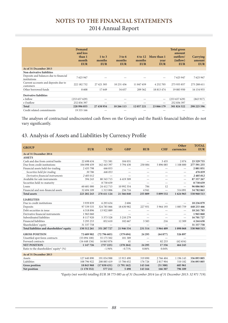|                                                        | Demand<br>and less<br>than 1<br>month<br><b>EUR</b> | $1$ to $3$<br>months<br><b>EUR</b> | $3$ to 6<br>months<br><b>EUR</b> | 6 to 12<br>months<br><b>EUR</b> | More than 1<br>year<br><b>EUR</b> | <b>Total gross</b><br>amount<br>outflow/<br>(inflow)<br><b>EUR</b> | Carrying<br>amount<br><b>EUR</b> |
|--------------------------------------------------------|-----------------------------------------------------|------------------------------------|----------------------------------|---------------------------------|-----------------------------------|--------------------------------------------------------------------|----------------------------------|
| As of 31 December 2013                                 |                                                     |                                    |                                  |                                 |                                   |                                                                    |                                  |
| Non-derivative liabilities                             |                                                     |                                    |                                  |                                 |                                   |                                                                    |                                  |
| Deposits and balances due to financial<br>institutions | 7625947                                             |                                    |                                  |                                 | —                                 | 7625947                                                            | 7625947                          |
| Current accounts and deposits due to<br>customers      | 222 182 732                                         | 27 421 305                         | 10 231 456                       | 11 847 659                      | 4 2 5 2 7 0 5                     | 275 935 857                                                        | 275 288 611                      |
| Other borrowed funds                                   | 8608                                                | 17649                              | 34 657                           | 209 562                         | 18 813 474                        | 19 083 950                                                         | 16 154 955                       |
| Derivative liabilities                                 |                                                     |                                    |                                  |                                 |                                   |                                                                    |                                  |
| $\bullet$ Inflow                                       | (253 657 629)                                       |                                    |                                  |                                 | $\overline{\phantom{m}}$          | (253657629)                                                        | (843917)                         |
| • Outflow                                              | 252 836 397                                         |                                    |                                  |                                 | —                                 | 252 836 397                                                        |                                  |
| Total                                                  | 228 996 055                                         | 27 438 954                         | 10 266 113                       | 12 057 221                      | 23 066 179                        | 301 824 522                                                        | 298 225 596                      |
| Credit related commitments                             | 19 335 166                                          |                                    |                                  |                                 |                                   |                                                                    |                                  |

The analyses of contractual undiscounted cash flows on the Group's and the Bank's financial liabilties do not vary significantly.

## 43. Analysis of Assets and Liabilities by Currency Profile

| <b>GROUP</b>                               | <b>EUR</b>    | <b>USD</b>    | <b>GBP</b>               | <b>RUB</b>               | <b>CHF</b>               | Other<br>currencies             | <b>TOTAL</b><br><b>EUR</b> |
|--------------------------------------------|---------------|---------------|--------------------------|--------------------------|--------------------------|---------------------------------|----------------------------|
|                                            |               |               |                          |                          |                          |                                 |                            |
| As of 31 December 2014<br><b>ASSETS</b>    |               |               |                          |                          |                          |                                 |                            |
|                                            |               |               |                          |                          |                          |                                 |                            |
| Cash and due from central banks            | 22 698 634    | 721 581       | 104 031                  | $\overline{\phantom{0}}$ | 3 4 3 5                  | 2074                            | 23 529 755                 |
| Due from credit institutions               | 104 098 459   | 162 443 397   | 3794430                  | 250 084                  | 5896085                  | 1 108 800                       | 277 591 255                |
| Financial assets held-for-trading          | 2 435 798     | 446 053       |                          | —                        | —                        | —                               | 2881851                    |
| Securities held-for-trading                | 30786         | 446 053       |                          | —                        | $\overline{\phantom{0}}$ | $\overbrace{\phantom{1232211}}$ | 476839                     |
| Derivative financial instruments           | 2 405 012     |               |                          | $\overline{\phantom{m}}$ | $\overline{\phantom{0}}$ |                                 | 2 405 012                  |
| Available for sale instruments             | 594 243       | 80 343 715    | 6 419 309                | $\overline{\phantom{0}}$ | $\overline{\phantom{0}}$ |                                 | 87 357 267                 |
| Securities held-to-maturity                |               | 8730659       |                          | $\overline{\phantom{0}}$ | $\overline{\phantom{0}}$ | $\overline{\phantom{0}}$        | 8730659                    |
| Loans                                      | 60 681 000    | 24 412 713    | 10 992 354               | 784                      | 12                       | $\overline{\phantom{0}}$        | 96 086 863                 |
| Financial and non-financial assets         | 32 694 109    | 1 3 1 3 0 0 6 | 256716                   | 4941                     | $\overline{\phantom{0}}$ | 514 091                         | 34 782 863                 |
| <b>Total assets</b>                        | 223 202 243   | 278 411 124   | 21 566 840               | 255 809                  | 5899532                  | 1624965                         | 530 960 513                |
| <b>LIABILITIES</b>                         |               |               |                          |                          |                          |                                 |                            |
| Due to credit institutions                 | 3 9 3 9 8 3 9 | 6 293 634     | 2606                     |                          |                          | $\overline{\phantom{0}}$        | 10 236 079                 |
| Deposits                                   | 97 539 535    | 324 785 066   | 18 630 982               | 227931                   | 5 964 193                | 1 085 759                       | 448 233 466                |
| Debt securities in issue                   | 4 3 1 8 8 9 6 | 13 922 889    |                          |                          | —                        | $\overline{\phantom{0}}$        | 18 241 785                 |
| Derivative financial instruments           | 1965060       |               | $\overline{\phantom{0}}$ | $\overline{\phantom{m}}$ | $\overline{\phantom{0}}$ | $\overline{\phantom{0}}$        | 1965060                    |
| Subordinated liabilities                   | 8 117 9 20    | 5 373 528     | 3 210 279                | $\equiv$                 | $\overline{\phantom{0}}$ | $\qquad \qquad -$               | 16701727                   |
| Financial liabilities                      | 3 293 253     | 832 610       | 102 667                  | 3 5 8 3                  | 216                      | 12 309                          | 4 2 4 4 6 3 8              |
| Shareholders' equity                       | 31 337 758    |               |                          |                          |                          |                                 | 31 337 758                 |
| Total liabilities and shareholders' equity | 150 512 261   | 351 207 727   | 21 946 534               | 231 514                  | 5964409                  | 1 098 068                       | 530 960 513                |
| <b>GROSS POSITION</b>                      | 72 689 982    | (72796603)    | (379694)                 | 24 29 5                  | (64877)                  | 526 897                         |                            |
| Unsettled spot forex contracts             | (55094100)    | 55 175 502    | 101 389                  |                          |                          |                                 |                            |
| Forward contracts                          | (16448156)    | 16 863 876    | 41                       | $\equiv$                 | 82 233                   | (62654)                         |                            |
| <b>NET POSITION</b>                        | 1 147 726     | (757 225)     | (278264)                 | 24 29 5                  | 17356                    | 464 243                         |                            |
| Ratio to the shareholders' equity* (%)     |               | $-1.94%$      | $-0.71%$                 | 0.06%                    | 0.04%                    |                                 |                            |
|                                            |               |               |                          |                          |                          |                                 |                            |
| As of 31 December 2013                     |               |               |                          |                          |                          |                                 |                            |
| Assets                                     | 127 640 890   | 191 054 988   | 13 915 490               | 319890                   | 2 766 404                | 1 196 143                       | 336 893 805                |
| Liabilities                                | 108 796 922   | 208 885 419   | 15 706 652               | 176726                   | 2 817 904                | 510 182                         | 336 893 805                |
| <b>Gross position</b>                      | 18843968      | (17830431)    | (1791162)                | 143 164                  | (51 500)                 | 685 961                         |                            |
| Net position                               | (1178552)     | 577 212       | 5498                     | 143 164                  | 166 307                  | 796 189                         |                            |

*\*Equity (net worth) totalling EUR 38 775 085 as of 31 December 2014 (as of 31 December 2013: 32 971 719).*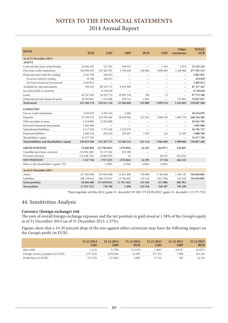| <b>BANK</b>                                | <b>EUR</b>               | <b>USD</b>    | <b>GBP</b>               | <b>RUB</b>               | <b>CHF</b>               | Other<br>currencies      | <b>TOTAL</b><br><b>EUR</b> |
|--------------------------------------------|--------------------------|---------------|--------------------------|--------------------------|--------------------------|--------------------------|----------------------------|
| As of 31 December 2014                     |                          |               |                          |                          |                          |                          |                            |
| <b>ASSETS</b>                              |                          |               |                          |                          |                          |                          |                            |
| Cash and due from central banks            | 22 694 102               | 721 581       | 104 031                  | $\overline{\phantom{0}}$ | 3 4 3 5                  | 2074                     | 23 525 223                 |
| Due from credit institutions               | 104 098 459              | 162 443 397   | 3 794 430                | 250 084                  | 5896085                  | 1 108 800                | 277 591 255                |
| Financial assets held-for-trading          | 2 435 798                | 446 053       | $\overline{\phantom{0}}$ | $\overline{\phantom{0}}$ | $\overline{\phantom{0}}$ |                          | 2881851                    |
| Securities held-for-trading                | 30786                    | 446 053       | ÷.                       | $\equiv$                 | $\overline{\phantom{0}}$ |                          | 476839                     |
| Derivative financial instruments           | 2 405 012                |               |                          |                          |                          |                          | 2 405 012                  |
| Available for sale instruments             | 594 243                  | 80 343 715    | 6 419 309                | $\overline{\phantom{0}}$ | $\overline{\phantom{0}}$ | $\overline{\phantom{m}}$ | 87 357 267                 |
| Securities held-to-maturity                | $\overline{\phantom{0}}$ | 8730659       | $\overline{\phantom{0}}$ | $\overline{\phantom{0}}$ | $\overline{\phantom{m}}$ | $\equiv$                 | 8730659                    |
| Loans                                      | 62 347 505               | 24 412 713    | 10 992 354               | 784                      | 12                       | $\overline{\phantom{0}}$ | 97 753 368                 |
| Financial and non-financial assets         | 30 939 063               | 1 3 1 3 0 0 6 | 256716                   | 4941                     | $\equiv$                 | 514 091                  | 33 027 817                 |
| <b>Total assets</b>                        | 223 109 170              | 278 411 124   | 21 566 840               | 255 809                  | 5899532                  | 1624965                  | 530 867 440                |
| <b>LIABILITIES</b>                         |                          |               |                          |                          |                          |                          |                            |
| Due to credit institutions                 | 3 9 3 9 8 3 9            | 6 293 634     | 2606                     | $\overline{\phantom{m}}$ | $\overline{\phantom{0}}$ | $\overline{\phantom{0}}$ | 10 236 079                 |
| Deposits                                   | 97 550 355               | 324 785 066   | 18 630 982               | 227931                   | 5 964 193                | 1 085 759                | 448 244 286                |
| Debt securities in issue                   | 4 3 1 8 8 9 6            | 13 922 889    | $\overline{\phantom{0}}$ | $\overline{\phantom{0}}$ | $\overline{\phantom{0}}$ | $\overline{\phantom{0}}$ | 18 241 785                 |
| Derivative financial instruments           | 1 965 060                |               |                          |                          | $\overline{\phantom{0}}$ |                          | 1965060                    |
| Subordinated liabilities                   | 8 117 9 20               | 5 373 528     | 3 210 279                |                          | $\overline{\phantom{0}}$ |                          | 16701727                   |
| Financial liabilities                      | 2 849 324                | 832 610       | 102 667                  | 3 5 8 3                  | 216                      | 12 3 0 9                 | 3800709                    |
| Shareholders' equity                       | 31 677 794               |               | $\overline{\phantom{0}}$ | $\overline{\phantom{a}}$ | $\overline{\phantom{0}}$ | $\overline{\phantom{0}}$ | 31 677 794                 |
| Total liabilities and shareholders' equity | 150 419 188              | 351 207 727   | 21 946 534               | 231 514                  | 5964409                  | 1 098 068                | 530 867 440                |
| <b>GROSS POSITION</b>                      | 72 689 982               | (72796603)    | (379694)                 | 24 29 5                  | (64877)                  | 526 897                  |                            |
| Unsettled spot forex contracts             | (55094100)               | 55 175 502    | 101 389                  |                          | $\overline{\phantom{m}}$ |                          |                            |
| Forward contracts                          | (16448156)               | 16 863 876    | 41                       | $\equiv$                 | 82 233                   | (62654)                  |                            |
| <b>NET POSITION</b>                        | 1 147 726                | (757 225)     | (278 264)                | 24 29 5                  | 17356                    | 464 243                  |                            |
| Ratio to the shareholders' equity* (%)     |                          | $-1.90%$      | $-0.70%$                 | 0.06%                    | 0.04%                    |                          |                            |
| As of 31 December 2013                     |                          |               |                          |                          |                          |                          |                            |
| Assets                                     | 127 403 090              | 191 054 988   | 13 915 490               | 319 890                  | 2766404                  | 1 196 143                | 336 656 005                |
| Liabilities                                | 108 718 610              | 208 725 931   | 15 706 652               | 176 726                  | 2 817 904                | 510 182                  | 336 656 005                |
| <b>Gross position</b>                      | 18 684 480               | (17670943)    | (1791162)                | 143 164                  | (51500)                  | 685 961                  |                            |
| Net position                               | (1555732)                | 736700        | 5498                     | 143 164                  | 166 307                  | 796 189                  |                            |

*\*Pašu kapitāla vērtība 2014. gada 31. decembrī 39 582 573 EUR (2013. gada 31. decembrī: 33 575 755).*

#### 44. Sensitivities Analysis

#### **Currency (foreign exchange) risk**

The sum of overall foreign exchange exposure and the net position in gold stood at 1.38% of the Group's equity as of 31 December 2014 (as of 31 December 2013: 1.57%).

Figures show that a 10-20 percent drop of the eiro against other currencies may have the following impact on the Group's profit (in EUR):

|                                     | 31.12.2014<br>USD | 31.12.2014<br><b>GBP</b> | 31.12.2014<br><b>RUB</b> | 31.12.2013<br>USD | 31.12.2013<br><b>GBP</b> | 31.12.2013<br><b>RUB</b> |
|-------------------------------------|-------------------|--------------------------|--------------------------|-------------------|--------------------------|--------------------------|
| Rate valid:                         | 1.2141            | 0.7789                   | 72.3370                  | 1.3647            | 0.8337                   | 45.0515                  |
| Foreign currency position (in EUR): | (757225)          | (278264)                 | 24 29 5                  | 577 212           | 5498                     | 143 164                  |
| $Profit/ (loss)$ (in EUR):          | (75723)           | (27826)                  | 4859                     | 57 721            | 782                      | 14 3 16                  |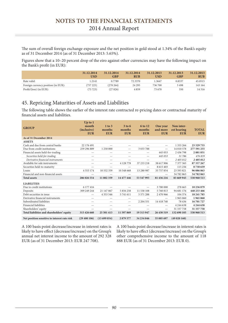The sum of overall foreign exchange exposure and the net position in gold stood at 1.34% of the Bank's equity as of 31 December 2014 (as of 31 December 2013: 5.65%).

Figures show that a 10–20 percent drop of the eiro against other currencies may have the following impact on the Bank's profit (in EUR):

|                                     | 31.12.2014<br>USD | 31.12.2014<br><b>GBP</b> | 31.12.2014<br><b>RUB</b> | 31.12.2013<br>USD | 31.12.2013<br><b>GBP</b> | 31.12.2013<br><b>RUB</b> |
|-------------------------------------|-------------------|--------------------------|--------------------------|-------------------|--------------------------|--------------------------|
| Rate valid:                         | 1.2141            | 0.7789                   | 72.3370                  | 1.3647            | 0.8337                   | 45.0515                  |
| Foreign currency position (in EUR): | (757225)          | (278264)                 | 24 29 5                  | 736 700           | 5498                     | 143 164                  |
| $Profit/ (loss)$ (in EUR):          | (75 723)          | (27826)                  | 4859                     | 73 670            | 550                      | 14 3 16                  |

## 45. Repricing Maturities of Assets and Liabilities

The following table shows the earlier of the interest rate contracted re-pricing dates or contractual maturity of financial assets and liabilities.

| <b>GROUP</b>                                 | $Up$ to $1$<br>month<br>(inclusive)<br><b>EUR</b> | $1$ to $3$<br>months<br><b>EUR</b> | $3$ to 6<br>months<br><b>EUR</b> | 6 to 12<br>months<br><b>EUR</b> | One year<br>and more<br><b>EUR</b> | Non inter-<br>est bearing<br><b>EUR</b> | <b>TOTAL</b><br><b>EUR</b> |
|----------------------------------------------|---------------------------------------------------|------------------------------------|----------------------------------|---------------------------------|------------------------------------|-----------------------------------------|----------------------------|
| As of 31 December 2014                       |                                                   |                                    |                                  |                                 |                                    |                                         |                            |
| <b>ASSETS</b>                                |                                                   |                                    |                                  |                                 |                                    |                                         |                            |
| Cash and due from central banks              | 22 176 491                                        |                                    | $\overline{\phantom{m}}$         | $\overline{\phantom{0}}$        | $\overline{\phantom{0}}$           | 1 353 264                               | 23 529 755                 |
| Due from credit institutions                 | 259 296 889                                       | 1 250 000                          | $\overline{\phantom{0}}$         | 3 0 3 3 7 8 8                   | $\overline{\phantom{0}}$           | 14 010 578                              | 277 591 255                |
| Financial assets held-for-trading            |                                                   |                                    |                                  |                                 | 445 053                            | 2 436 798                               | 2881851                    |
| Securities held-for-trading                  |                                                   |                                    |                                  |                                 | 445 053                            | 31786                                   | 476839                     |
| Derivative financial instruments             | —                                                 | $\qquad \qquad$                    |                                  | $\overline{\phantom{0}}$        | $\overline{\phantom{0}}$           | 2 405 012                               | 2405012                    |
| Available for sale instruments               |                                                   | —                                  | 4 128 778                        | 37 233 218                      | 38 617 906                         | 7 377 365                               | 87 357 267                 |
| Securities held-to-maturity                  | $\overline{\phantom{0}}$                          | $\overline{\phantom{0}}$           |                                  |                                 | 8 615 403                          | 115 256                                 | 8730659                    |
| Loans                                        | 4 5 5 3 1 7 4                                     | 10 552 359                         | 10 348 668                       | 13 280 987                      | 33 757 854                         | 23 593 821                              | 96 086 863                 |
| Financial and non-financial assets           |                                                   |                                    |                                  |                                 |                                    | 34 782 863                              | 34 782 863                 |
| <b>Total assets</b>                          | 286 026 554                                       | 11802359                           | 14 477 446                       | 53 547 993                      | 81 436 216                         | 83 669 945                              | 530 960 513                |
| <b>LIABILITIES</b>                           |                                                   |                                    |                                  |                                 |                                    |                                         |                            |
| Due to credit institutions                   | 6 177 416                                         |                                    |                                  |                                 | 3780000                            | 278 663                                 | 10 236 079                 |
| Deposits                                     | 309 249 244                                       | 21 147 867                         | 5 856 258                        | 11 538 108                      | 5760813                            | 94 681 176                              | 448 233 466                |
| Debt securities in issue                     |                                                   | 4 3 5 3 5 4 6                      | 5741611                          | 5 571 288                       | 2 470 966                          | 104 374                                 | 18 241 785                 |
| Derivative financial instruments             | —                                                 |                                    |                                  |                                 |                                    | 1965060                                 | 1965060                    |
| Subordinated liabilities                     | –                                                 |                                    | $\overline{\phantom{0}}$         | 2 204 551                       | 14 418 740                         | 78 436                                  | 16701727                   |
| Financial liabilities                        |                                                   | $\overline{\phantom{0}}$           | $\overline{\phantom{0}}$         | $\overline{\phantom{0}}$        | $\overline{\phantom{0}}$           | 4 2 4 4 6 3 8                           | 4 2 4 4 6 3 8              |
| Shareholders' equity                         |                                                   |                                    |                                  |                                 |                                    | 31 337 758                              | 31 337 758                 |
| Total liabilities and shareholders' equity   | 315 426 660                                       | 25 501 413                         | 11 597 869                       | 19 313 947                      | 26 430 519                         | 132 690 105                             | 530 960 513                |
| Net position sensitive to interest rate risk | (29 400 106)                                      | (13699054)                         | 2879577                          | 34 234 046                      | 55 005 697                         | (49020160)                              |                            |

A 100 basis point decrease/increase in interest rates is likely to have effect (decrease/increase) on the Group's annual net interest income to the amount of 292 328 EUR (as of 31 December 2013: EUR 247 708).

A 100 basis point decrease/increase in interest rates is likely to have effect (decrease/increase) on the Group's other comprehensive income to the amount of 118 888 EUR (as of 31 December 2013: EUR 0).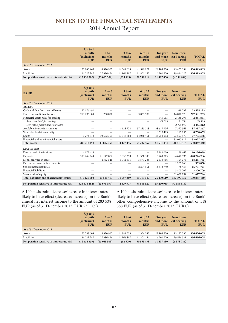|                                              | $Up$ to $1$<br>month<br>(inclusive)<br><b>EUR</b> | $1$ to $3$<br>months<br><b>EUR</b> | $3$ to 6<br>months<br><b>EUR</b> | 6 to 12<br>months<br><b>EUR</b> | One year<br>and more<br><b>EUR</b> | Non inter-<br>est bearing<br><b>EUR</b> | <b>TOTAL</b><br><b>EUR</b> |
|----------------------------------------------|---------------------------------------------------|------------------------------------|----------------------------------|---------------------------------|------------------------------------|-----------------------------------------|----------------------------|
| As of 31 December 2013                       |                                                   |                                    |                                  |                                 |                                    |                                         |                            |
| Assets                                       | 153 066 965                                       | 4 320 967                          | 14 341 018                       | 41 599 971                      | 28 109 750                         | 95 455 134                              | 336 893 805                |
| Liabilities                                  | 166 223 247                                       | 27 386 476                         | 14 966 887                       | 11 801 152                      | 16 701 920                         | 99 814 123                              | 336893805                  |
| Net position sensitive to interest rate risk | (13156282)                                        | (23065509)                         | (625869)                         | 29 798 819                      | 11 407 830                         | (4358989)                               |                            |

| <b>BANK</b>                                  | $Up$ to $1$<br>month<br>(inclusive)<br><b>EUR</b> | $1$ to $3$<br>months<br><b>EUR</b> | $3$ to 6<br>months<br><b>EUR</b> | 6 to 12<br>months<br><b>EUR</b> | One year<br>and more<br><b>EUR</b> | Non inter-<br>est bearing<br><b>EUR</b> | <b>TOTAL</b><br><b>EUR</b> |
|----------------------------------------------|---------------------------------------------------|------------------------------------|----------------------------------|---------------------------------|------------------------------------|-----------------------------------------|----------------------------|
| As of 31 December 2014                       |                                                   |                                    |                                  |                                 |                                    |                                         |                            |
| <b>ASSETS</b>                                |                                                   |                                    |                                  |                                 |                                    |                                         |                            |
| Cash and due from central banks              | 22 176 491                                        |                                    |                                  |                                 |                                    | 1 348 732                               | 23 525 223                 |
| Due from credit institutions                 | 259 296 889                                       | 1 250 000                          | $\overline{\phantom{0}}$         | 3 0 3 3 7 8 8                   | $\overline{\phantom{0}}$           | 14 010 578                              | 277 591 255                |
| Financial assets held-for-trading            |                                                   |                                    |                                  |                                 | 445 053                            | 2 436 798                               | 2881851                    |
| Securities held-for-trading                  |                                                   |                                    |                                  |                                 | 445 053                            | 31786                                   | 476839                     |
| Derivative financial instruments             |                                                   |                                    |                                  |                                 |                                    | 2 405 012                               | 2405012                    |
| Available for sale instruments               |                                                   | —                                  | 4 128 778                        | 37 233 218                      | 38 617 906                         | 7 377 365                               | 87 357 267                 |
| Securities held-to-maturity                  | —<br>—                                            | $\overline{\phantom{0}}$           |                                  |                                 | 8 6 15 4 03                        | 115 256                                 | 8730659                    |
| Loans                                        | 5 274 818                                         | 10 552 359                         | 10 348 668                       | 14 030 461                      | 33 953 092                         | 23 593 970                              | 97 753 368                 |
| Financial and non-financial assets           |                                                   |                                    |                                  |                                 |                                    | 33 027 817                              | 33 027 817                 |
| <b>Total assets</b>                          | 286 748 198                                       | 11802359                           | 14 477 446                       | 54 297 467                      | 81 631 454                         | 81 910 516                              | 530 867 440                |
| <b>LIABILITIES</b>                           |                                                   |                                    |                                  |                                 |                                    |                                         |                            |
| Due to credit institutions                   | 6 177 416                                         |                                    |                                  |                                 | 3780000                            | 278 663                                 | 10 236 079                 |
| Deposits                                     | 309 249 244                                       | 21 147 867                         | 5 856 258                        | 11 538 108                      | 5760813                            | 94 691 996                              | 448 244 286                |
| Debt securities in issue                     |                                                   | 4 3 5 3 5 4 6                      | 5741611                          | 5 5 7 1 2 8 8                   | 2 470 966                          | 104 374                                 | 18 241 785                 |
| Derivative financial instruments             |                                                   |                                    |                                  |                                 |                                    | 1965060                                 | 1965 060                   |
| Subordinated liabilities                     |                                                   |                                    |                                  | 2 2 0 4 5 5 1                   | 14 418 740                         | 78 436                                  | 16701727                   |
| Financial liabilities                        |                                                   |                                    |                                  | -                               | —                                  | 3 800 709                               | 3800709                    |
| Shareholders' equity                         |                                                   |                                    |                                  |                                 | $\overline{\phantom{0}}$           | 31 677 794                              | 31 677 794                 |
| Total liabilities and shareholders' equity   | 315 426 660                                       | 25 501 413                         | 11 597 869                       | 19 313 947                      | 26 430 519                         | 132 597 032                             | 530 867 440                |
| Net position sensitive to interest rate risk | (28678462)                                        | (13699054)                         | 2879577                          | 34 983 520                      | 55 200 935                         | (50686516)                              |                            |

A 100 basis point decrease/increase in interest rates is likely to have effect (decrease/increase) on the Bank's annual net interest income to the amount of 283 538 EUR (as of 31 December 2013: EUR 235 509).

A 100 basis point decrease/increase in interest rates is likely to have effect (decrease/increase) on the Bank's other comprehensive income to the amount of 118 888 EUR (as of 31 December 2013: EUR 0).

|                                              | $Up$ to $1$<br>month<br>(inclusive)<br><b>EUR</b> | $1$ to $3$<br>months<br><b>EUR</b> | $3$ to 6<br>months<br><b>EUR</b> | 6 to 12<br>months<br><b>EUR</b> | One year<br>and more<br><b>EUR</b> | Non inter-<br>est bearing<br><b>EUR</b> | <b>TOTAL</b><br><b>EUR</b> |
|----------------------------------------------|---------------------------------------------------|------------------------------------|----------------------------------|---------------------------------|------------------------------------|-----------------------------------------|----------------------------|
| As of 31 December 2013                       |                                                   |                                    |                                  |                                 |                                    |                                         |                            |
| Assets                                       | 153 788 608                                       | 4 320 967                          | 14 884 558                       | 42 354 587                      | 28 109 750                         | 93 197 535                              | 336 656 005                |
| Liabilities                                  | 166 223 247                                       | 27 386 476                         | 14 966 887                       | 11 801 154                      | 16 701 920                         | 99 576 321                              | 336 656 005                |
| Net position sensitive to interest rate risk | (12434639)                                        | (23065509)                         | (82329)                          | 30 553 433                      | 11 407 830                         | (6378786)                               |                            |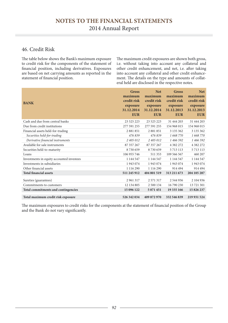#### 46. Credit Risk

The table below shows the Bank's maximum exposure to credit risk for the components of the statement of financial position, including derivatives. Exposures are based on net carrying amounts as reported in the statement of financial position.

The maximum credit exposures are shown both gross, i.e. without taking into account any collateral and other credit enhancement, and net, i.e. after taking into account any collateral and other credit enhancement. The details on the type and amounts of collateral held are disclosed in the respective notes.

| <b>BANK</b>                               | Gross<br>maximum<br>credit risk<br>exposure<br>31.12.2014<br><b>EUR</b> | <b>Net</b><br>maximum<br>credit risk<br>exposure<br>31.12.2014<br><b>EUR</b> | Gross<br>maximum<br>credit risk<br>exposure<br>31.12.2013<br><b>EUR</b> | <b>Net</b><br>maximum<br>credit risk<br>exposure<br>31.12.2013<br><b>EUR</b> |
|-------------------------------------------|-------------------------------------------------------------------------|------------------------------------------------------------------------------|-------------------------------------------------------------------------|------------------------------------------------------------------------------|
| Cash and due from central banks           | 23 525 223                                                              | 23 525 223                                                                   | 31 444 203                                                              | 31 444 203                                                                   |
| Due from credit institutions              | 277 591 255                                                             | 277 591 255                                                                  | 154 968 015                                                             | 154 968 015                                                                  |
| Financial assets held-for-trading         | 2881851                                                                 | 2 881 851                                                                    | 3 135 362                                                               | 3 135 362                                                                    |
| Securities held-for-trading               | 476839                                                                  | 476839                                                                       | 1 668 770                                                               | 1 668 770                                                                    |
| Derivative financial instruments          | 2 405 012                                                               | 2 405 012                                                                    | 1 466 592                                                               | 1 466 592                                                                    |
| Available for sale instruments            | 87 357 267                                                              | 87 357 267                                                                   | 4 3 8 2 2 7 2                                                           | 4 3 8 2 2 7 2                                                                |
| Securities held-to-maturity               | 8730659                                                                 | 8730659                                                                      | 5 7 1 3 1 1 3                                                           | 5 7 1 3 1 1 3                                                                |
| Loans                                     | 106 955 746                                                             | 511 353                                                                      | 109 566 567                                                             | 460 207                                                                      |
| Investments in equity accounted investees | 1 144 547                                                               | 1 144 547                                                                    | 1 144 547                                                               | 1 144 547                                                                    |
| Investments in subsidiaries               | 1943074                                                                 | 1943074                                                                      | 1943074                                                                 | 1943074                                                                      |
| Other financial assets                    | 1 116 290                                                               | 1 1 1 6 2 9 0                                                                | 914 494                                                                 | 914 494                                                                      |
| <b>Total financial assets</b>             | 511 245 912                                                             | 404 801 519                                                                  | 313 211 673                                                             | 204 105 287                                                                  |
| Sureties (guarantees)                     | 2961317                                                                 | 2 571 317                                                                    | 2 544 936                                                               | 2 104 936                                                                    |
| Commitments to customers                  | 12 134 805                                                              | 2 500 134                                                                    | 16 790 230                                                              | 13 721 301                                                                   |
| Total commitments and contingencies       | 15 096 122                                                              | 5 0 7 1 4 5 1                                                                | 19 335 166                                                              | 15 826 237                                                                   |
| Total maximum credit risk exposure        | 526 342 034                                                             | 409 872 970                                                                  | 332 546 839                                                             | 219 931 524                                                                  |

The maximum exposures to credit risks for the components at the statement of financial position of the Group and the Bank do not vary significantly.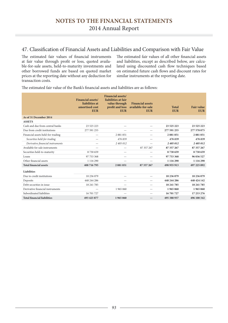# 47. Classification of Financial Assets and Liabilities and Comparison with Fair Value

The estimated fair values of financial instruments at fair value through profit or loss, quoted available-for-sale assets, held-to-maturity investments and other borrowed funds are based on quoted market prices at the reporting date without any deduction for transaction costs.

The estimated fair values of all other financial assets and liabilities, except as described below, are calculated using discounted cash flow techniques based on estimated future cash flows and discount rates for similar instruments at the reporting date.

The estimated fair value of the Bank's financial assets and liabilities are as follows:

|                                    | Financial assets/<br>liabilities at<br>amortised cost<br><b>EUR</b> | Financial assets/<br>liabilities at fair<br>value through<br>profit and loss<br><b>EUR</b> | <b>Financial assets</b><br>available-for-sale<br><b>EUR</b> | <b>Total</b><br><b>EUR</b> | <b>Fair value</b><br><b>EUR</b> |
|------------------------------------|---------------------------------------------------------------------|--------------------------------------------------------------------------------------------|-------------------------------------------------------------|----------------------------|---------------------------------|
| As of 31 December 2014             |                                                                     |                                                                                            |                                                             |                            |                                 |
| <b>ASSETS</b>                      |                                                                     |                                                                                            |                                                             |                            |                                 |
| Cash and due from central banks    | 23 525 223                                                          |                                                                                            |                                                             | 23 525 223                 | 23 525 223                      |
| Due from credit institutions       | 277 591 255                                                         |                                                                                            |                                                             | 277 591 255                | 277 578 075                     |
| Financial assets held-for-trading  |                                                                     | 2881851                                                                                    |                                                             | 2881851                    | 2881851                         |
| Securities held-for-trading        | —                                                                   | 476839                                                                                     | —                                                           | 476839                     | 476839                          |
| Derivative financial instruments   |                                                                     | 2 405 012                                                                                  |                                                             | 2405012                    | 2405012                         |
| Available for sale instruments     | —                                                                   | المستنبذ                                                                                   | 87 357 267                                                  | 87 357 267                 | 87 357 267                      |
| Securities held-to-maturity        | 8730659                                                             |                                                                                            | -                                                           | 8730659                    | 8730659                         |
| Loans                              | 97 753 368                                                          |                                                                                            |                                                             | 97 753 368                 | 96 036 527                      |
| Other financial assets             | 1 1 1 6 2 9 0                                                       |                                                                                            |                                                             | 1 1 1 6 2 9 0              | 1 1 1 6 2 9 0                   |
| <b>Total financial assets</b>      | 408 716 795                                                         | 2881851                                                                                    | 87 357 267                                                  | 498 955 913                | 497 225 892                     |
| Liabilities                        |                                                                     |                                                                                            |                                                             |                            |                                 |
| Due to credit institutions         | 10 236 079                                                          |                                                                                            |                                                             | 10 236 079                 | 10 236 079                      |
| Deposits                           | 448 244 286                                                         |                                                                                            |                                                             | 448 244 286                | 448 424 142                     |
| Debt securities in issue           | 18 241 785                                                          |                                                                                            |                                                             | 18 241 785                 | 18 241 785                      |
| Derivative financial instruments   |                                                                     | 1965060                                                                                    |                                                             | 1965060                    | 1965 060                        |
| Subordinated liabilities           | 16701727                                                            |                                                                                            |                                                             | 16701727                   | 17 233 276                      |
| <b>Total financial liabilities</b> | 493 423 877                                                         | 1965060                                                                                    |                                                             | 495 388 937                | 496 100 342                     |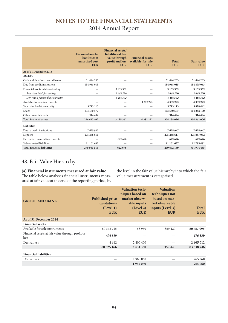|                                    | Financial assets/<br>liabilities at<br>amortised cost<br><b>EUR</b> | <b>Financial assets/</b><br>liabilities at fair<br>value through<br>profit and loss<br><b>EUR</b> | <b>Financial assets</b><br>available-for-sale<br><b>EUR</b> | <b>Total</b><br><b>EUR</b> | <b>Fair value</b><br><b>EUR</b> |
|------------------------------------|---------------------------------------------------------------------|---------------------------------------------------------------------------------------------------|-------------------------------------------------------------|----------------------------|---------------------------------|
| As of 31 December 2013             |                                                                     |                                                                                                   |                                                             |                            |                                 |
| <b>ASSETS</b>                      |                                                                     |                                                                                                   |                                                             |                            |                                 |
| Cash and due from central banks    | 31 444 203                                                          |                                                                                                   |                                                             | 31 444 203                 | 31 444 203                      |
| Due from credit institutions       | 154 968 015                                                         |                                                                                                   |                                                             | 154 968 015                | 154 895 063                     |
| Financial assets held-for-trading  | -                                                                   | 3 1 3 5 3 6 2                                                                                     |                                                             | 3 135 362                  | 3 135 362                       |
| Securities held-for-trading        | $\overline{\phantom{0}}$                                            | 1 668 770                                                                                         |                                                             | 1 668 770                  | 1 668 770                       |
| Derivative financial instruments   | —                                                                   | 1 466 592                                                                                         | $\overline{\phantom{0}}$                                    | 1466592                    | 1466592                         |
| Available for sale instruments     | -                                                                   |                                                                                                   | 4 3 8 2 2 7 2                                               | 4382272                    | 4382272                         |
| Securities held-to-maturity        | 5713113                                                             |                                                                                                   |                                                             | 5713113                    | 5828442                         |
| Loans                              | 103 580 577                                                         |                                                                                                   |                                                             | 103 580 577                | 104 262 170                     |
| Other financial assets             | 914 494                                                             |                                                                                                   |                                                             | 914 494                    | 914 494                         |
| <b>Total financial assets</b>      | 296 620 402                                                         | 3 135 362                                                                                         | 4 3 8 2 2 7 2                                               | 304 138 036                | 304 862 006                     |
| Liabilities                        |                                                                     |                                                                                                   |                                                             |                            |                                 |
| Due to credit institutions         | 7625947                                                             |                                                                                                   | —                                                           | 7625947                    | 7625947                         |
| Deposits                           | 275 288 611                                                         |                                                                                                   |                                                             | 275 288 611                | 275 887 062                     |
| Derivative financial instruments   |                                                                     | 622 676                                                                                           | —                                                           | 622 676                    | 622 676                         |
| Subordinated liabilities           | 11 101 637                                                          |                                                                                                   |                                                             | 11 101 637                 | 12785482                        |
| <b>Total financial liabilities</b> | 299 069 513                                                         | 622 676                                                                                           |                                                             | 299 692 189                | 301 974 485                     |

## 48. Fair Value Hierarchy

**(a) Financial instruments measured at fair value** The table below analyses financial instruments measured at fair value at the end of the reporting period, by the level in the fair value hierarchy into which the fair value measurement is categorised.

| <b>GROUP AND BANK</b>                                    | <b>Published price</b><br>quotations<br>(Level 1)<br><b>EUR</b> | <b>Valuation tech-</b><br>niques based on<br>market observ-<br>able inputs<br>(Level 2)<br><b>EUR</b> | <b>Valuation</b><br>techniques not<br>based on mar-<br>ket observable<br>inputs (Level 3)<br><b>EUR</b> | <b>Total</b><br><b>EUR</b> |
|----------------------------------------------------------|-----------------------------------------------------------------|-------------------------------------------------------------------------------------------------------|---------------------------------------------------------------------------------------------------------|----------------------------|
| As of 31 December 2014                                   |                                                                 |                                                                                                       |                                                                                                         |                            |
| <b>Financial assets</b>                                  |                                                                 |                                                                                                       |                                                                                                         |                            |
| Available for sale instruments                           | 80 343 715                                                      | 53 960                                                                                                | 359 420                                                                                                 | 80 757 095                 |
| Financial assets at fair value through profit or<br>loss | 476839                                                          |                                                                                                       |                                                                                                         | 476839                     |
| Derivatives                                              | 4612                                                            | 2 400 400                                                                                             |                                                                                                         | 2405012                    |
|                                                          | 80 825 166                                                      | 2454360                                                                                               | 359 420                                                                                                 | 83 638 946                 |
| <b>Financial liabilities</b>                             |                                                                 |                                                                                                       |                                                                                                         |                            |
| Derivatives                                              |                                                                 | 1965060                                                                                               |                                                                                                         | 1965060                    |
|                                                          |                                                                 | 1965060                                                                                               |                                                                                                         | 1965060                    |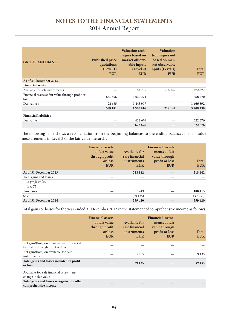| <b>GROUP AND BANK</b>                                    | <b>Published price</b><br>quotations<br>(Level 1)<br><b>EUR</b> | <b>Valuation tech-</b><br>niques based on<br>market observ-<br>able inputs<br>(Level 2)<br><b>EUR</b> | <b>Valuation</b><br>techniques not<br>based on mar-<br>ket observable<br>inputs (Level 3)<br><b>EUR</b> | <b>Total</b><br><b>EUR</b> |
|----------------------------------------------------------|-----------------------------------------------------------------|-------------------------------------------------------------------------------------------------------|---------------------------------------------------------------------------------------------------------|----------------------------|
| As of 31 December 2013                                   |                                                                 |                                                                                                       |                                                                                                         |                            |
| <b>Financial assets</b>                                  |                                                                 |                                                                                                       |                                                                                                         |                            |
| Available for sale instruments                           |                                                                 | 54 735                                                                                                | 218 142                                                                                                 | 272877                     |
| Financial assets at fair value through profit or<br>loss | 646 496                                                         | 1 022 274                                                                                             |                                                                                                         | 1668770                    |
| Derivatives                                              | 22 685                                                          | 1 443 907                                                                                             |                                                                                                         | 1466592                    |
|                                                          | 669 181                                                         | 2 5 2 0 9 1 6                                                                                         | 218 142                                                                                                 | 3 408 239                  |
| <b>Financial liabilities</b>                             |                                                                 |                                                                                                       |                                                                                                         |                            |
| Derivatives                                              |                                                                 | 622 676                                                                                               |                                                                                                         | 622 676                    |
|                                                          |                                                                 | 622 676                                                                                               |                                                                                                         | 622 676                    |

The following table shows a reconciliation from the beginning balances to the ending balances for fair value measurements in Level 3 of the fair value hierarchy:

|                         | <b>Financial assets</b><br>at fair value<br>through profit<br>or loss<br><b>EUR</b> | <b>Available for</b><br>sale financial<br>instruments<br><b>EUR</b> | <b>Financial invest-</b><br>ments at fair<br>value through<br>profit or loss<br><b>EUR</b> | <b>Total</b><br><b>EUR</b> |
|-------------------------|-------------------------------------------------------------------------------------|---------------------------------------------------------------------|--------------------------------------------------------------------------------------------|----------------------------|
| As of 31 December 2013  |                                                                                     | 218 142                                                             |                                                                                            | 218 142                    |
| Total gains and losses: |                                                                                     |                                                                     |                                                                                            |                            |
| in profit or loss       |                                                                                     |                                                                     |                                                                                            |                            |
| in OCI                  |                                                                                     |                                                                     |                                                                                            |                            |
| Purchases               |                                                                                     | 180 413                                                             |                                                                                            | 180413                     |
| Sale                    |                                                                                     | (39135)                                                             |                                                                                            | (39135)                    |
| As of 31 December 2014  |                                                                                     | 359 420                                                             |                                                                                            | 359 420                    |

Total gains or losses for the year ended 31 December 2013 in the statement of comprehensive income as follows:

|                                                                                  | <b>Financial assets</b><br>at fair value<br>through profit<br>or loss<br><b>EUR</b> | <b>Available for</b><br>sale financial<br><i>instruments</i><br><b>EUR</b> | <b>Financial invest-</b><br>ments at fair<br>value through<br>profit or loss<br><b>EUR</b> | <b>Total</b><br><b>EUR</b> |
|----------------------------------------------------------------------------------|-------------------------------------------------------------------------------------|----------------------------------------------------------------------------|--------------------------------------------------------------------------------------------|----------------------------|
| Net gain/(loss) on financial instruments at<br>fair value through profit or loss |                                                                                     |                                                                            |                                                                                            |                            |
| Net gain/(loss) on available-for-sale<br>instruments                             |                                                                                     | 39 135                                                                     |                                                                                            | 39 135                     |
| Total gains and losses included in profit<br>or loss                             |                                                                                     | 39 135                                                                     |                                                                                            | 39 1 35                    |
| Available-for-sale financial assets – net<br>change in fair value                |                                                                                     |                                                                            |                                                                                            |                            |
| Total gains and losses recognised in other<br>comprehensive income               |                                                                                     |                                                                            |                                                                                            |                            |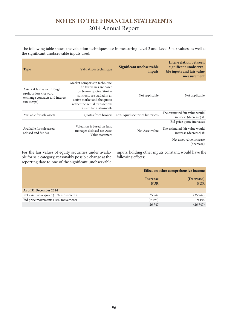The following table shows the valuation techniques use in measuring Level 2 and Level 3 fair values, as well as the significant unobservable inputs used:

| <b>Type</b>                                                                                               | <b>Valuation technique</b>                                                                                                                                                                                        | Significant unobservable<br>inputs | <b>Inter-relation between</b><br>significant unobserva-<br>ble inputs and fair value<br>measurement |
|-----------------------------------------------------------------------------------------------------------|-------------------------------------------------------------------------------------------------------------------------------------------------------------------------------------------------------------------|------------------------------------|-----------------------------------------------------------------------------------------------------|
| Assets at fair value through<br>profit or loss (forward<br>exchange contracts and interest<br>rate swaps) | Market comparison technique:<br>The fair values are based<br>on broker quotes. Similar<br>contracts are traded in an<br>active market and the quotes<br>reflect the actual transactions<br>in similar instruments | Not applicable                     | Not applicable                                                                                      |
| Available for sale assets                                                                                 | Quotes from brokers                                                                                                                                                                                               | non-liquid securities bid prices   | The estimated fair value would<br>increase (decrease) if:                                           |
|                                                                                                           |                                                                                                                                                                                                                   |                                    | Bid price quote increases                                                                           |
| Available for sale assets<br>(closed end funds)                                                           | Valuation is based on fund<br>manager dislosed net Asset<br>Value statement                                                                                                                                       | Net Asset value                    | The estimated fair value would<br>increase (decrease) if:                                           |
|                                                                                                           |                                                                                                                                                                                                                   |                                    | Net asset value increase<br>(decrease)                                                              |

For the fair values of equity securities under available for sale category, reasonably possible change at the reporting date to one of the significant unobservable

inputs, holding other inputs constant, would have the following effects:

|                                      |                        | Effect on other comprehensive income |  |  |
|--------------------------------------|------------------------|--------------------------------------|--|--|
|                                      | Increase<br><b>EUR</b> | (Decrease)<br><b>EUR</b>             |  |  |
| As of 31 December 2014               |                        |                                      |  |  |
| Net asset value quote (10% movement) | 35 942                 | (35942)                              |  |  |
| Bid price movements (10% movement)   | (9195)                 | 9 1 9 5                              |  |  |
|                                      | 26 747                 | (26747)                              |  |  |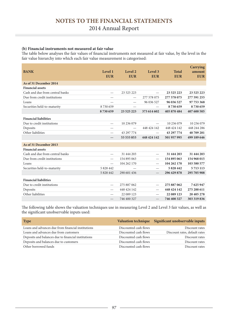#### **(b) Financial instruments not measured at fair value**

The table below analyses the fair values of financial instruments not measured at fair value, by the level in the fair value hierarchy into which each fair value measurement is categorised:

| <b>BANK</b>                                                | Level 1<br><b>EUR</b>    | Level 2<br><b>EUR</b> | Level 3<br><b>EUR</b>    | <b>Total</b><br><b>EUR</b> | Carrying<br>amount<br><b>EUR</b> |
|------------------------------------------------------------|--------------------------|-----------------------|--------------------------|----------------------------|----------------------------------|
| As of 31 December 2014                                     |                          |                       |                          |                            |                                  |
| <b>Financial assets</b>                                    |                          |                       |                          |                            |                                  |
| Cash and due from central banks                            |                          | 23 525 223            |                          | 23 525 223                 | 23 525 223                       |
| Due from credit institutions                               |                          |                       | 277 578 075              | 277 578 075                | 277 591 255                      |
| Loans                                                      |                          |                       | 96 036 527               | 96 036 527                 | 97 753 368                       |
| Securities held-to-maturity                                | 8730659                  |                       |                          | 8730659                    | 8730659                          |
|                                                            | 8730659                  | 23 525 223            | 373 614 602              | 405 870 484                | 407 600 505                      |
| <b>Financial liabilities</b>                               |                          |                       |                          |                            |                                  |
| Due to credit institutions                                 |                          | 10 236 079            | $\overline{\phantom{0}}$ | 10 236 079                 | 10 236 079                       |
| Deposits                                                   | $\overline{\phantom{0}}$ |                       | 448 424 142              | 448 424 142                | 448 244 286                      |
| Other liabilities                                          | $\overline{\phantom{0}}$ | 43 297 774            |                          | 43 297 774                 | 40 709 281                       |
|                                                            | —                        | 53 533 853            | 448 424 142              | 501 957 995                | 499 189 646                      |
|                                                            |                          |                       |                          |                            |                                  |
| As of 31 December 2013                                     |                          |                       |                          |                            |                                  |
| <b>Financial assets</b><br>Cash and due from central banks |                          |                       |                          |                            |                                  |
|                                                            |                          | 31 444 203            |                          | 31 444 203                 | 31 444 203                       |
| Due from credit institutions                               |                          | 154 895 063           |                          | 154 895 063                | 154 968 015                      |
| Loans                                                      |                          | 104 262 170           |                          | 104 262 170                | 103 580 577                      |
| Securities held-to-maturity                                | 5 828 442                |                       |                          | 5828442                    | 5713113                          |
|                                                            | 5 828 442                | 290 601 436           |                          | 296 429 878                | 295 705 908                      |
| <b>Financial liabilities</b>                               |                          |                       |                          |                            |                                  |
| Due to credit institutions                                 | —                        | 275 887 062           |                          | 275 887 062                | 7625947                          |
| Deposits                                                   |                          | 448 424 142           |                          | 448 424 142                | 275 288 611                      |
| Other liabilities                                          |                          | 22 089 123            |                          | 22 089 123                 | 20 405 278                       |
|                                                            |                          | 746 400 327           |                          | 746 400 327                | 303 319 836                      |

The following table shows the valuation techniques use in measuring Level 2 and Level 3 fair values, as well as the significant unobservable inputs used:

| <b>Type</b>                                         |                       | Valuation technique Significant unobservable inputs |
|-----------------------------------------------------|-----------------------|-----------------------------------------------------|
| Loans and advances due from financial institutions  | Discounted cash flows | Discount rates                                      |
| Loans and advances due from customers               | Discounted cash flows | Discount rates, default rates                       |
| Deposits and balances due to financial institutions | Discounted cash flows | Discount rates                                      |
| Deposits and balances due to customers              | Discounted cash flows | Discount rates                                      |
| Other borrowed funds                                | Discounted cash flows | Discount rates                                      |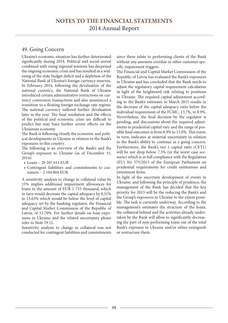#### 49. Going Concern

Ukraine's economic situation has further deteriorated significantly during 2014. Political and social unrest combined with rising regional tensions has deepened the ongoing economic crisis and has resulted in a widening of the state budget deficit and a depletion of the National Bank of Ukraine's foreign currency reserves. In February 2014, following the devaluation of the national currency, the National Bank of Ukraine introduced certain administrative restrictions on currency conversion transactions and also announced a transition to a floating foreign exchange rate regime. The national currency suffered further devaluation later in the year. The final resolution and the effects of the political and economic crisis are difficult to predict but may have further severe effects on the Ukrainian economy.

The Bank is following closely the economic and political developments in Ukraine in relation to the Bank's exposures in this country.

The following is an overview of the Bank's and the Group's exposure to Ukraine (as of December 31, 2014):

- Loans 29 207 611 EUR
- Contingent liabilities and commitments to customers – 2 104 804 EUR

A sensitivity analysis to change in collateral value by 15% implies additional impairment allowances for loans in the amount of EUR 1 733 thousand, which in turn would decrease the capital adequacy by 0.51% to 13.63% which would be below the level of capital adequacy set by the banking regulator, the Financial and Capital Market Commission of the Republic of Latvia, of 13.70%. For further details on loan exposures in Ukraine and the related uncertainty please refer to Note 19 (i).

Sensitivity analysis to change in collateral was not conducted for contingent liabilities and commitments since these relate to performing clients of the Bank without any amounts overdue or other customer specific impairment triggers.

The Financial and Capital Market Commission of the Republic of Latvia has evaluated the Bank's exposures in Ukraine and has concluded that the Bank needs to adjust the regulatory capital requirement calculation in light of the heightened risk relating to positions in Ukraine. The required capital adjustment according to the Bank's estimates in March 2015 results in the decrease of the capital adequacy ratio below the individual requirement of the FCMC, 13.7%, to 8.9%. Nevertheless, the final decision by the regulator is pending, and discussions about the required adjustments to prudential capital vary and the range of possible final outcomes is from 8.9% to 13.8%. This event, in turn, indicates at material uncertainty in relation to the Bank's ability to continue as a going concern. Furthermore, the Bank's tier 1 capital ratio (CET1) will be not drop below 7.5% (in the worst case scenario) which is in full compliance with the Regulation (EU) No 575/2013 of the European Parliament on prudential requirements for credit institutions and investment firms.

In light of the uncertain development of events in Ukraine, and following the principle of prudence, the management of the Bank has decided that the key priority for 2015 will be the reducing the Bank's and the Group's exposures in Ukraine to the extent possible. The task is currently underway. According to the management's estimates the structure of the loans, the collateral behind and the activities already undertaken by the Bank will allow to significantly decreasing the part of non-performing loans out of the total Bank's exposure in Ukraine and/or either extinguish or restructure them.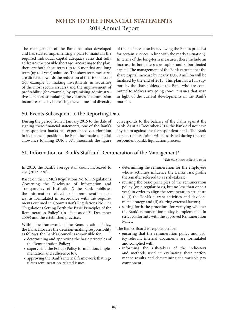The management of the Bank has also developed and has started implementing a plan to maintain the required individual capital adequacy ratio that fully addresses the possible shortage. According to the plan, there are both short term (up to 6 months) and long term (up to 1 year) solutions. The short term measures are directed towards the reduction of the risk of assets (for example by making investments in securities of the most secure issuers) and the improvement of profitability (for example, by optimising administrative expenses, stimulating the volumes of commission income earned by increasing the volume and diversity of the business, also by reviewing the Bank's price list for certain services in line with the market situation). In terms of the long-term measures, these include an increase in both the share capital and subordinated capital. The management of the Bank expects that the share capital increase by nearly EUR 9 million will be finalised by the end of 2015. This plan has a full support by the shareholders of the Bank who are committed to address any going concern issues that arise in light of the current developments in the Bank's markets.

#### 50. Events Subsequent to the Reporting Date

During the period from 1 January 2015 to the date of signing these financial statements, one of the Bank's correspondent banks has experienced deterioration in its financial position. The Bank has made a special allowance totalling EUR 1 374 thousand; the figure

corresponds to the balance of the claim against the bank. As at 31 December 2014, the Bank did not have any claim against the correspondent bank. The Bank expects that its claims will be satisfied during the correspondent bank's liquidation process.

#### 51. Information on Bank's Staff and Remuneration of the Management\*

*\*This note is not subject to audit*

In 2013, the Bank's average staff count increased to 251 (2013: 238).

Based on the FCMC's Regulations No. 61 "Regulations Governing the Disclosure of Information and Transparency of Institutions", the Bank publishes the information related to its remuneration policy, as formulated in accordance with the requirements outlined in Commission's Regulations No. 171 "Regulations Setting Forth the Basic Principles of the Remuneration Policy" (in effect as of 21 December 2009) and the established practices.

Within the framework of the Remuneration Policy, the Bank allocates the decision-making responsibility as follows: the Bank's Council is responsible for:

- determining and approving the basic principles of the Remuneration Policy;
- supervising the Policy (Policy formulation, implementation and adherence to);
- approving the Bank's internal framework that regulates remuneration-related issues;
- determining the remuneration for the employees whose activities influence the Bank's risk profile (hereinafter referred to as risk-takers);
- revising the basic principles of the remuneration policy (on a regular basis, but no less than once a year) in order to align the remuneration structure to (i) the Bank's current activities and development strategy and (ii) altering external factors;
- setting forth the procedure for verifying whether the Bank's remuneration policy is implemented in strict conformity with the approved Remuneration Policy.

The Bank's Board is responsible for:

- ensuring that the remuneration policy and policy-relevant internal documents are formulated and complied with;
- informing the risk-takers of the indicators and methods used in evaluating their performance results and determining the variable pay component.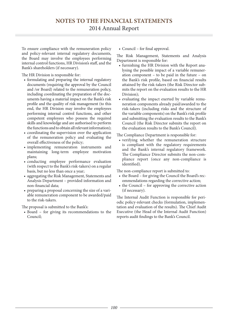To ensure compliance with the remuneration policy and policy-relevant internal regulatory documents, the Board may involve the employees performing internal control functions, HR Division's staff, and the Bank's shareholders (if necessary).

The HR Division is responsible for:

- formulating and preparing the internal regulatory documents (requiring the approval by the Council and /or Board) related to the remuneration policy, including coordinating the preparation of the documents having a material impact on the Bank's risk profile and the quality of risk management (to this end, the HR Division may involve the employees performing internal control functions, and other competent employees who possess the required skills and knowledge and are authorised to perform the functions and to obtain all relevant information);
- coordinating the supervision over the application of the remuneration policy and evaluating the overall effectiveness of the policy;
- implementing remuneration instruments and maintaining long-term employee motivation plans;
- conducting employee performance evaluation (with respect to the Bank's risk-takers) on a regular basis, but no less than once a year;
- aggregating the Risk Management, Statements and Analysis Department – provided information and non-financial data;
- preparing a proposal concerning the size of a variable remuneration component to be awarded/paid to the risk-takers.

The proposal is submitted to the Bank's:

• Board – for giving its recommendations to the Council;

• Council – for final approval.

The Risk Management, Statements and Analysis Department is responsible for:

- furnishing the HR Division with the Report analysing the possible impact of a variable remuneration component – to be paid in the future – on the Bank's risk profile, based on financial results attained by the risk-takers (the Risk Director submits the report on the evaluation results to the HR Division);
- evaluating the impact exerted by variable remuneration components already paid/awarded to the risk-takers (including risks and the structure of the variable components) on the Bank's risk profile and submitting the evaluation results to the Bank's Council (the Risk Director submits the report on the evaluation results to the Bank's Council).

The Compliance Department is responsible for:

• verifying whether the remuneration structure is compliant with the regulatory requirements and the Bank's internal regulatory framework. The Compliance Director submits the non-compliance report (once any non-compliance is identified).

The non-compliance report is submitted to:

- the Board for giving the Council the Board's recommendations regarding the corrective action;
- the Council for approving the corrective action (if necessary).

The Internal Audit Function is responsible for periodic policy-relevant checks (formulation, implementation and evaluation of the results). The Chief Audit Executive (the Head of the Internal Audit Function) reports audit findings to the Bank's Council.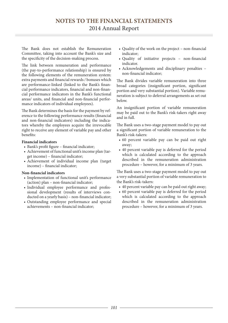The Bank does not establish the Remuneration Committee, taking into account the Bank's size and the specificity of the decision-making process.

The link between remuneration and performance (the pay-to-performance relationship) is ensured by the following elements of the remuneration system: extra payments and financial rewards / bonuses which are performance-linked (linked to the Bank's financial performance indicators, financial and non-financial performance indicators in the Bank's functional areas/ units, and financial and non-financial performance indicators of individual employees).

The Bank determines the basis for the payment by reference to the following performance results (financial and non-financial indicators) including the indicators whereby the employees acquire the irrevocable right to receive any element of variable pay and other benefits:

#### **Financial indicators**

- Bank's profit figure financial indicator;
- Achievement of functional unit's income plan (target income) – financial indicator;
- Achievement of individual income plan (target income) – financial indicator;

#### **Non-financial indicators**

- Implementation of functional unit's performance (action) plan – non-financial indicator;
- Individual employee performance and professional development (results of interviews conducted on a yearly basis) – non-financial indicator;
- Outstanding employee performance and special achievements – non-financial indicator;
- Quality of the work on the project non-financial indicator;
- Quality of initiative projects non-financial indicator.
- Acknowledgements and disciplinary penalties non-financial indicator;

The Bank divides variable remuneration into three broad categories (insignificant portion, significant portion and very substantial portion). Variable remuneration is subject to deferral arrangements as set out below.

An insignificant portion of variable remuneration may be paid out to the Bank's risk-takers right away and in full.

The Bank uses a two-stage payment model to pay out a significant portion of variable remuneration to the Bank's risk-takers:

- 60 percent variable pay can be paid out right away;
- 40 percent variable pay is deferred for the period which is calculated according to the approach described in the remuneration administration procedure – however, for a minimum of 3 years.

The Bank uses a two-stage payment model to pay out a very substantial portion of variable remuneration to the Bank's risk-takers:

- 40 percent variable pay can be paid out right away;
- 60 percent variable pay is deferred for the period which is calculated according to the approach described in the remuneration administration procedure – however, for a minimum of 3 years.